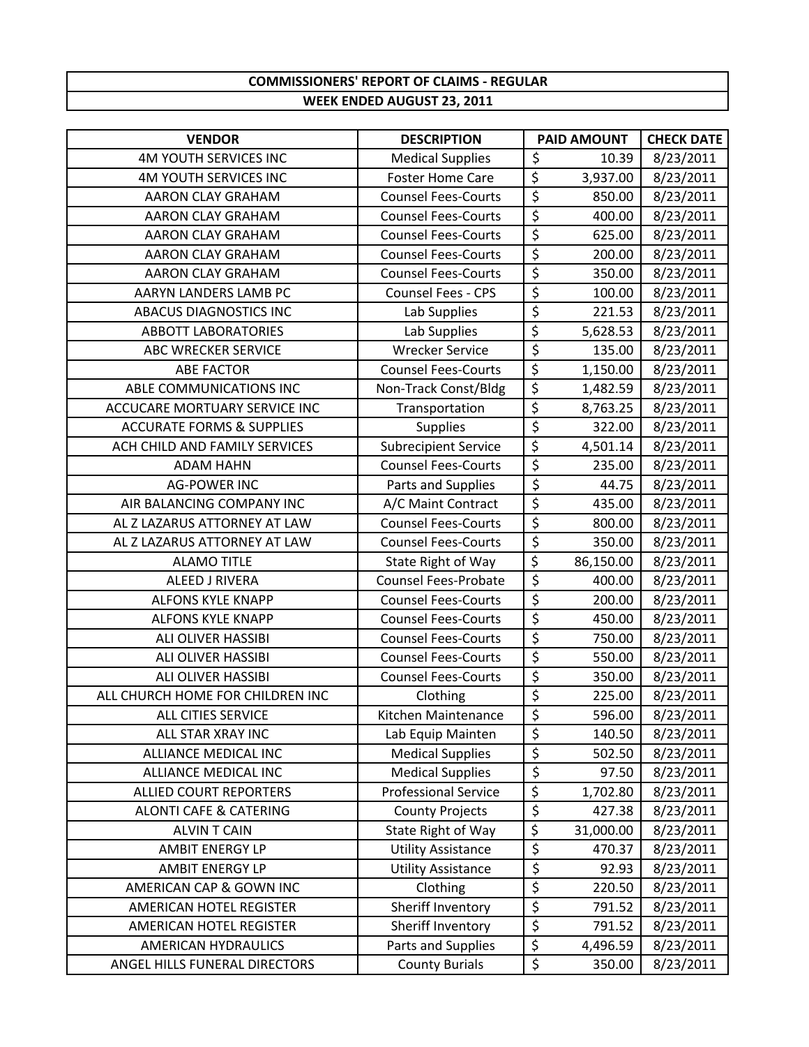## **COMMISSIONERS' REPORT OF CLAIMS ‐ REGULAR WEEK ENDED AUGUST 23, 2011**

| <b>VENDOR</b>                        | <b>DESCRIPTION</b>          |                                 | PAID AMOUNT | <b>CHECK DATE</b> |
|--------------------------------------|-----------------------------|---------------------------------|-------------|-------------------|
| <b>4M YOUTH SERVICES INC</b>         | <b>Medical Supplies</b>     | \$                              | 10.39       | 8/23/2011         |
| <b>4M YOUTH SERVICES INC</b>         | <b>Foster Home Care</b>     | \$                              | 3,937.00    | 8/23/2011         |
| AARON CLAY GRAHAM                    | <b>Counsel Fees-Courts</b>  | $\overline{\xi}$                | 850.00      | 8/23/2011         |
| <b>AARON CLAY GRAHAM</b>             | <b>Counsel Fees-Courts</b>  | \$                              | 400.00      | 8/23/2011         |
| <b>AARON CLAY GRAHAM</b>             | <b>Counsel Fees-Courts</b>  | \$                              | 625.00      | 8/23/2011         |
| <b>AARON CLAY GRAHAM</b>             | <b>Counsel Fees-Courts</b>  | $\overline{\xi}$                | 200.00      | 8/23/2011         |
| <b>AARON CLAY GRAHAM</b>             | <b>Counsel Fees-Courts</b>  | \$                              | 350.00      | 8/23/2011         |
| AARYN LANDERS LAMB PC                | Counsel Fees - CPS          | $\overline{\xi}$                | 100.00      | 8/23/2011         |
| <b>ABACUS DIAGNOSTICS INC</b>        | Lab Supplies                | $\overline{\xi}$                | 221.53      | 8/23/2011         |
| <b>ABBOTT LABORATORIES</b>           | Lab Supplies                | $\overline{\xi}$                | 5,628.53    | 8/23/2011         |
| ABC WRECKER SERVICE                  | <b>Wrecker Service</b>      | $\overline{\xi}$                | 135.00      | 8/23/2011         |
| <b>ABE FACTOR</b>                    | <b>Counsel Fees-Courts</b>  | $\overline{\xi}$                | 1,150.00    | 8/23/2011         |
| ABLE COMMUNICATIONS INC              | Non-Track Const/Bldg        | $\overline{\xi}$                | 1,482.59    | 8/23/2011         |
| ACCUCARE MORTUARY SERVICE INC        | Transportation              | \$                              | 8,763.25    | 8/23/2011         |
| <b>ACCURATE FORMS &amp; SUPPLIES</b> | <b>Supplies</b>             | \$                              | 322.00      | 8/23/2011         |
| ACH CHILD AND FAMILY SERVICES        | <b>Subrecipient Service</b> | $\overline{\xi}$                | 4,501.14    | 8/23/2011         |
| <b>ADAM HAHN</b>                     | <b>Counsel Fees-Courts</b>  | $\overline{\xi}$                | 235.00      | 8/23/2011         |
| <b>AG-POWER INC</b>                  | Parts and Supplies          | \$                              | 44.75       | 8/23/2011         |
| AIR BALANCING COMPANY INC            | A/C Maint Contract          | \$                              | 435.00      | 8/23/2011         |
| AL Z LAZARUS ATTORNEY AT LAW         | <b>Counsel Fees-Courts</b>  | \$                              | 800.00      | 8/23/2011         |
| AL Z LAZARUS ATTORNEY AT LAW         | <b>Counsel Fees-Courts</b>  | $\overline{\xi}$                | 350.00      | 8/23/2011         |
| <b>ALAMO TITLE</b>                   | State Right of Way          | $\overline{\xi}$                | 86,150.00   | 8/23/2011         |
| <b>ALEED J RIVERA</b>                | <b>Counsel Fees-Probate</b> | $\overline{\xi}$                | 400.00      | 8/23/2011         |
| <b>ALFONS KYLE KNAPP</b>             | <b>Counsel Fees-Courts</b>  | $\overline{\xi}$                | 200.00      | 8/23/2011         |
| <b>ALFONS KYLE KNAPP</b>             | <b>Counsel Fees-Courts</b>  | $\overline{\boldsymbol{\zeta}}$ | 450.00      | 8/23/2011         |
| ALI OLIVER HASSIBI                   | <b>Counsel Fees-Courts</b>  | $\overline{\varsigma}$          | 750.00      | 8/23/2011         |
| ALI OLIVER HASSIBI                   | <b>Counsel Fees-Courts</b>  | \$                              | 550.00      | 8/23/2011         |
| <b>ALI OLIVER HASSIBI</b>            | <b>Counsel Fees-Courts</b>  | $\overline{\xi}$                | 350.00      | 8/23/2011         |
| ALL CHURCH HOME FOR CHILDREN INC     | Clothing                    | $\overline{\xi}$                | 225.00      | 8/23/2011         |
| <b>ALL CITIES SERVICE</b>            | Kitchen Maintenance         | $\overline{\xi}$                | 596.00      | 8/23/2011         |
| ALL STAR XRAY INC                    | Lab Equip Mainten           | \$                              | 140.50      | 8/23/2011         |
| <b>ALLIANCE MEDICAL INC</b>          | <b>Medical Supplies</b>     | \$                              | 502.50      | 8/23/2011         |
| <b>ALLIANCE MEDICAL INC</b>          | <b>Medical Supplies</b>     | $\overline{\boldsymbol{\zeta}}$ | 97.50       | 8/23/2011         |
| <b>ALLIED COURT REPORTERS</b>        | <b>Professional Service</b> | $\overline{\xi}$                | 1,702.80    | 8/23/2011         |
| <b>ALONTI CAFE &amp; CATERING</b>    | <b>County Projects</b>      | \$                              | 427.38      | 8/23/2011         |
| <b>ALVIN T CAIN</b>                  | State Right of Way          | \$                              | 31,000.00   | 8/23/2011         |
| <b>AMBIT ENERGY LP</b>               | <b>Utility Assistance</b>   | \$                              | 470.37      | 8/23/2011         |
| <b>AMBIT ENERGY LP</b>               | <b>Utility Assistance</b>   | \$                              | 92.93       | 8/23/2011         |
| AMERICAN CAP & GOWN INC              | Clothing                    | \$                              | 220.50      | 8/23/2011         |
| AMERICAN HOTEL REGISTER              | Sheriff Inventory           | \$                              | 791.52      | 8/23/2011         |
| AMERICAN HOTEL REGISTER              | Sheriff Inventory           | \$                              | 791.52      | 8/23/2011         |
| <b>AMERICAN HYDRAULICS</b>           | Parts and Supplies          | \$                              | 4,496.59    | 8/23/2011         |
| ANGEL HILLS FUNERAL DIRECTORS        | <b>County Burials</b>       | \$                              | 350.00      | 8/23/2011         |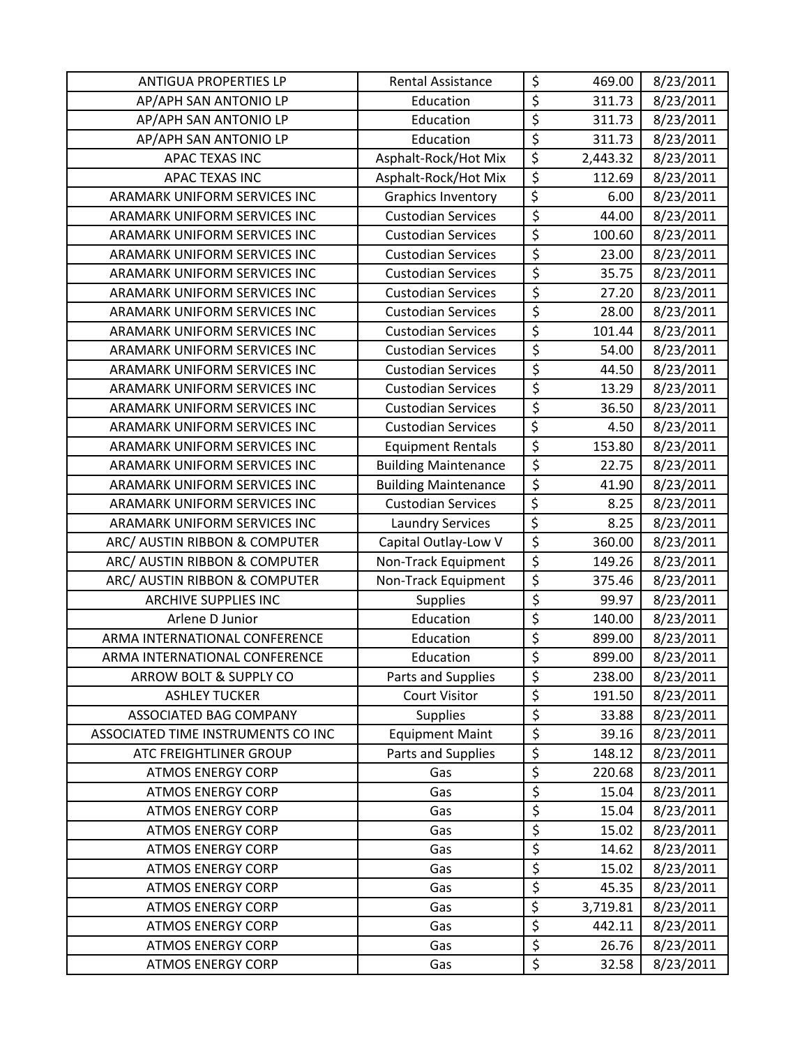| <b>ANTIGUA PROPERTIES LP</b>       | <b>Rental Assistance</b>    | \$                       | 469.00   | 8/23/2011 |
|------------------------------------|-----------------------------|--------------------------|----------|-----------|
| AP/APH SAN ANTONIO LP              | Education                   | \$                       | 311.73   | 8/23/2011 |
| AP/APH SAN ANTONIO LP              | Education                   | $\overline{\xi}$         | 311.73   | 8/23/2011 |
| AP/APH SAN ANTONIO LP              | Education                   | $\overline{\xi}$         | 311.73   | 8/23/2011 |
| APAC TEXAS INC                     | Asphalt-Rock/Hot Mix        | \$                       | 2,443.32 | 8/23/2011 |
| APAC TEXAS INC                     | Asphalt-Rock/Hot Mix        | \$                       | 112.69   | 8/23/2011 |
| ARAMARK UNIFORM SERVICES INC       | <b>Graphics Inventory</b>   | $\overline{\xi}$         | 6.00     | 8/23/2011 |
| ARAMARK UNIFORM SERVICES INC       | <b>Custodian Services</b>   | \$                       | 44.00    | 8/23/2011 |
| ARAMARK UNIFORM SERVICES INC       | <b>Custodian Services</b>   | $\overline{\varsigma}$   | 100.60   | 8/23/2011 |
| ARAMARK UNIFORM SERVICES INC       | <b>Custodian Services</b>   | $\overline{\xi}$         | 23.00    | 8/23/2011 |
| ARAMARK UNIFORM SERVICES INC       | <b>Custodian Services</b>   | $\overline{\xi}$         | 35.75    | 8/23/2011 |
| ARAMARK UNIFORM SERVICES INC       | <b>Custodian Services</b>   | $\overline{\xi}$         | 27.20    | 8/23/2011 |
| ARAMARK UNIFORM SERVICES INC       | <b>Custodian Services</b>   | $\overline{\xi}$         | 28.00    | 8/23/2011 |
| ARAMARK UNIFORM SERVICES INC       | <b>Custodian Services</b>   | $\overline{\xi}$         | 101.44   | 8/23/2011 |
| ARAMARK UNIFORM SERVICES INC       | <b>Custodian Services</b>   | $\overline{\xi}$         | 54.00    | 8/23/2011 |
| ARAMARK UNIFORM SERVICES INC       | <b>Custodian Services</b>   | $\overline{\xi}$         | 44.50    | 8/23/2011 |
| ARAMARK UNIFORM SERVICES INC       | <b>Custodian Services</b>   | $\overline{\xi}$         | 13.29    | 8/23/2011 |
| ARAMARK UNIFORM SERVICES INC       | <b>Custodian Services</b>   | \$                       | 36.50    | 8/23/2011 |
| ARAMARK UNIFORM SERVICES INC       | <b>Custodian Services</b>   | \$                       | 4.50     | 8/23/2011 |
| ARAMARK UNIFORM SERVICES INC       | <b>Equipment Rentals</b>    | $\overline{\xi}$         | 153.80   | 8/23/2011 |
| ARAMARK UNIFORM SERVICES INC       | <b>Building Maintenance</b> | $\overline{\xi}$         | 22.75    | 8/23/2011 |
| ARAMARK UNIFORM SERVICES INC       | <b>Building Maintenance</b> | $\overline{\xi}$         | 41.90    | 8/23/2011 |
| ARAMARK UNIFORM SERVICES INC       | <b>Custodian Services</b>   | $\overline{\varsigma}$   | 8.25     | 8/23/2011 |
| ARAMARK UNIFORM SERVICES INC       | <b>Laundry Services</b>     | $\overline{\xi}$         | 8.25     | 8/23/2011 |
| ARC/ AUSTIN RIBBON & COMPUTER      | Capital Outlay-Low V        | $\overline{\xi}$         | 360.00   | 8/23/2011 |
| ARC/ AUSTIN RIBBON & COMPUTER      | Non-Track Equipment         | $\overline{\xi}$         | 149.26   | 8/23/2011 |
| ARC/ AUSTIN RIBBON & COMPUTER      | Non-Track Equipment         | $\overline{\xi}$         | 375.46   | 8/23/2011 |
| <b>ARCHIVE SUPPLIES INC</b>        | <b>Supplies</b>             | $\overline{\xi}$         | 99.97    | 8/23/2011 |
| Arlene D Junior                    | Education                   | $\overline{\xi}$         | 140.00   | 8/23/2011 |
| ARMA INTERNATIONAL CONFERENCE      | Education                   | $\overline{\mathcal{L}}$ | 899.00   | 8/23/2011 |
| ARMA INTERNATIONAL CONFERENCE      | Education                   | $\overline{\xi}$         | 899.00   | 8/23/2011 |
| ARROW BOLT & SUPPLY CO             | Parts and Supplies          | \$                       | 238.00   | 8/23/2011 |
| <b>ASHLEY TUCKER</b>               | <b>Court Visitor</b>        | \$                       | 191.50   | 8/23/2011 |
| ASSOCIATED BAG COMPANY             | <b>Supplies</b>             | \$                       | 33.88    | 8/23/2011 |
| ASSOCIATED TIME INSTRUMENTS CO INC | <b>Equipment Maint</b>      | \$                       | 39.16    | 8/23/2011 |
| <b>ATC FREIGHTLINER GROUP</b>      | Parts and Supplies          | \$                       | 148.12   | 8/23/2011 |
| <b>ATMOS ENERGY CORP</b>           | Gas                         | \$                       | 220.68   | 8/23/2011 |
| <b>ATMOS ENERGY CORP</b>           | Gas                         | $\overline{\varsigma}$   | 15.04    | 8/23/2011 |
| <b>ATMOS ENERGY CORP</b>           | Gas                         | \$                       | 15.04    | 8/23/2011 |
| <b>ATMOS ENERGY CORP</b>           | Gas                         | \$                       | 15.02    | 8/23/2011 |
| <b>ATMOS ENERGY CORP</b>           | Gas                         | \$                       | 14.62    | 8/23/2011 |
| <b>ATMOS ENERGY CORP</b>           | Gas                         | \$                       | 15.02    | 8/23/2011 |
| <b>ATMOS ENERGY CORP</b>           | Gas                         | \$                       | 45.35    | 8/23/2011 |
| <b>ATMOS ENERGY CORP</b>           | Gas                         | \$                       | 3,719.81 | 8/23/2011 |
| <b>ATMOS ENERGY CORP</b>           | Gas                         | \$                       | 442.11   | 8/23/2011 |
| <b>ATMOS ENERGY CORP</b>           | Gas                         | $\overline{\xi}$         | 26.76    | 8/23/2011 |
| <b>ATMOS ENERGY CORP</b>           | Gas                         | \$                       | 32.58    | 8/23/2011 |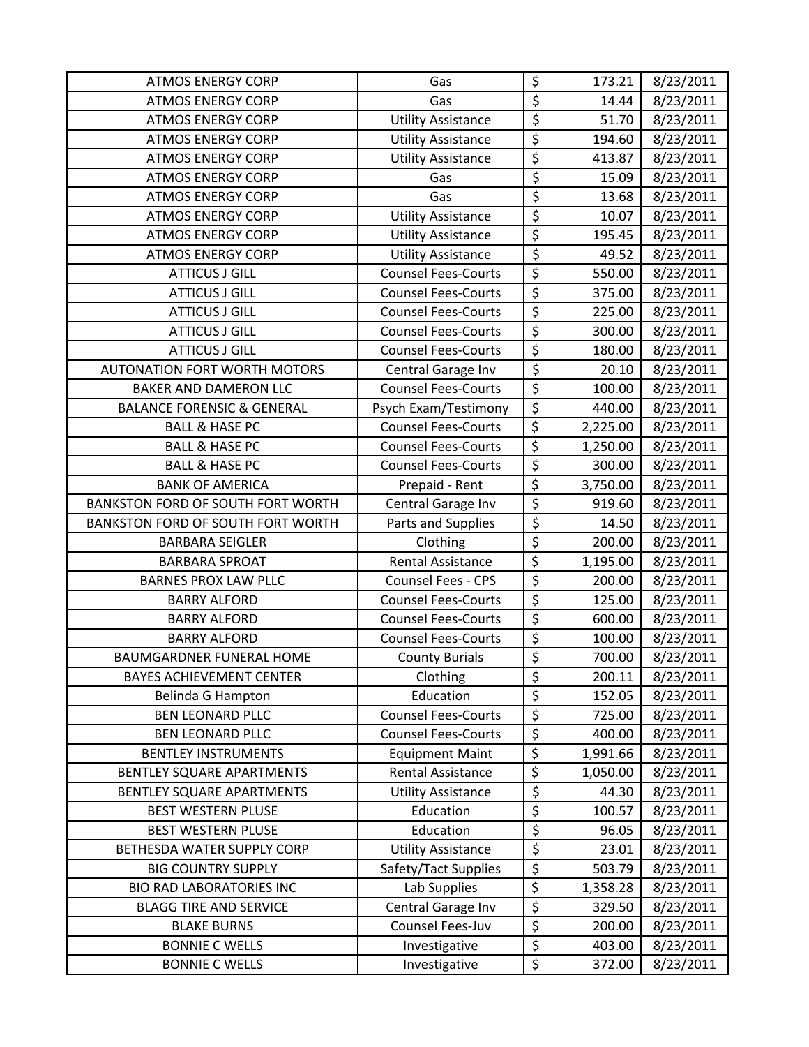| <b>ATMOS ENERGY CORP</b>              | Gas                        | \$                              | 173.21   | 8/23/2011 |
|---------------------------------------|----------------------------|---------------------------------|----------|-----------|
| <b>ATMOS ENERGY CORP</b>              | Gas                        | \$                              | 14.44    | 8/23/2011 |
| <b>ATMOS ENERGY CORP</b>              | <b>Utility Assistance</b>  | \$                              | 51.70    | 8/23/2011 |
| <b>ATMOS ENERGY CORP</b>              | <b>Utility Assistance</b>  | \$                              | 194.60   | 8/23/2011 |
| <b>ATMOS ENERGY CORP</b>              | <b>Utility Assistance</b>  | \$                              | 413.87   | 8/23/2011 |
| <b>ATMOS ENERGY CORP</b>              | Gas                        | $\overline{\xi}$                | 15.09    | 8/23/2011 |
| <b>ATMOS ENERGY CORP</b>              | Gas                        | \$                              | 13.68    | 8/23/2011 |
| <b>ATMOS ENERGY CORP</b>              | <b>Utility Assistance</b>  | \$                              | 10.07    | 8/23/2011 |
| <b>ATMOS ENERGY CORP</b>              | <b>Utility Assistance</b>  | \$                              | 195.45   | 8/23/2011 |
| <b>ATMOS ENERGY CORP</b>              | <b>Utility Assistance</b>  | $\overline{\xi}$                | 49.52    | 8/23/2011 |
| <b>ATTICUS J GILL</b>                 | <b>Counsel Fees-Courts</b> | $\overline{\xi}$                | 550.00   | 8/23/2011 |
| <b>ATTICUS J GILL</b>                 | <b>Counsel Fees-Courts</b> | \$                              | 375.00   | 8/23/2011 |
| <b>ATTICUS J GILL</b>                 | <b>Counsel Fees-Courts</b> | \$                              | 225.00   | 8/23/2011 |
| <b>ATTICUS J GILL</b>                 | <b>Counsel Fees-Courts</b> | \$                              | 300.00   | 8/23/2011 |
| <b>ATTICUS J GILL</b>                 | <b>Counsel Fees-Courts</b> | $\overline{\xi}$                | 180.00   | 8/23/2011 |
| <b>AUTONATION FORT WORTH MOTORS</b>   | Central Garage Inv         | \$                              | 20.10    | 8/23/2011 |
| <b>BAKER AND DAMERON LLC</b>          | <b>Counsel Fees-Courts</b> | $\overline{\xi}$                | 100.00   | 8/23/2011 |
| <b>BALANCE FORENSIC &amp; GENERAL</b> | Psych Exam/Testimony       | $\overline{\xi}$                | 440.00   | 8/23/2011 |
| <b>BALL &amp; HASE PC</b>             | <b>Counsel Fees-Courts</b> | \$                              | 2,225.00 | 8/23/2011 |
| <b>BALL &amp; HASE PC</b>             | <b>Counsel Fees-Courts</b> | \$                              | 1,250.00 | 8/23/2011 |
| <b>BALL &amp; HASE PC</b>             | <b>Counsel Fees-Courts</b> | \$                              | 300.00   | 8/23/2011 |
| <b>BANK OF AMERICA</b>                | Prepaid - Rent             | $\overline{\xi}$                | 3,750.00 | 8/23/2011 |
| BANKSTON FORD OF SOUTH FORT WORTH     | Central Garage Inv         | $\overline{\varsigma}$          | 919.60   | 8/23/2011 |
| BANKSTON FORD OF SOUTH FORT WORTH     | Parts and Supplies         | \$                              | 14.50    | 8/23/2011 |
| <b>BARBARA SEIGLER</b>                | Clothing                   | $\overline{\xi}$                | 200.00   | 8/23/2011 |
| <b>BARBARA SPROAT</b>                 | <b>Rental Assistance</b>   | \$                              | 1,195.00 | 8/23/2011 |
| <b>BARNES PROX LAW PLLC</b>           | <b>Counsel Fees - CPS</b>  | \$                              | 200.00   | 8/23/2011 |
| <b>BARRY ALFORD</b>                   | <b>Counsel Fees-Courts</b> | $\overline{\xi}$                | 125.00   | 8/23/2011 |
| <b>BARRY ALFORD</b>                   | <b>Counsel Fees-Courts</b> | \$                              | 600.00   | 8/23/2011 |
| <b>BARRY ALFORD</b>                   | <b>Counsel Fees-Courts</b> | $\overline{\boldsymbol{\zeta}}$ | 100.00   | 8/23/2011 |
| <b>BAUMGARDNER FUNERAL HOME</b>       | <b>County Burials</b>      | $\overline{\xi}$                | 700.00   | 8/23/2011 |
| <b>BAYES ACHIEVEMENT CENTER</b>       | Clothing                   | \$                              | 200.11   | 8/23/2011 |
| Belinda G Hampton                     | Education                  | \$                              | 152.05   | 8/23/2011 |
| <b>BEN LEONARD PLLC</b>               | <b>Counsel Fees-Courts</b> | \$                              | 725.00   | 8/23/2011 |
| <b>BEN LEONARD PLLC</b>               | <b>Counsel Fees-Courts</b> | \$                              | 400.00   | 8/23/2011 |
| <b>BENTLEY INSTRUMENTS</b>            | <b>Equipment Maint</b>     | $\overline{\xi}$                | 1,991.66 | 8/23/2011 |
| <b>BENTLEY SQUARE APARTMENTS</b>      | <b>Rental Assistance</b>   | $\overline{\xi}$                | 1,050.00 | 8/23/2011 |
| BENTLEY SQUARE APARTMENTS             | <b>Utility Assistance</b>  | \$                              | 44.30    | 8/23/2011 |
| BEST WESTERN PLUSE                    | Education                  | \$                              | 100.57   | 8/23/2011 |
| BEST WESTERN PLUSE                    | Education                  | \$                              | 96.05    | 8/23/2011 |
| BETHESDA WATER SUPPLY CORP            | <b>Utility Assistance</b>  | \$                              | 23.01    | 8/23/2011 |
| <b>BIG COUNTRY SUPPLY</b>             | Safety/Tact Supplies       | \$                              | 503.79   | 8/23/2011 |
| <b>BIO RAD LABORATORIES INC</b>       | Lab Supplies               | \$                              | 1,358.28 | 8/23/2011 |
| <b>BLAGG TIRE AND SERVICE</b>         | Central Garage Inv         | \$                              | 329.50   | 8/23/2011 |
| <b>BLAKE BURNS</b>                    | Counsel Fees-Juv           | \$                              | 200.00   | 8/23/2011 |
| <b>BONNIE C WELLS</b>                 | Investigative              | \$                              | 403.00   | 8/23/2011 |
| <b>BONNIE C WELLS</b>                 | Investigative              | \$                              | 372.00   | 8/23/2011 |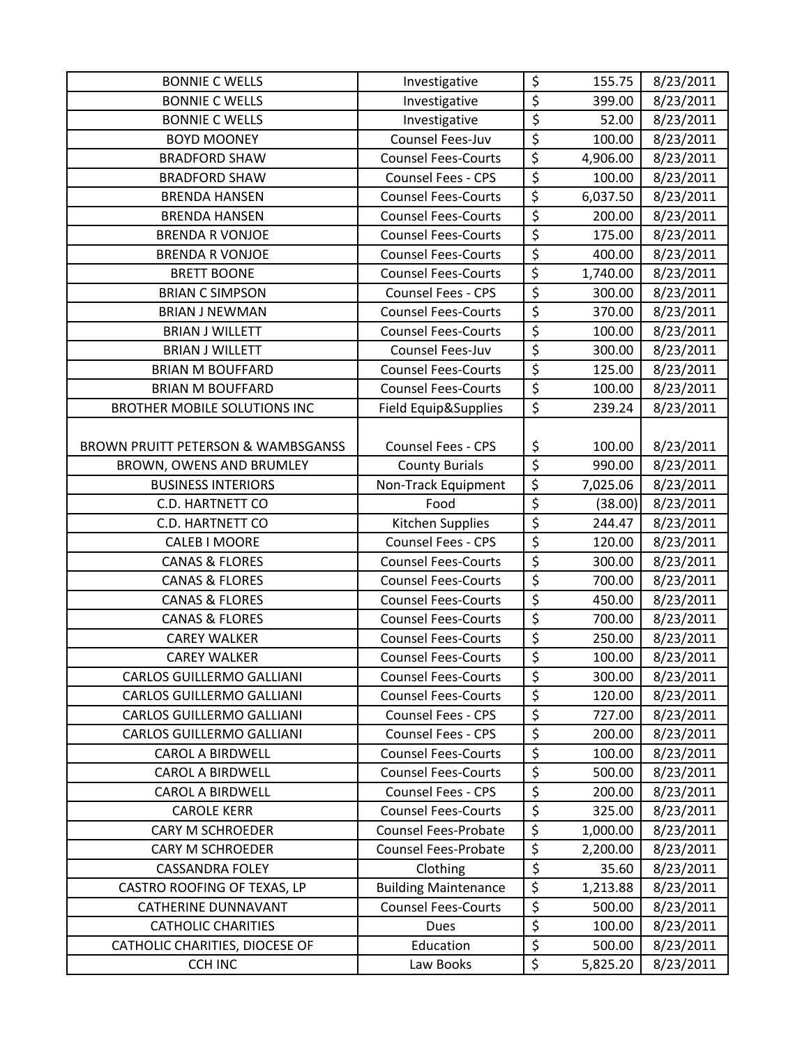| <b>BONNIE C WELLS</b>                         | Investigative               | \$                              | 155.75   | 8/23/2011 |
|-----------------------------------------------|-----------------------------|---------------------------------|----------|-----------|
| <b>BONNIE C WELLS</b>                         | Investigative               | \$                              | 399.00   | 8/23/2011 |
| <b>BONNIE C WELLS</b>                         | Investigative               | \$                              | 52.00    | 8/23/2011 |
| <b>BOYD MOONEY</b>                            | Counsel Fees-Juv            | \$                              | 100.00   | 8/23/2011 |
| <b>BRADFORD SHAW</b>                          | <b>Counsel Fees-Courts</b>  | $\overline{\xi}$                | 4,906.00 | 8/23/2011 |
| <b>BRADFORD SHAW</b>                          | Counsel Fees - CPS          | \$                              | 100.00   | 8/23/2011 |
| <b>BRENDA HANSEN</b>                          | <b>Counsel Fees-Courts</b>  | \$                              | 6,037.50 | 8/23/2011 |
| <b>BRENDA HANSEN</b>                          | <b>Counsel Fees-Courts</b>  | $\overline{\xi}$                | 200.00   | 8/23/2011 |
| <b>BRENDA R VONJOE</b>                        | <b>Counsel Fees-Courts</b>  | \$                              | 175.00   | 8/23/2011 |
| <b>BRENDA R VONJOE</b>                        | <b>Counsel Fees-Courts</b>  | $\overline{\xi}$                | 400.00   | 8/23/2011 |
| <b>BRETT BOONE</b>                            | <b>Counsel Fees-Courts</b>  | $\overline{\xi}$                | 1,740.00 | 8/23/2011 |
| <b>BRIAN C SIMPSON</b>                        | <b>Counsel Fees - CPS</b>   | $\overline{\boldsymbol{\zeta}}$ | 300.00   | 8/23/2011 |
| <b>BRIAN J NEWMAN</b>                         | <b>Counsel Fees-Courts</b>  | $\overline{\xi}$                | 370.00   | 8/23/2011 |
| <b>BRIAN J WILLETT</b>                        | <b>Counsel Fees-Courts</b>  | $\overline{\xi}$                | 100.00   | 8/23/2011 |
| <b>BRIAN J WILLETT</b>                        | Counsel Fees-Juv            | $\overline{\xi}$                | 300.00   | 8/23/2011 |
| <b>BRIAN M BOUFFARD</b>                       | <b>Counsel Fees-Courts</b>  | $\overline{\mathcal{S}}$        | 125.00   | 8/23/2011 |
| <b>BRIAN M BOUFFARD</b>                       | <b>Counsel Fees-Courts</b>  | $\overline{\xi}$                | 100.00   | 8/23/2011 |
| <b>BROTHER MOBILE SOLUTIONS INC</b>           | Field Equip&Supplies        | $\overline{\xi}$                | 239.24   | 8/23/2011 |
|                                               |                             |                                 |          |           |
| <b>BROWN PRUITT PETERSON &amp; WAMBSGANSS</b> | Counsel Fees - CPS          | \$                              | 100.00   | 8/23/2011 |
| BROWN, OWENS AND BRUMLEY                      | <b>County Burials</b>       | $\overline{\xi}$                | 990.00   | 8/23/2011 |
| <b>BUSINESS INTERIORS</b>                     | Non-Track Equipment         | $\overline{\boldsymbol{\zeta}}$ | 7,025.06 | 8/23/2011 |
| C.D. HARTNETT CO                              | Food                        | $\overline{\xi}$                | (38.00)  | 8/23/2011 |
| <b>C.D. HARTNETT CO</b>                       | Kitchen Supplies            | \$                              | 244.47   | 8/23/2011 |
| <b>CALEB I MOORE</b>                          | Counsel Fees - CPS          | \$                              | 120.00   | 8/23/2011 |
| <b>CANAS &amp; FLORES</b>                     | <b>Counsel Fees-Courts</b>  | \$                              | 300.00   | 8/23/2011 |
| <b>CANAS &amp; FLORES</b>                     | <b>Counsel Fees-Courts</b>  | $\overline{\xi}$                | 700.00   | 8/23/2011 |
| <b>CANAS &amp; FLORES</b>                     | <b>Counsel Fees-Courts</b>  | $\overline{\xi}$                | 450.00   | 8/23/2011 |
| <b>CANAS &amp; FLORES</b>                     | <b>Counsel Fees-Courts</b>  | $\overline{\xi}$                | 700.00   | 8/23/2011 |
| <b>CAREY WALKER</b>                           | <b>Counsel Fees-Courts</b>  | $\overline{\xi}$                | 250.00   | 8/23/2011 |
| <b>CAREY WALKER</b>                           | <b>Counsel Fees-Courts</b>  | \$                              | 100.00   | 8/23/2011 |
| <b>CARLOS GUILLERMO GALLIANI</b>              | <b>Counsel Fees-Courts</b>  | \$                              | 300.00   | 8/23/2011 |
| <b>CARLOS GUILLERMO GALLIANI</b>              | <b>Counsel Fees-Courts</b>  | \$                              | 120.00   | 8/23/2011 |
| <b>CARLOS GUILLERMO GALLIANI</b>              | <b>Counsel Fees - CPS</b>   | \$                              | 727.00   | 8/23/2011 |
| <b>CARLOS GUILLERMO GALLIANI</b>              | <b>Counsel Fees - CPS</b>   | \$                              | 200.00   | 8/23/2011 |
| <b>CAROL A BIRDWELL</b>                       | <b>Counsel Fees-Courts</b>  | $\overline{\xi}$                | 100.00   | 8/23/2011 |
| <b>CAROL A BIRDWELL</b>                       | <b>Counsel Fees-Courts</b>  | \$                              | 500.00   | 8/23/2011 |
| <b>CAROL A BIRDWELL</b>                       | Counsel Fees - CPS          | \$                              | 200.00   | 8/23/2011 |
| <b>CAROLE KERR</b>                            | <b>Counsel Fees-Courts</b>  | \$                              | 325.00   | 8/23/2011 |
| <b>CARY M SCHROEDER</b>                       | <b>Counsel Fees-Probate</b> | $\overline{\xi}$                | 1,000.00 | 8/23/2011 |
| <b>CARY M SCHROEDER</b>                       | <b>Counsel Fees-Probate</b> | $\overline{\xi}$                | 2,200.00 | 8/23/2011 |
| <b>CASSANDRA FOLEY</b>                        | Clothing                    | \$                              | 35.60    | 8/23/2011 |
| CASTRO ROOFING OF TEXAS, LP                   | <b>Building Maintenance</b> | \$                              | 1,213.88 | 8/23/2011 |
| <b>CATHERINE DUNNAVANT</b>                    | <b>Counsel Fees-Courts</b>  | $\overline{\varsigma}$          | 500.00   | 8/23/2011 |
| <b>CATHOLIC CHARITIES</b>                     | <b>Dues</b>                 | $\overline{\xi}$                | 100.00   | 8/23/2011 |
| CATHOLIC CHARITIES, DIOCESE OF                | Education                   | \$                              | 500.00   | 8/23/2011 |
| <b>CCH INC</b>                                | Law Books                   | \$                              | 5,825.20 | 8/23/2011 |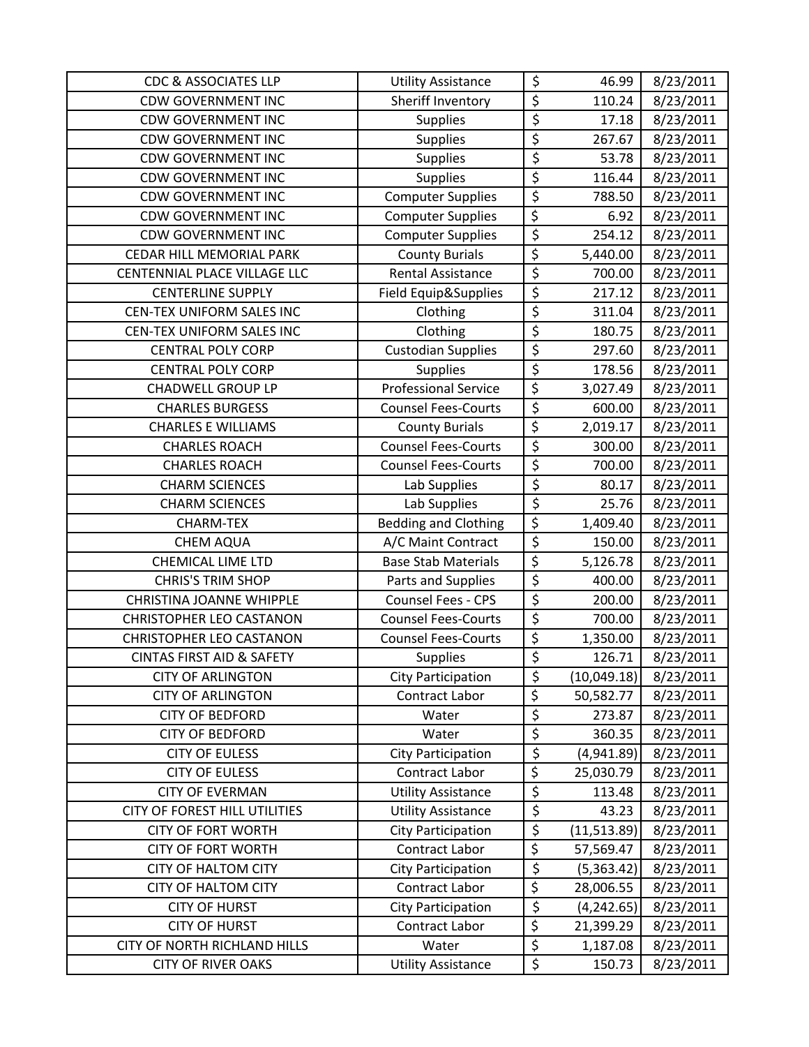| <b>CDC &amp; ASSOCIATES LLP</b>      | <b>Utility Assistance</b>   | \$                     | 46.99        | 8/23/2011 |
|--------------------------------------|-----------------------------|------------------------|--------------|-----------|
| <b>CDW GOVERNMENT INC</b>            | Sheriff Inventory           | \$                     | 110.24       | 8/23/2011 |
| <b>CDW GOVERNMENT INC</b>            | <b>Supplies</b>             | \$                     | 17.18        | 8/23/2011 |
| <b>CDW GOVERNMENT INC</b>            | Supplies                    | \$                     | 267.67       | 8/23/2011 |
| <b>CDW GOVERNMENT INC</b>            | <b>Supplies</b>             | \$                     | 53.78        | 8/23/2011 |
| <b>CDW GOVERNMENT INC</b>            | <b>Supplies</b>             | \$                     | 116.44       | 8/23/2011 |
| <b>CDW GOVERNMENT INC</b>            | <b>Computer Supplies</b>    | \$                     | 788.50       | 8/23/2011 |
| <b>CDW GOVERNMENT INC</b>            | <b>Computer Supplies</b>    | \$                     | 6.92         | 8/23/2011 |
| <b>CDW GOVERNMENT INC</b>            | <b>Computer Supplies</b>    | \$                     | 254.12       | 8/23/2011 |
| CEDAR HILL MEMORIAL PARK             | <b>County Burials</b>       | $\overline{\xi}$       | 5,440.00     | 8/23/2011 |
| CENTENNIAL PLACE VILLAGE LLC         | <b>Rental Assistance</b>    | \$                     | 700.00       | 8/23/2011 |
| <b>CENTERLINE SUPPLY</b>             | Field Equip&Supplies        | \$                     | 217.12       | 8/23/2011 |
| CEN-TEX UNIFORM SALES INC            | Clothing                    | \$                     | 311.04       | 8/23/2011 |
| CEN-TEX UNIFORM SALES INC            | Clothing                    | \$                     | 180.75       | 8/23/2011 |
| <b>CENTRAL POLY CORP</b>             | <b>Custodian Supplies</b>   | \$                     | 297.60       | 8/23/2011 |
| <b>CENTRAL POLY CORP</b>             | Supplies                    | $\overline{\varsigma}$ | 178.56       | 8/23/2011 |
| <b>CHADWELL GROUP LP</b>             | <b>Professional Service</b> | $\overline{\xi}$       | 3,027.49     | 8/23/2011 |
| <b>CHARLES BURGESS</b>               | <b>Counsel Fees-Courts</b>  | \$                     | 600.00       | 8/23/2011 |
| <b>CHARLES E WILLIAMS</b>            | <b>County Burials</b>       | \$                     | 2,019.17     | 8/23/2011 |
| <b>CHARLES ROACH</b>                 | <b>Counsel Fees-Courts</b>  | \$                     | 300.00       | 8/23/2011 |
| <b>CHARLES ROACH</b>                 | <b>Counsel Fees-Courts</b>  | \$                     | 700.00       | 8/23/2011 |
| <b>CHARM SCIENCES</b>                | Lab Supplies                | \$                     | 80.17        | 8/23/2011 |
| <b>CHARM SCIENCES</b>                | Lab Supplies                | \$                     | 25.76        | 8/23/2011 |
| <b>CHARM-TEX</b>                     | <b>Bedding and Clothing</b> | \$                     | 1,409.40     | 8/23/2011 |
| <b>CHEM AQUA</b>                     | A/C Maint Contract          | \$                     | 150.00       | 8/23/2011 |
| <b>CHEMICAL LIME LTD</b>             | <b>Base Stab Materials</b>  | \$                     | 5,126.78     | 8/23/2011 |
| <b>CHRIS'S TRIM SHOP</b>             | Parts and Supplies          | \$                     | 400.00       | 8/23/2011 |
| <b>CHRISTINA JOANNE WHIPPLE</b>      | Counsel Fees - CPS          | \$                     | 200.00       | 8/23/2011 |
| <b>CHRISTOPHER LEO CASTANON</b>      | <b>Counsel Fees-Courts</b>  | \$                     | 700.00       | 8/23/2011 |
| <b>CHRISTOPHER LEO CASTANON</b>      | <b>Counsel Fees-Courts</b>  | \$                     | 1,350.00     | 8/23/2011 |
| <b>CINTAS FIRST AID &amp; SAFETY</b> | <b>Supplies</b>             | \$                     | 126.71       | 8/23/2011 |
| <b>CITY OF ARLINGTON</b>             | <b>City Participation</b>   | \$                     | (10,049.18)  | 8/23/2011 |
| <b>CITY OF ARLINGTON</b>             | Contract Labor              | $\overline{\xi}$       | 50,582.77    | 8/23/2011 |
| <b>CITY OF BEDFORD</b>               | Water                       | \$                     | 273.87       | 8/23/2011 |
| <b>CITY OF BEDFORD</b>               | Water                       | \$                     | 360.35       | 8/23/2011 |
| <b>CITY OF EULESS</b>                | <b>City Participation</b>   | \$                     | (4,941.89)   | 8/23/2011 |
| <b>CITY OF EULESS</b>                | Contract Labor              | \$                     | 25,030.79    | 8/23/2011 |
| <b>CITY OF EVERMAN</b>               | <b>Utility Assistance</b>   | \$                     | 113.48       | 8/23/2011 |
| CITY OF FOREST HILL UTILITIES        | <b>Utility Assistance</b>   | \$                     | 43.23        | 8/23/2011 |
| <b>CITY OF FORT WORTH</b>            | <b>City Participation</b>   | $\overline{\xi}$       | (11, 513.89) | 8/23/2011 |
| <b>CITY OF FORT WORTH</b>            | Contract Labor              | \$                     | 57,569.47    | 8/23/2011 |
| <b>CITY OF HALTOM CITY</b>           | <b>City Participation</b>   | \$                     | (5,363.42)   | 8/23/2011 |
| <b>CITY OF HALTOM CITY</b>           | Contract Labor              | $\overline{\xi}$       | 28,006.55    | 8/23/2011 |
| <b>CITY OF HURST</b>                 | City Participation          | \$                     | (4, 242.65)  | 8/23/2011 |
| <b>CITY OF HURST</b>                 | Contract Labor              | $\overline{\xi}$       | 21,399.29    | 8/23/2011 |
| CITY OF NORTH RICHLAND HILLS         | Water                       | \$                     | 1,187.08     | 8/23/2011 |
| <b>CITY OF RIVER OAKS</b>            | <b>Utility Assistance</b>   | \$                     | 150.73       | 8/23/2011 |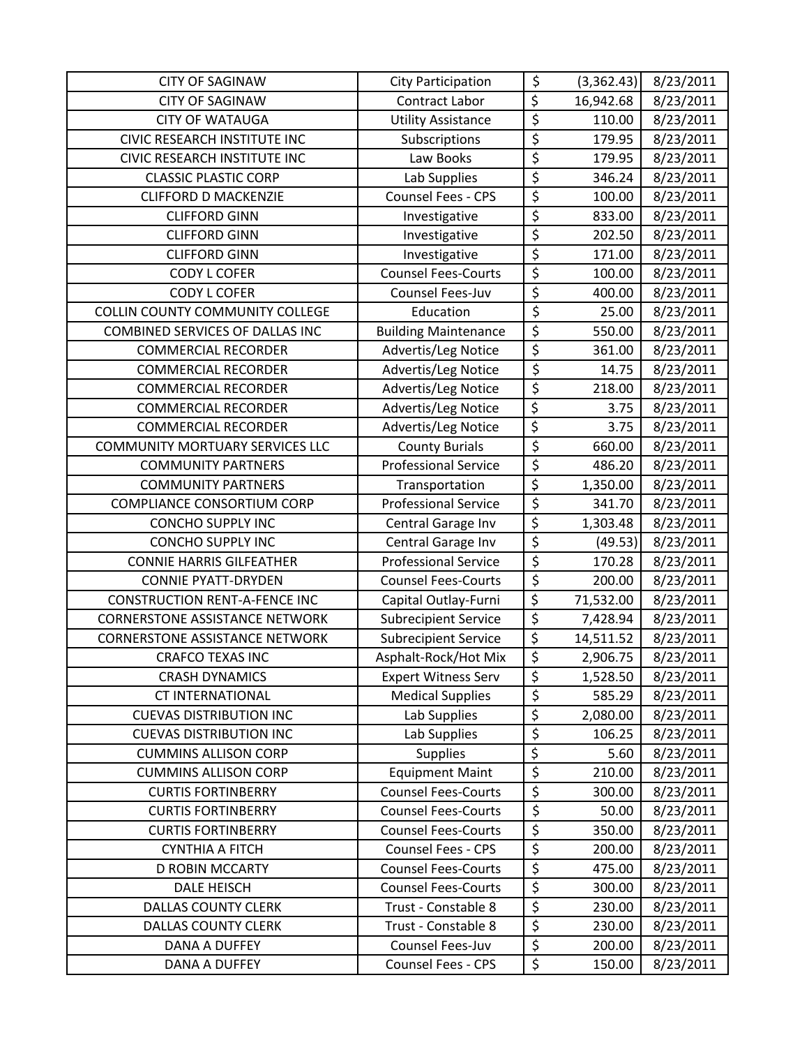| <b>CITY OF SAGINAW</b>                 | <b>City Participation</b>   | \$                     | (3,362.43) | 8/23/2011 |
|----------------------------------------|-----------------------------|------------------------|------------|-----------|
| <b>CITY OF SAGINAW</b>                 | <b>Contract Labor</b>       | \$                     | 16,942.68  | 8/23/2011 |
| <b>CITY OF WATAUGA</b>                 | <b>Utility Assistance</b>   | \$                     | 110.00     | 8/23/2011 |
| CIVIC RESEARCH INSTITUTE INC           | Subscriptions               | \$                     | 179.95     | 8/23/2011 |
| CIVIC RESEARCH INSTITUTE INC           | Law Books                   | $\overline{\xi}$       | 179.95     | 8/23/2011 |
| <b>CLASSIC PLASTIC CORP</b>            | Lab Supplies                | \$                     | 346.24     | 8/23/2011 |
| <b>CLIFFORD D MACKENZIE</b>            | Counsel Fees - CPS          | \$                     | 100.00     | 8/23/2011 |
| <b>CLIFFORD GINN</b>                   | Investigative               | \$                     | 833.00     | 8/23/2011 |
| <b>CLIFFORD GINN</b>                   | Investigative               | $\overline{\xi}$       | 202.50     | 8/23/2011 |
| <b>CLIFFORD GINN</b>                   | Investigative               | $\overline{\xi}$       | 171.00     | 8/23/2011 |
| <b>CODY L COFER</b>                    | <b>Counsel Fees-Courts</b>  | \$                     | 100.00     | 8/23/2011 |
| <b>CODY L COFER</b>                    | Counsel Fees-Juv            | \$                     | 400.00     | 8/23/2011 |
| <b>COLLIN COUNTY COMMUNITY COLLEGE</b> | Education                   | $\overline{\varsigma}$ | 25.00      | 8/23/2011 |
| COMBINED SERVICES OF DALLAS INC        | <b>Building Maintenance</b> | \$                     | 550.00     | 8/23/2011 |
| <b>COMMERCIAL RECORDER</b>             | Advertis/Leg Notice         | \$                     | 361.00     | 8/23/2011 |
| <b>COMMERCIAL RECORDER</b>             | Advertis/Leg Notice         | $\overline{\xi}$       | 14.75      | 8/23/2011 |
| <b>COMMERCIAL RECORDER</b>             | Advertis/Leg Notice         | $\overline{\xi}$       | 218.00     | 8/23/2011 |
| <b>COMMERCIAL RECORDER</b>             | Advertis/Leg Notice         | \$                     | 3.75       | 8/23/2011 |
| <b>COMMERCIAL RECORDER</b>             | Advertis/Leg Notice         | $\overline{\xi}$       | 3.75       | 8/23/2011 |
| <b>COMMUNITY MORTUARY SERVICES LLC</b> | <b>County Burials</b>       | $\overline{\xi}$       | 660.00     | 8/23/2011 |
| <b>COMMUNITY PARTNERS</b>              | <b>Professional Service</b> | $\overline{\xi}$       | 486.20     | 8/23/2011 |
| <b>COMMUNITY PARTNERS</b>              | Transportation              | $\overline{\xi}$       | 1,350.00   | 8/23/2011 |
| <b>COMPLIANCE CONSORTIUM CORP</b>      | <b>Professional Service</b> | $\overline{\varsigma}$ | 341.70     | 8/23/2011 |
| <b>CONCHO SUPPLY INC</b>               | Central Garage Inv          | \$                     | 1,303.48   | 8/23/2011 |
| <b>CONCHO SUPPLY INC</b>               | Central Garage Inv          | \$                     | (49.53)    | 8/23/2011 |
| <b>CONNIE HARRIS GILFEATHER</b>        | <b>Professional Service</b> | $\overline{\xi}$       | 170.28     | 8/23/2011 |
| <b>CONNIE PYATT-DRYDEN</b>             | <b>Counsel Fees-Courts</b>  | $\overline{\xi}$       | 200.00     | 8/23/2011 |
| <b>CONSTRUCTION RENT-A-FENCE INC</b>   | Capital Outlay-Furni        | \$                     | 71,532.00  | 8/23/2011 |
| <b>CORNERSTONE ASSISTANCE NETWORK</b>  | <b>Subrecipient Service</b> | $\overline{\xi}$       | 7,428.94   | 8/23/2011 |
| <b>CORNERSTONE ASSISTANCE NETWORK</b>  | <b>Subrecipient Service</b> | $\overline{\xi}$       | 14,511.52  | 8/23/2011 |
| <b>CRAFCO TEXAS INC</b>                | Asphalt-Rock/Hot Mix        | $\overline{\xi}$       | 2,906.75   | 8/23/2011 |
| <b>CRASH DYNAMICS</b>                  | <b>Expert Witness Serv</b>  | \$                     | 1,528.50   | 8/23/2011 |
| <b>CT INTERNATIONAL</b>                | <b>Medical Supplies</b>     | \$                     | 585.29     | 8/23/2011 |
| <b>CUEVAS DISTRIBUTION INC</b>         | Lab Supplies                | $\overline{\varsigma}$ | 2,080.00   | 8/23/2011 |
| <b>CUEVAS DISTRIBUTION INC</b>         | Lab Supplies                | \$                     | 106.25     | 8/23/2011 |
| <b>CUMMINS ALLISON CORP</b>            | <b>Supplies</b>             | \$                     | 5.60       | 8/23/2011 |
| <b>CUMMINS ALLISON CORP</b>            | <b>Equipment Maint</b>      | \$                     | 210.00     | 8/23/2011 |
| <b>CURTIS FORTINBERRY</b>              | <b>Counsel Fees-Courts</b>  | \$                     | 300.00     | 8/23/2011 |
| <b>CURTIS FORTINBERRY</b>              | <b>Counsel Fees-Courts</b>  | $\overline{\xi}$       | 50.00      | 8/23/2011 |
| <b>CURTIS FORTINBERRY</b>              | <b>Counsel Fees-Courts</b>  | $\overline{\varsigma}$ | 350.00     | 8/23/2011 |
| <b>CYNTHIA A FITCH</b>                 | Counsel Fees - CPS          | $\overline{\xi}$       | 200.00     | 8/23/2011 |
| <b>D ROBIN MCCARTY</b>                 | <b>Counsel Fees-Courts</b>  | \$                     | 475.00     | 8/23/2011 |
| <b>DALE HEISCH</b>                     | <b>Counsel Fees-Courts</b>  | $\overline{\xi}$       | 300.00     | 8/23/2011 |
| <b>DALLAS COUNTY CLERK</b>             | Trust - Constable 8         | $\overline{\varsigma}$ | 230.00     | 8/23/2011 |
| <b>DALLAS COUNTY CLERK</b>             | Trust - Constable 8         | $\overline{\xi}$       | 230.00     | 8/23/2011 |
| DANA A DUFFEY                          | Counsel Fees-Juv            | \$                     | 200.00     | 8/23/2011 |
| DANA A DUFFEY                          | Counsel Fees - CPS          | \$                     | 150.00     | 8/23/2011 |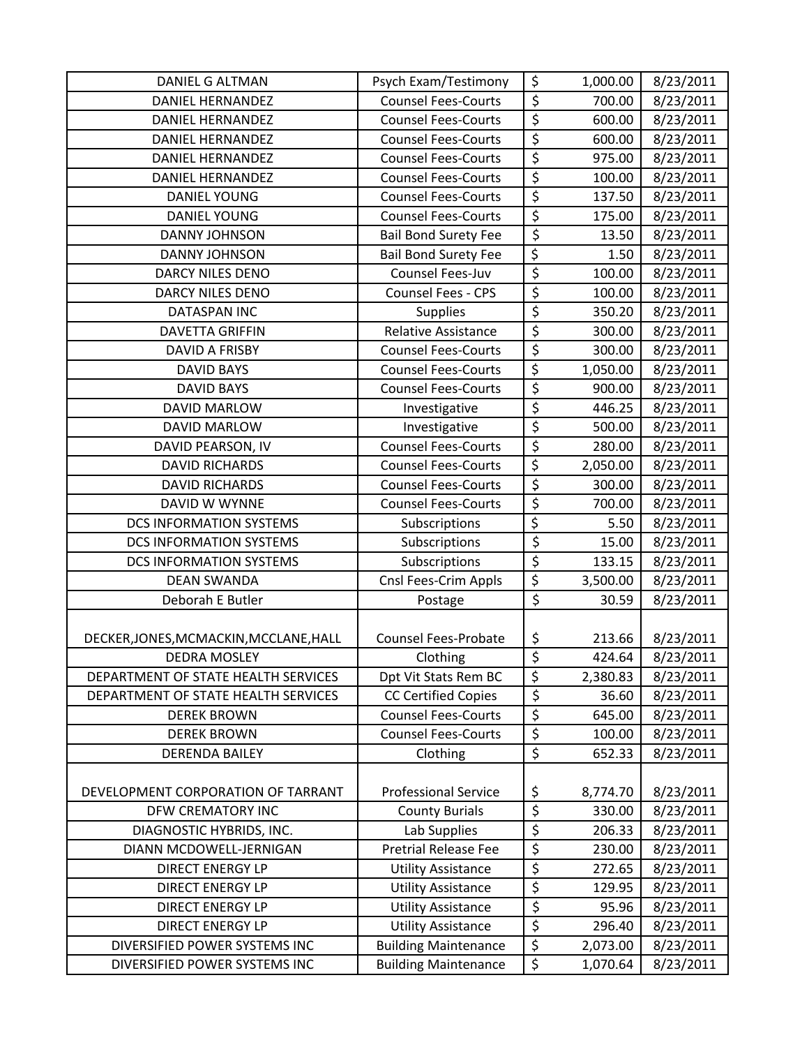| DANIEL G ALTMAN                        | Psych Exam/Testimony        | \$               | 1,000.00 | 8/23/2011 |
|----------------------------------------|-----------------------------|------------------|----------|-----------|
| <b>DANIEL HERNANDEZ</b>                | <b>Counsel Fees-Courts</b>  | \$               | 700.00   | 8/23/2011 |
| <b>DANIEL HERNANDEZ</b>                | <b>Counsel Fees-Courts</b>  | \$               | 600.00   | 8/23/2011 |
| <b>DANIEL HERNANDEZ</b>                | <b>Counsel Fees-Courts</b>  | \$               | 600.00   | 8/23/2011 |
| DANIEL HERNANDEZ                       | <b>Counsel Fees-Courts</b>  | \$               | 975.00   | 8/23/2011 |
| <b>DANIEL HERNANDEZ</b>                | <b>Counsel Fees-Courts</b>  | $\overline{\xi}$ | 100.00   | 8/23/2011 |
| <b>DANIEL YOUNG</b>                    | <b>Counsel Fees-Courts</b>  | $\overline{\xi}$ | 137.50   | 8/23/2011 |
| <b>DANIEL YOUNG</b>                    | <b>Counsel Fees-Courts</b>  | $\overline{\xi}$ | 175.00   | 8/23/2011 |
| <b>DANNY JOHNSON</b>                   | <b>Bail Bond Surety Fee</b> | $\overline{\xi}$ | 13.50    | 8/23/2011 |
| DANNY JOHNSON                          | <b>Bail Bond Surety Fee</b> | $\overline{\xi}$ | 1.50     | 8/23/2011 |
| <b>DARCY NILES DENO</b>                | Counsel Fees-Juv            | $\overline{\xi}$ | 100.00   | 8/23/2011 |
| <b>DARCY NILES DENO</b>                | Counsel Fees - CPS          | \$               | 100.00   | 8/23/2011 |
| <b>DATASPAN INC</b>                    | <b>Supplies</b>             | \$               | 350.20   | 8/23/2011 |
| <b>DAVETTA GRIFFIN</b>                 | Relative Assistance         | \$               | 300.00   | 8/23/2011 |
| <b>DAVID A FRISBY</b>                  | <b>Counsel Fees-Courts</b>  | $\overline{\xi}$ | 300.00   | 8/23/2011 |
| <b>DAVID BAYS</b>                      | <b>Counsel Fees-Courts</b>  | \$               | 1,050.00 | 8/23/2011 |
| <b>DAVID BAYS</b>                      | <b>Counsel Fees-Courts</b>  | \$               | 900.00   | 8/23/2011 |
| <b>DAVID MARLOW</b>                    | Investigative               | \$               | 446.25   | 8/23/2011 |
| <b>DAVID MARLOW</b>                    | Investigative               | \$               | 500.00   | 8/23/2011 |
| DAVID PEARSON, IV                      | <b>Counsel Fees-Courts</b>  | \$               | 280.00   | 8/23/2011 |
| <b>DAVID RICHARDS</b>                  | <b>Counsel Fees-Courts</b>  | \$               | 2,050.00 | 8/23/2011 |
| <b>DAVID RICHARDS</b>                  | <b>Counsel Fees-Courts</b>  | \$               | 300.00   | 8/23/2011 |
| DAVID W WYNNE                          | <b>Counsel Fees-Courts</b>  | $\overline{\xi}$ | 700.00   | 8/23/2011 |
| <b>DCS INFORMATION SYSTEMS</b>         | Subscriptions               | $\overline{\xi}$ | 5.50     | 8/23/2011 |
| <b>DCS INFORMATION SYSTEMS</b>         | Subscriptions               | \$               | 15.00    | 8/23/2011 |
| <b>DCS INFORMATION SYSTEMS</b>         | Subscriptions               | $\overline{\xi}$ | 133.15   | 8/23/2011 |
| <b>DEAN SWANDA</b>                     | Cnsl Fees-Crim Appls        | \$               | 3,500.00 | 8/23/2011 |
| Deborah E Butler                       | Postage                     | \$               | 30.59    | 8/23/2011 |
|                                        |                             |                  |          |           |
| DECKER, JONES, MCMACKIN, MCCLANE, HALL | <b>Counsel Fees-Probate</b> | \$               | 213.66   | 8/23/2011 |
| <b>DEDRA MOSLEY</b>                    | Clothing                    | $\overline{\xi}$ | 424.64   | 8/23/2011 |
| DEPARTMENT OF STATE HEALTH SERVICES    | Dpt Vit Stats Rem BC        | \$               | 2,380.83 | 8/23/2011 |
| DEPARTMENT OF STATE HEALTH SERVICES    | <b>CC Certified Copies</b>  | \$               | 36.60    | 8/23/2011 |
| <b>DEREK BROWN</b>                     | <b>Counsel Fees-Courts</b>  | \$               | 645.00   | 8/23/2011 |
| <b>DEREK BROWN</b>                     | <b>Counsel Fees-Courts</b>  | \$               | 100.00   | 8/23/2011 |
| DERENDA BAILEY                         | Clothing                    | $\overline{\xi}$ | 652.33   | 8/23/2011 |
|                                        |                             |                  |          |           |
| DEVELOPMENT CORPORATION OF TARRANT     | <b>Professional Service</b> | \$               | 8,774.70 | 8/23/2011 |
| DFW CREMATORY INC                      | <b>County Burials</b>       | $\overline{\xi}$ | 330.00   | 8/23/2011 |
| DIAGNOSTIC HYBRIDS, INC.               | Lab Supplies                | \$               | 206.33   | 8/23/2011 |
| DIANN MCDOWELL-JERNIGAN                | <b>Pretrial Release Fee</b> | \$               | 230.00   | 8/23/2011 |
| <b>DIRECT ENERGY LP</b>                | <b>Utility Assistance</b>   | \$               | 272.65   | 8/23/2011 |
| <b>DIRECT ENERGY LP</b>                | <b>Utility Assistance</b>   | \$               | 129.95   | 8/23/2011 |
| <b>DIRECT ENERGY LP</b>                | <b>Utility Assistance</b>   | \$               | 95.96    | 8/23/2011 |
| <b>DIRECT ENERGY LP</b>                | <b>Utility Assistance</b>   | \$               | 296.40   | 8/23/2011 |
| DIVERSIFIED POWER SYSTEMS INC          | <b>Building Maintenance</b> | \$               | 2,073.00 | 8/23/2011 |
| DIVERSIFIED POWER SYSTEMS INC          | <b>Building Maintenance</b> | \$               | 1,070.64 | 8/23/2011 |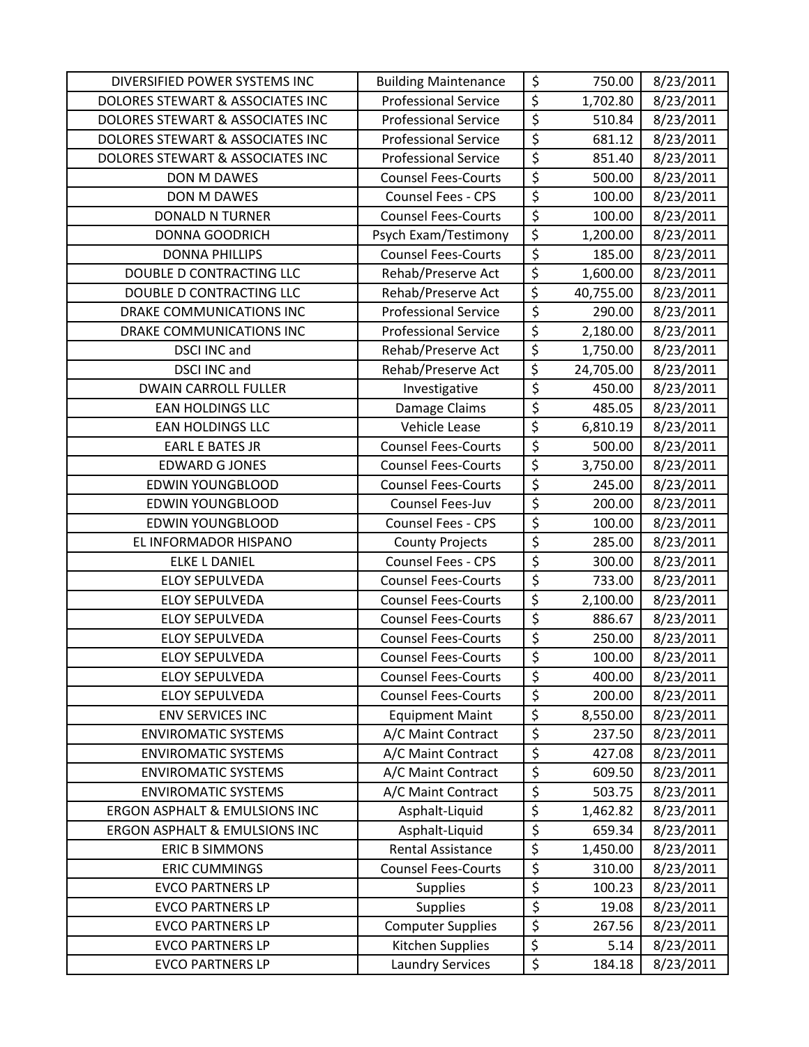| DIVERSIFIED POWER SYSTEMS INC            | <b>Building Maintenance</b> | \$                                  | 750.00    | 8/23/2011 |
|------------------------------------------|-----------------------------|-------------------------------------|-----------|-----------|
| DOLORES STEWART & ASSOCIATES INC         | <b>Professional Service</b> | $\overline{\xi}$                    | 1,702.80  | 8/23/2011 |
| DOLORES STEWART & ASSOCIATES INC         | <b>Professional Service</b> | $\overline{\xi}$                    | 510.84    | 8/23/2011 |
| DOLORES STEWART & ASSOCIATES INC         | <b>Professional Service</b> | $\overline{\xi}$                    | 681.12    | 8/23/2011 |
| DOLORES STEWART & ASSOCIATES INC         | <b>Professional Service</b> | $\overline{\xi}$                    | 851.40    | 8/23/2011 |
| DON M DAWES                              | <b>Counsel Fees-Courts</b>  | $\overline{\xi}$                    | 500.00    | 8/23/2011 |
| DON M DAWES                              | Counsel Fees - CPS          | $\overline{\xi}$                    | 100.00    | 8/23/2011 |
| <b>DONALD N TURNER</b>                   | <b>Counsel Fees-Courts</b>  | \$                                  | 100.00    | 8/23/2011 |
| <b>DONNA GOODRICH</b>                    | Psych Exam/Testimony        | \$                                  | 1,200.00  | 8/23/2011 |
| <b>DONNA PHILLIPS</b>                    | <b>Counsel Fees-Courts</b>  | $\overline{\xi}$                    | 185.00    | 8/23/2011 |
| DOUBLE D CONTRACTING LLC                 | Rehab/Preserve Act          | \$                                  | 1,600.00  | 8/23/2011 |
| DOUBLE D CONTRACTING LLC                 | Rehab/Preserve Act          | \$                                  | 40,755.00 | 8/23/2011 |
| DRAKE COMMUNICATIONS INC                 | <b>Professional Service</b> | $\overline{\xi}$                    | 290.00    | 8/23/2011 |
| DRAKE COMMUNICATIONS INC                 | <b>Professional Service</b> | $\overline{\xi}$                    | 2,180.00  | 8/23/2011 |
| <b>DSCI INC and</b>                      | Rehab/Preserve Act          | $\overline{\varsigma}$              | 1,750.00  | 8/23/2011 |
| <b>DSCI INC and</b>                      | Rehab/Preserve Act          | \$                                  | 24,705.00 | 8/23/2011 |
| <b>DWAIN CARROLL FULLER</b>              | Investigative               | $\overline{\xi}$                    | 450.00    | 8/23/2011 |
| <b>EAN HOLDINGS LLC</b>                  | Damage Claims               | $\overline{\xi}$                    | 485.05    | 8/23/2011 |
| <b>EAN HOLDINGS LLC</b>                  | Vehicle Lease               | $\overline{\xi}$                    | 6,810.19  | 8/23/2011 |
| <b>EARL E BATES JR</b>                   | <b>Counsel Fees-Courts</b>  | \$                                  | 500.00    | 8/23/2011 |
| <b>EDWARD G JONES</b>                    | <b>Counsel Fees-Courts</b>  | $\overline{\xi}$                    | 3,750.00  | 8/23/2011 |
| <b>EDWIN YOUNGBLOOD</b>                  | <b>Counsel Fees-Courts</b>  | $\overline{\xi}$                    | 245.00    | 8/23/2011 |
| <b>EDWIN YOUNGBLOOD</b>                  | Counsel Fees-Juv            | $\overline{\varsigma}$              | 200.00    | 8/23/2011 |
| <b>EDWIN YOUNGBLOOD</b>                  | Counsel Fees - CPS          | $\overline{\xi}$                    | 100.00    | 8/23/2011 |
| EL INFORMADOR HISPANO                    | <b>County Projects</b>      | $\overline{\xi}$                    | 285.00    | 8/23/2011 |
| <b>ELKE L DANIEL</b>                     | Counsel Fees - CPS          | \$                                  | 300.00    | 8/23/2011 |
| <b>ELOY SEPULVEDA</b>                    | <b>Counsel Fees-Courts</b>  | $\overline{\xi}$                    | 733.00    | 8/23/2011 |
| <b>ELOY SEPULVEDA</b>                    | <b>Counsel Fees-Courts</b>  | $\overline{\xi}$                    | 2,100.00  | 8/23/2011 |
| <b>ELOY SEPULVEDA</b>                    | <b>Counsel Fees-Courts</b>  | \$                                  | 886.67    | 8/23/2011 |
| <b>ELOY SEPULVEDA</b>                    | <b>Counsel Fees-Courts</b>  | $\overline{\varsigma}$              | 250.00    | 8/23/2011 |
| <b>ELOY SEPULVEDA</b>                    | <b>Counsel Fees-Courts</b>  | $\overline{\xi}$                    | 100.00    | 8/23/2011 |
| <b>ELOY SEPULVEDA</b>                    | <b>Counsel Fees-Courts</b>  | \$                                  | 400.00    | 8/23/2011 |
| <b>ELOY SEPULVEDA</b>                    | <b>Counsel Fees-Courts</b>  | $\overline{\varsigma}$              | 200.00    | 8/23/2011 |
| <b>ENV SERVICES INC</b>                  | <b>Equipment Maint</b>      | \$                                  | 8,550.00  | 8/23/2011 |
| <b>ENVIROMATIC SYSTEMS</b>               | A/C Maint Contract          | $\overline{\xi}$                    | 237.50    | 8/23/2011 |
| <b>ENVIROMATIC SYSTEMS</b>               | A/C Maint Contract          | $\overline{\xi}$                    | 427.08    | 8/23/2011 |
| <b>ENVIROMATIC SYSTEMS</b>               | A/C Maint Contract          | $\overline{\varsigma}$              | 609.50    | 8/23/2011 |
| <b>ENVIROMATIC SYSTEMS</b>               | A/C Maint Contract          | $\overline{\xi}$                    | 503.75    | 8/23/2011 |
| <b>ERGON ASPHALT &amp; EMULSIONS INC</b> | Asphalt-Liquid              | \$                                  | 1,462.82  | 8/23/2011 |
| <b>ERGON ASPHALT &amp; EMULSIONS INC</b> | Asphalt-Liquid              | $\overline{\varsigma}$              | 659.34    | 8/23/2011 |
| <b>ERIC B SIMMONS</b>                    | <b>Rental Assistance</b>    | $\overline{\varsigma}$              | 1,450.00  | 8/23/2011 |
| <b>ERIC CUMMINGS</b>                     | <b>Counsel Fees-Courts</b>  | \$                                  | 310.00    | 8/23/2011 |
| <b>EVCO PARTNERS LP</b>                  | <b>Supplies</b>             | $\overline{\boldsymbol{\varsigma}}$ | 100.23    | 8/23/2011 |
| <b>EVCO PARTNERS LP</b>                  | <b>Supplies</b>             | \$                                  | 19.08     | 8/23/2011 |
| <b>EVCO PARTNERS LP</b>                  | <b>Computer Supplies</b>    | $\overline{\xi}$                    | 267.56    | 8/23/2011 |
| <b>EVCO PARTNERS LP</b>                  | Kitchen Supplies            | \$                                  | 5.14      | 8/23/2011 |
| <b>EVCO PARTNERS LP</b>                  | <b>Laundry Services</b>     | \$                                  | 184.18    | 8/23/2011 |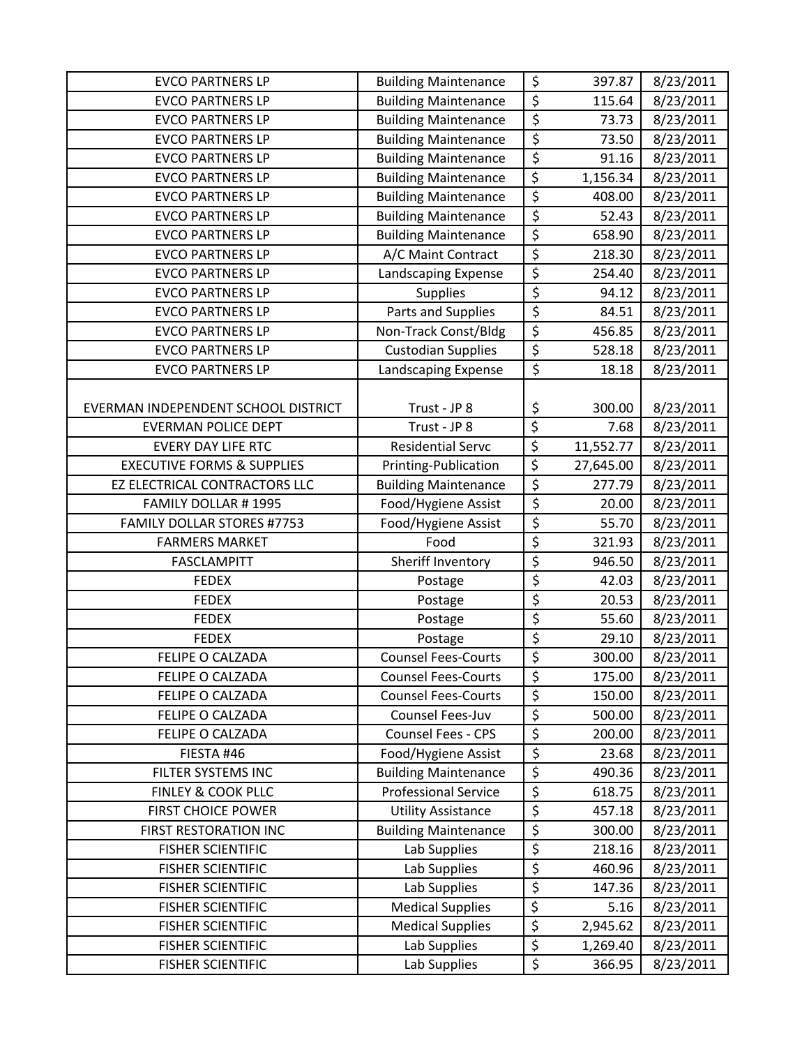| <b>EVCO PARTNERS LP</b>               | <b>Building Maintenance</b> | \$               | 397.87    | 8/23/2011 |
|---------------------------------------|-----------------------------|------------------|-----------|-----------|
| <b>EVCO PARTNERS LP</b>               | <b>Building Maintenance</b> | \$               | 115.64    | 8/23/2011 |
| <b>EVCO PARTNERS LP</b>               | <b>Building Maintenance</b> | \$               | 73.73     | 8/23/2011 |
| <b>EVCO PARTNERS LP</b>               | <b>Building Maintenance</b> | \$               | 73.50     | 8/23/2011 |
| <b>EVCO PARTNERS LP</b>               | <b>Building Maintenance</b> | \$               | 91.16     | 8/23/2011 |
| <b>EVCO PARTNERS LP</b>               | <b>Building Maintenance</b> | $\overline{\xi}$ | 1,156.34  | 8/23/2011 |
| <b>EVCO PARTNERS LP</b>               | <b>Building Maintenance</b> | \$               | 408.00    | 8/23/2011 |
| <b>EVCO PARTNERS LP</b>               | <b>Building Maintenance</b> | \$               | 52.43     | 8/23/2011 |
| <b>EVCO PARTNERS LP</b>               | <b>Building Maintenance</b> | \$               | 658.90    | 8/23/2011 |
| <b>EVCO PARTNERS LP</b>               | A/C Maint Contract          | \$               | 218.30    | 8/23/2011 |
| <b>EVCO PARTNERS LP</b>               | Landscaping Expense         | $\overline{\xi}$ | 254.40    | 8/23/2011 |
| <b>EVCO PARTNERS LP</b>               | <b>Supplies</b>             | \$               | 94.12     | 8/23/2011 |
| <b>EVCO PARTNERS LP</b>               | Parts and Supplies          | \$               | 84.51     | 8/23/2011 |
| <b>EVCO PARTNERS LP</b>               | Non-Track Const/Bldg        | \$               | 456.85    | 8/23/2011 |
| <b>EVCO PARTNERS LP</b>               | <b>Custodian Supplies</b>   | \$               | 528.18    | 8/23/2011 |
| <b>EVCO PARTNERS LP</b>               | Landscaping Expense         | \$               | 18.18     | 8/23/2011 |
| EVERMAN INDEPENDENT SCHOOL DISTRICT   | Trust - JP 8                | \$               | 300.00    | 8/23/2011 |
| <b>EVERMAN POLICE DEPT</b>            | Trust - JP 8                | \$               | 7.68      | 8/23/2011 |
| <b>EVERY DAY LIFE RTC</b>             | <b>Residential Servc</b>    | \$               | 11,552.77 | 8/23/2011 |
| <b>EXECUTIVE FORMS &amp; SUPPLIES</b> | Printing-Publication        | \$               | 27,645.00 | 8/23/2011 |
| EZ ELECTRICAL CONTRACTORS LLC         | <b>Building Maintenance</b> | \$               | 277.79    | 8/23/2011 |
| FAMILY DOLLAR #1995                   | Food/Hygiene Assist         | \$               | 20.00     | 8/23/2011 |
| <b>FAMILY DOLLAR STORES #7753</b>     | Food/Hygiene Assist         | \$               | 55.70     | 8/23/2011 |
| <b>FARMERS MARKET</b>                 | Food                        | \$               | 321.93    | 8/23/2011 |
| <b>FASCLAMPITT</b>                    | Sheriff Inventory           | \$               | 946.50    | 8/23/2011 |
| <b>FEDEX</b>                          | Postage                     | \$               | 42.03     | 8/23/2011 |
| <b>FEDEX</b>                          | Postage                     | \$               | 20.53     | 8/23/2011 |
| <b>FEDEX</b>                          | Postage                     | \$               | 55.60     | 8/23/2011 |
| <b>FEDEX</b>                          | Postage                     | \$               | 29.10     | 8/23/2011 |
| FELIPE O CALZADA                      | <b>Counsel Fees-Courts</b>  | \$               | 300.00    | 8/23/2011 |
| FELIPE O CALZADA                      | <b>Counsel Fees-Courts</b>  | \$               | 175.00    | 8/23/2011 |
| FELIPE O CALZADA                      | <b>Counsel Fees-Courts</b>  | \$               | 150.00    | 8/23/2011 |
| FELIPE O CALZADA                      | Counsel Fees-Juv            | \$               | 500.00    | 8/23/2011 |
| FELIPE O CALZADA                      | Counsel Fees - CPS          | \$               | 200.00    | 8/23/2011 |
| FIESTA #46                            | Food/Hygiene Assist         | \$               | 23.68     | 8/23/2011 |
| FILTER SYSTEMS INC                    | <b>Building Maintenance</b> | \$               | 490.36    | 8/23/2011 |
| <b>FINLEY &amp; COOK PLLC</b>         | <b>Professional Service</b> | \$               | 618.75    | 8/23/2011 |
| <b>FIRST CHOICE POWER</b>             | <b>Utility Assistance</b>   | \$               | 457.18    | 8/23/2011 |
| <b>FIRST RESTORATION INC</b>          | <b>Building Maintenance</b> | \$               | 300.00    | 8/23/2011 |
| <b>FISHER SCIENTIFIC</b>              | Lab Supplies                | \$               | 218.16    | 8/23/2011 |
| <b>FISHER SCIENTIFIC</b>              | Lab Supplies                | \$               | 460.96    | 8/23/2011 |
| <b>FISHER SCIENTIFIC</b>              | Lab Supplies                | \$               | 147.36    | 8/23/2011 |
| <b>FISHER SCIENTIFIC</b>              | <b>Medical Supplies</b>     | \$               | 5.16      | 8/23/2011 |
| <b>FISHER SCIENTIFIC</b>              | <b>Medical Supplies</b>     | \$               | 2,945.62  | 8/23/2011 |
| <b>FISHER SCIENTIFIC</b>              | Lab Supplies                | \$               | 1,269.40  | 8/23/2011 |
| <b>FISHER SCIENTIFIC</b>              | Lab Supplies                | \$               | 366.95    | 8/23/2011 |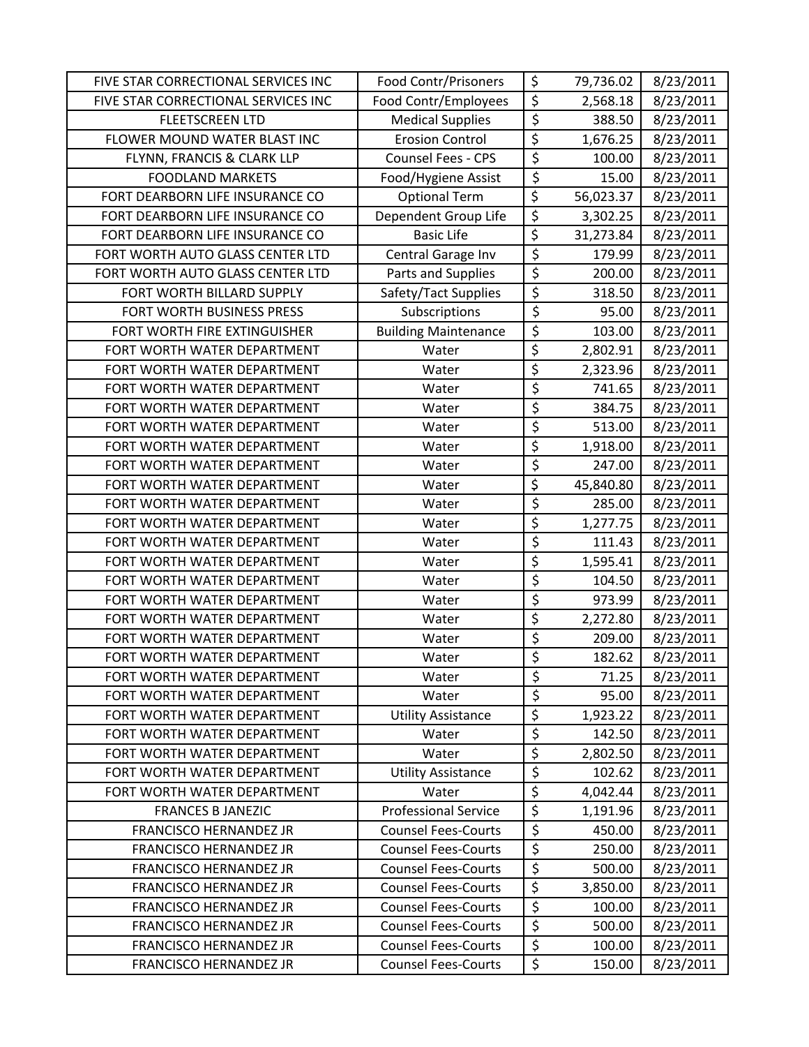| FIVE STAR CORRECTIONAL SERVICES INC | <b>Food Contr/Prisoners</b> | \$                       | 79,736.02 | 8/23/2011 |
|-------------------------------------|-----------------------------|--------------------------|-----------|-----------|
| FIVE STAR CORRECTIONAL SERVICES INC | Food Contr/Employees        | \$                       | 2,568.18  | 8/23/2011 |
| <b>FLEETSCREEN LTD</b>              | <b>Medical Supplies</b>     | $\overline{\xi}$         | 388.50    | 8/23/2011 |
| FLOWER MOUND WATER BLAST INC        | <b>Erosion Control</b>      | $\overline{\varsigma}$   | 1,676.25  | 8/23/2011 |
| FLYNN, FRANCIS & CLARK LLP          | <b>Counsel Fees - CPS</b>   | \$                       | 100.00    | 8/23/2011 |
| <b>FOODLAND MARKETS</b>             | Food/Hygiene Assist         | \$                       | 15.00     | 8/23/2011 |
| FORT DEARBORN LIFE INSURANCE CO     | <b>Optional Term</b>        | \$                       | 56,023.37 | 8/23/2011 |
| FORT DEARBORN LIFE INSURANCE CO     | Dependent Group Life        | $\overline{\xi}$         | 3,302.25  | 8/23/2011 |
| FORT DEARBORN LIFE INSURANCE CO     | <b>Basic Life</b>           | \$                       | 31,273.84 | 8/23/2011 |
| FORT WORTH AUTO GLASS CENTER LTD    | Central Garage Inv          | \$                       | 179.99    | 8/23/2011 |
| FORT WORTH AUTO GLASS CENTER LTD    | Parts and Supplies          | \$                       | 200.00    | 8/23/2011 |
| FORT WORTH BILLARD SUPPLY           | Safety/Tact Supplies        | $\overline{\xi}$         | 318.50    | 8/23/2011 |
| FORT WORTH BUSINESS PRESS           | Subscriptions               | \$                       | 95.00     | 8/23/2011 |
| FORT WORTH FIRE EXTINGUISHER        | <b>Building Maintenance</b> | \$                       | 103.00    | 8/23/2011 |
| FORT WORTH WATER DEPARTMENT         | Water                       | $\overline{\xi}$         | 2,802.91  | 8/23/2011 |
| FORT WORTH WATER DEPARTMENT         | Water                       | \$                       | 2,323.96  | 8/23/2011 |
| FORT WORTH WATER DEPARTMENT         | Water                       | $\overline{\xi}$         | 741.65    | 8/23/2011 |
| FORT WORTH WATER DEPARTMENT         | Water                       | $\overline{\xi}$         | 384.75    | 8/23/2011 |
| FORT WORTH WATER DEPARTMENT         | Water                       | \$                       | 513.00    | 8/23/2011 |
| FORT WORTH WATER DEPARTMENT         | Water                       | \$                       | 1,918.00  | 8/23/2011 |
| FORT WORTH WATER DEPARTMENT         | Water                       | \$                       | 247.00    | 8/23/2011 |
| FORT WORTH WATER DEPARTMENT         | Water                       | $\overline{\mathcal{S}}$ | 45,840.80 | 8/23/2011 |
| FORT WORTH WATER DEPARTMENT         | Water                       | \$                       | 285.00    | 8/23/2011 |
| FORT WORTH WATER DEPARTMENT         | Water                       | $\overline{\xi}$         | 1,277.75  | 8/23/2011 |
| FORT WORTH WATER DEPARTMENT         | Water                       | \$                       | 111.43    | 8/23/2011 |
| FORT WORTH WATER DEPARTMENT         | Water                       | $\overline{\varsigma}$   | 1,595.41  | 8/23/2011 |
| FORT WORTH WATER DEPARTMENT         | Water                       | \$                       | 104.50    | 8/23/2011 |
| FORT WORTH WATER DEPARTMENT         | Water                       | \$                       | 973.99    | 8/23/2011 |
| FORT WORTH WATER DEPARTMENT         | Water                       | \$                       | 2,272.80  | 8/23/2011 |
| FORT WORTH WATER DEPARTMENT         | Water                       | $\overline{\xi}$         | 209.00    | 8/23/2011 |
| FORT WORTH WATER DEPARTMENT         | Water                       | $\overline{\xi}$         | 182.62    | 8/23/2011 |
| FORT WORTH WATER DEPARTMENT         | Water                       | \$                       | 71.25     | 8/23/2011 |
| FORT WORTH WATER DEPARTMENT         | Water                       | \$                       | 95.00     | 8/23/2011 |
| FORT WORTH WATER DEPARTMENT         | <b>Utility Assistance</b>   | \$                       | 1,923.22  | 8/23/2011 |
| FORT WORTH WATER DEPARTMENT         | Water                       | \$                       | 142.50    | 8/23/2011 |
| FORT WORTH WATER DEPARTMENT         | Water                       | \$                       | 2,802.50  | 8/23/2011 |
| FORT WORTH WATER DEPARTMENT         | <b>Utility Assistance</b>   | \$                       | 102.62    | 8/23/2011 |
| FORT WORTH WATER DEPARTMENT         | Water                       | \$                       | 4,042.44  | 8/23/2011 |
| <b>FRANCES B JANEZIC</b>            | <b>Professional Service</b> | \$                       | 1,191.96  | 8/23/2011 |
| <b>FRANCISCO HERNANDEZ JR</b>       | <b>Counsel Fees-Courts</b>  | \$                       | 450.00    | 8/23/2011 |
| <b>FRANCISCO HERNANDEZ JR</b>       | <b>Counsel Fees-Courts</b>  | \$                       | 250.00    | 8/23/2011 |
| <b>FRANCISCO HERNANDEZ JR</b>       | <b>Counsel Fees-Courts</b>  | \$                       | 500.00    | 8/23/2011 |
| FRANCISCO HERNANDEZ JR              | <b>Counsel Fees-Courts</b>  | $\overline{\xi}$         | 3,850.00  | 8/23/2011 |
| <b>FRANCISCO HERNANDEZ JR</b>       | <b>Counsel Fees-Courts</b>  | $\overline{\xi}$         | 100.00    | 8/23/2011 |
| <b>FRANCISCO HERNANDEZ JR</b>       | <b>Counsel Fees-Courts</b>  | $\overline{\xi}$         | 500.00    | 8/23/2011 |
| <b>FRANCISCO HERNANDEZ JR</b>       | <b>Counsel Fees-Courts</b>  | \$                       | 100.00    | 8/23/2011 |
| <b>FRANCISCO HERNANDEZ JR</b>       | <b>Counsel Fees-Courts</b>  | \$                       | 150.00    | 8/23/2011 |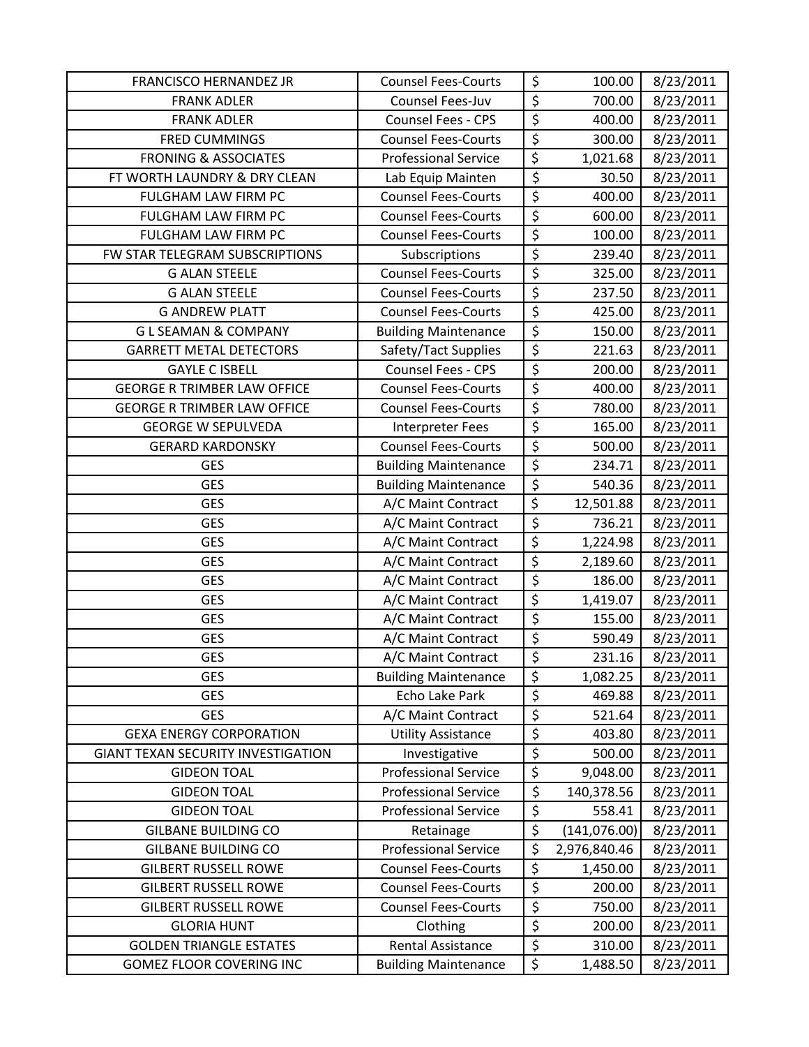| <b>FRANCISCO HERNANDEZ JR</b>             | <b>Counsel Fees-Courts</b>  | \$                              | 100.00        | 8/23/2011 |
|-------------------------------------------|-----------------------------|---------------------------------|---------------|-----------|
| <b>FRANK ADLER</b>                        | Counsel Fees-Juv            | $\overline{\xi}$                | 700.00        | 8/23/2011 |
| <b>FRANK ADLER</b>                        | <b>Counsel Fees - CPS</b>   | $\overline{\xi}$                | 400.00        | 8/23/2011 |
| <b>FRED CUMMINGS</b>                      | <b>Counsel Fees-Courts</b>  | $\overline{\xi}$                | 300.00        | 8/23/2011 |
| <b>FRONING &amp; ASSOCIATES</b>           | <b>Professional Service</b> | $\overline{\xi}$                | 1,021.68      | 8/23/2011 |
| FT WORTH LAUNDRY & DRY CLEAN              | Lab Equip Mainten           | \$                              | 30.50         | 8/23/2011 |
| FULGHAM LAW FIRM PC                       | <b>Counsel Fees-Courts</b>  | \$                              | 400.00        | 8/23/2011 |
| FULGHAM LAW FIRM PC                       | <b>Counsel Fees-Courts</b>  | $\overline{\xi}$                | 600.00        | 8/23/2011 |
| FULGHAM LAW FIRM PC                       | <b>Counsel Fees-Courts</b>  | \$                              | 100.00        | 8/23/2011 |
| FW STAR TELEGRAM SUBSCRIPTIONS            | Subscriptions               | $\overline{\xi}$                | 239.40        | 8/23/2011 |
| <b>G ALAN STEELE</b>                      | <b>Counsel Fees-Courts</b>  | $\overline{\xi}$                | 325.00        | 8/23/2011 |
| <b>G ALAN STEELE</b>                      | <b>Counsel Fees-Courts</b>  | $\overline{\boldsymbol{\zeta}}$ | 237.50        | 8/23/2011 |
| <b>G ANDREW PLATT</b>                     | <b>Counsel Fees-Courts</b>  | $\overline{\xi}$                | 425.00        | 8/23/2011 |
| <b>GLSEAMAN &amp; COMPANY</b>             | <b>Building Maintenance</b> | $\overline{\xi}$                | 150.00        | 8/23/2011 |
| <b>GARRETT METAL DETECTORS</b>            | Safety/Tact Supplies        | \$                              | 221.63        | 8/23/2011 |
| <b>GAYLE C ISBELL</b>                     | Counsel Fees - CPS          | $\overline{\varsigma}$          | 200.00        | 8/23/2011 |
| <b>GEORGE R TRIMBER LAW OFFICE</b>        | <b>Counsel Fees-Courts</b>  | $\overline{\xi}$                | 400.00        | 8/23/2011 |
| <b>GEORGE R TRIMBER LAW OFFICE</b>        | <b>Counsel Fees-Courts</b>  | $\overline{\xi}$                | 780.00        | 8/23/2011 |
| <b>GEORGE W SEPULVEDA</b>                 | Interpreter Fees            | \$                              | 165.00        | 8/23/2011 |
| <b>GERARD KARDONSKY</b>                   | <b>Counsel Fees-Courts</b>  | $\overline{\xi}$                | 500.00        | 8/23/2011 |
| <b>GES</b>                                | <b>Building Maintenance</b> | $\overline{\xi}$                | 234.71        | 8/23/2011 |
| <b>GES</b>                                | <b>Building Maintenance</b> | \$                              | 540.36        | 8/23/2011 |
| <b>GES</b>                                | A/C Maint Contract          | $\overline{\varsigma}$          | 12,501.88     | 8/23/2011 |
| <b>GES</b>                                | A/C Maint Contract          | \$                              | 736.21        | 8/23/2011 |
| <b>GES</b>                                | A/C Maint Contract          | \$                              | 1,224.98      | 8/23/2011 |
| <b>GES</b>                                | A/C Maint Contract          | \$                              | 2,189.60      | 8/23/2011 |
| <b>GES</b>                                | A/C Maint Contract          | $\overline{\xi}$                | 186.00        | 8/23/2011 |
| <b>GES</b>                                | A/C Maint Contract          | $\overline{\xi}$                | 1,419.07      | 8/23/2011 |
| <b>GES</b>                                | A/C Maint Contract          | $\overline{\xi}$                | 155.00        | 8/23/2011 |
| <b>GES</b>                                | A/C Maint Contract          | $\overline{\xi}$                | 590.49        | 8/23/2011 |
| <b>GES</b>                                | A/C Maint Contract          | \$                              | 231.16        | 8/23/2011 |
| <b>GES</b>                                | <b>Building Maintenance</b> | \$                              | 1,082.25      | 8/23/2011 |
| <b>GES</b>                                | Echo Lake Park              | \$                              | 469.88        | 8/23/2011 |
| <b>GES</b>                                | A/C Maint Contract          | $\overline{\xi}$                | 521.64        | 8/23/2011 |
| <b>GEXA ENERGY CORPORATION</b>            | <b>Utility Assistance</b>   | $\overline{\xi}$                | 403.80        | 8/23/2011 |
| <b>GIANT TEXAN SECURITY INVESTIGATION</b> | Investigative               | $\overline{\xi}$                | 500.00        | 8/23/2011 |
| <b>GIDEON TOAL</b>                        | <b>Professional Service</b> | \$                              | 9,048.00      | 8/23/2011 |
| <b>GIDEON TOAL</b>                        | <b>Professional Service</b> | \$                              | 140,378.56    | 8/23/2011 |
| <b>GIDEON TOAL</b>                        | <b>Professional Service</b> | \$                              | 558.41        | 8/23/2011 |
| <b>GILBANE BUILDING CO</b>                | Retainage                   | $\overline{\mathcal{S}}$        | (141, 076.00) | 8/23/2011 |
| <b>GILBANE BUILDING CO</b>                | <b>Professional Service</b> | \$                              | 2,976,840.46  | 8/23/2011 |
| <b>GILBERT RUSSELL ROWE</b>               | <b>Counsel Fees-Courts</b>  | \$                              | 1,450.00      | 8/23/2011 |
| <b>GILBERT RUSSELL ROWE</b>               | <b>Counsel Fees-Courts</b>  | \$                              | 200.00        | 8/23/2011 |
| <b>GILBERT RUSSELL ROWE</b>               | <b>Counsel Fees-Courts</b>  | $\overline{\xi}$                | 750.00        | 8/23/2011 |
| <b>GLORIA HUNT</b>                        | Clothing                    | $\overline{\xi}$                | 200.00        | 8/23/2011 |
| <b>GOLDEN TRIANGLE ESTATES</b>            | <b>Rental Assistance</b>    | \$                              | 310.00        | 8/23/2011 |
| GOMEZ FLOOR COVERING INC                  | <b>Building Maintenance</b> | \$                              | 1,488.50      | 8/23/2011 |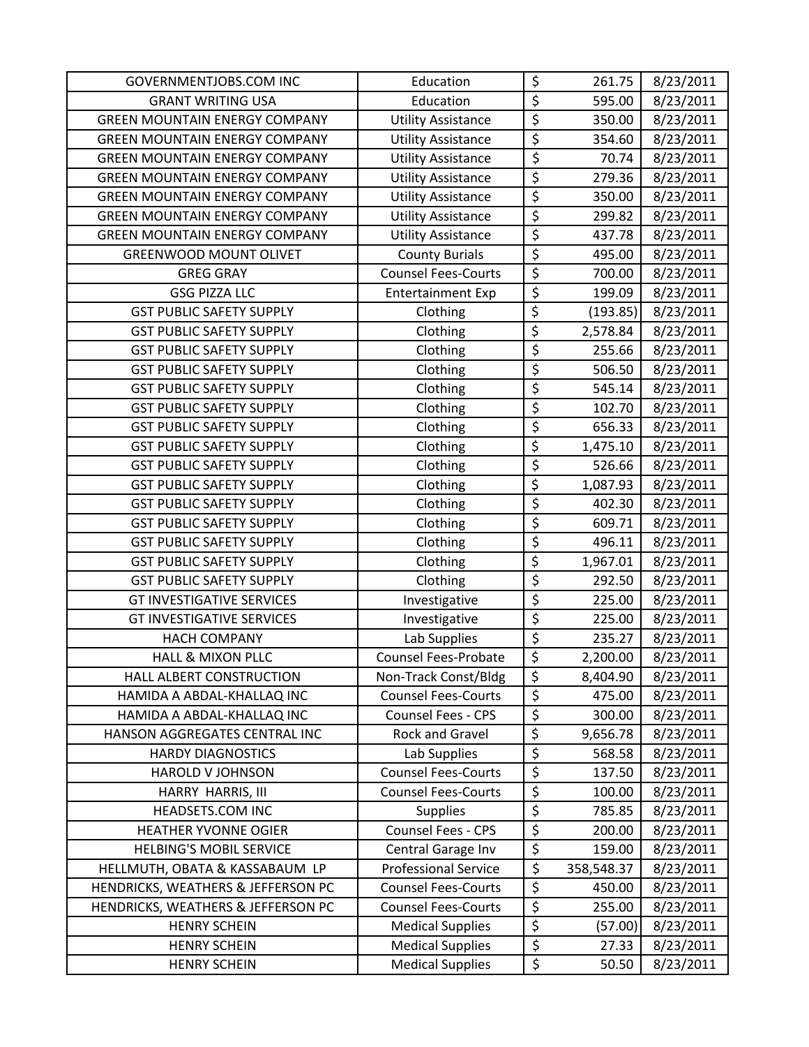| <b>GOVERNMENTJOBS.COM INC</b>        | Education                   | \$               | 261.75     | 8/23/2011 |
|--------------------------------------|-----------------------------|------------------|------------|-----------|
| <b>GRANT WRITING USA</b>             | Education                   | $\overline{\xi}$ | 595.00     | 8/23/2011 |
| <b>GREEN MOUNTAIN ENERGY COMPANY</b> | <b>Utility Assistance</b>   | \$               | 350.00     | 8/23/2011 |
| <b>GREEN MOUNTAIN ENERGY COMPANY</b> | <b>Utility Assistance</b>   | \$               | 354.60     | 8/23/2011 |
| <b>GREEN MOUNTAIN ENERGY COMPANY</b> | <b>Utility Assistance</b>   | \$               | 70.74      | 8/23/2011 |
| <b>GREEN MOUNTAIN ENERGY COMPANY</b> | <b>Utility Assistance</b>   | \$               | 279.36     | 8/23/2011 |
| <b>GREEN MOUNTAIN ENERGY COMPANY</b> | <b>Utility Assistance</b>   | \$               | 350.00     | 8/23/2011 |
| <b>GREEN MOUNTAIN ENERGY COMPANY</b> | <b>Utility Assistance</b>   | \$               | 299.82     | 8/23/2011 |
| <b>GREEN MOUNTAIN ENERGY COMPANY</b> | <b>Utility Assistance</b>   | \$               | 437.78     | 8/23/2011 |
| <b>GREENWOOD MOUNT OLIVET</b>        | <b>County Burials</b>       | \$               | 495.00     | 8/23/2011 |
| <b>GREG GRAY</b>                     | <b>Counsel Fees-Courts</b>  | $\overline{\xi}$ | 700.00     | 8/23/2011 |
| <b>GSG PIZZA LLC</b>                 | <b>Entertainment Exp</b>    | \$               | 199.09     | 8/23/2011 |
| <b>GST PUBLIC SAFETY SUPPLY</b>      | Clothing                    | \$               | (193.85)   | 8/23/2011 |
| <b>GST PUBLIC SAFETY SUPPLY</b>      | Clothing                    | \$               | 2,578.84   | 8/23/2011 |
| <b>GST PUBLIC SAFETY SUPPLY</b>      | Clothing                    | \$               | 255.66     | 8/23/2011 |
| <b>GST PUBLIC SAFETY SUPPLY</b>      | Clothing                    | \$               | 506.50     | 8/23/2011 |
| <b>GST PUBLIC SAFETY SUPPLY</b>      | Clothing                    | \$               | 545.14     | 8/23/2011 |
| <b>GST PUBLIC SAFETY SUPPLY</b>      | Clothing                    | \$               | 102.70     | 8/23/2011 |
| <b>GST PUBLIC SAFETY SUPPLY</b>      | Clothing                    | \$               | 656.33     | 8/23/2011 |
| <b>GST PUBLIC SAFETY SUPPLY</b>      | Clothing                    | $\overline{\xi}$ | 1,475.10   | 8/23/2011 |
| <b>GST PUBLIC SAFETY SUPPLY</b>      | Clothing                    | \$               | 526.66     | 8/23/2011 |
| <b>GST PUBLIC SAFETY SUPPLY</b>      | Clothing                    | $\overline{\xi}$ | 1,087.93   | 8/23/2011 |
| <b>GST PUBLIC SAFETY SUPPLY</b>      | Clothing                    | \$               | 402.30     | 8/23/2011 |
| <b>GST PUBLIC SAFETY SUPPLY</b>      | Clothing                    | \$               | 609.71     | 8/23/2011 |
| <b>GST PUBLIC SAFETY SUPPLY</b>      | Clothing                    | \$               | 496.11     | 8/23/2011 |
| <b>GST PUBLIC SAFETY SUPPLY</b>      | Clothing                    | \$               | 1,967.01   | 8/23/2011 |
| <b>GST PUBLIC SAFETY SUPPLY</b>      | Clothing                    | \$               | 292.50     | 8/23/2011 |
| <b>GT INVESTIGATIVE SERVICES</b>     | Investigative               | \$               | 225.00     | 8/23/2011 |
| <b>GT INVESTIGATIVE SERVICES</b>     | Investigative               | $\overline{\xi}$ | 225.00     | 8/23/2011 |
| <b>HACH COMPANY</b>                  | Lab Supplies                | $\overline{\xi}$ | 235.27     | 8/23/2011 |
| <b>HALL &amp; MIXON PLLC</b>         | <b>Counsel Fees-Probate</b> | \$               | 2,200.00   | 8/23/2011 |
| HALL ALBERT CONSTRUCTION             | Non-Track Const/Bldg        | \$               | 8,404.90   | 8/23/2011 |
| HAMIDA A ABDAL-KHALLAQ INC           | <b>Counsel Fees-Courts</b>  | $\overline{\xi}$ | 475.00     | 8/23/2011 |
| HAMIDA A ABDAL-KHALLAQ INC           | Counsel Fees - CPS          | $\overline{\xi}$ | 300.00     | 8/23/2011 |
| HANSON AGGREGATES CENTRAL INC        | <b>Rock and Gravel</b>      | \$               | 9,656.78   | 8/23/2011 |
| <b>HARDY DIAGNOSTICS</b>             | Lab Supplies                | \$               | 568.58     | 8/23/2011 |
| <b>HAROLD V JOHNSON</b>              | <b>Counsel Fees-Courts</b>  | \$               | 137.50     | 8/23/2011 |
| HARRY HARRIS, III                    | <b>Counsel Fees-Courts</b>  | \$               | 100.00     | 8/23/2011 |
| HEADSETS.COM INC                     | Supplies                    | $\overline{\xi}$ | 785.85     | 8/23/2011 |
| <b>HEATHER YVONNE OGIER</b>          | Counsel Fees - CPS          | $\overline{\xi}$ | 200.00     | 8/23/2011 |
| <b>HELBING'S MOBIL SERVICE</b>       | Central Garage Inv          | \$               | 159.00     | 8/23/2011 |
| HELLMUTH, OBATA & KASSABAUM LP       | <b>Professional Service</b> | \$               | 358,548.37 | 8/23/2011 |
| HENDRICKS, WEATHERS & JEFFERSON PC   | <b>Counsel Fees-Courts</b>  | \$               | 450.00     | 8/23/2011 |
| HENDRICKS, WEATHERS & JEFFERSON PC   | <b>Counsel Fees-Courts</b>  | $\overline{\xi}$ | 255.00     | 8/23/2011 |
| <b>HENRY SCHEIN</b>                  | <b>Medical Supplies</b>     | $\overline{\xi}$ | (57.00)    | 8/23/2011 |
| <b>HENRY SCHEIN</b>                  | <b>Medical Supplies</b>     | \$               | 27.33      | 8/23/2011 |
| <b>HENRY SCHEIN</b>                  | <b>Medical Supplies</b>     | \$               | 50.50      | 8/23/2011 |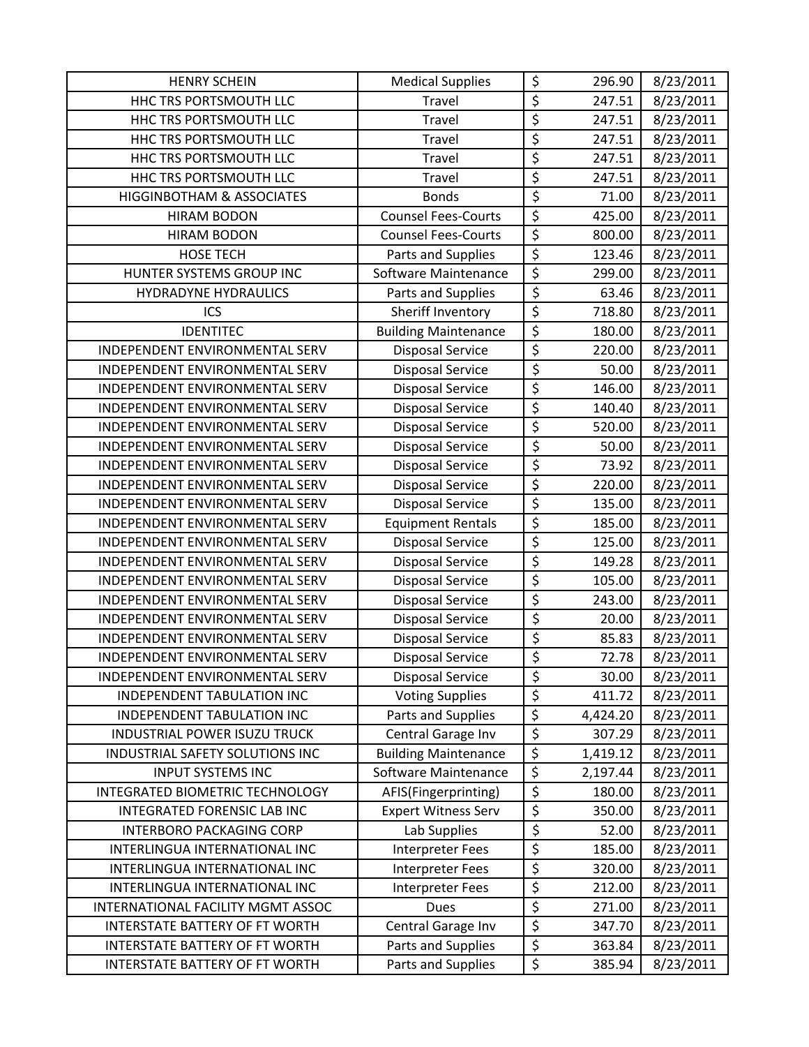| <b>HENRY SCHEIN</b>                   | <b>Medical Supplies</b>     | \$                     | 296.90   | 8/23/2011 |
|---------------------------------------|-----------------------------|------------------------|----------|-----------|
| HHC TRS PORTSMOUTH LLC                | Travel                      | \$                     | 247.51   | 8/23/2011 |
| HHC TRS PORTSMOUTH LLC                | Travel                      | \$                     | 247.51   | 8/23/2011 |
| HHC TRS PORTSMOUTH LLC                | Travel                      | \$                     | 247.51   | 8/23/2011 |
| HHC TRS PORTSMOUTH LLC                | Travel                      | \$                     | 247.51   | 8/23/2011 |
| HHC TRS PORTSMOUTH LLC                | Travel                      | $\overline{\xi}$       | 247.51   | 8/23/2011 |
| HIGGINBOTHAM & ASSOCIATES             | <b>Bonds</b>                | \$                     | 71.00    | 8/23/2011 |
| <b>HIRAM BODON</b>                    | <b>Counsel Fees-Courts</b>  | $\overline{\varsigma}$ | 425.00   | 8/23/2011 |
| <b>HIRAM BODON</b>                    | <b>Counsel Fees-Courts</b>  | \$                     | 800.00   | 8/23/2011 |
| <b>HOSE TECH</b>                      | Parts and Supplies          | $\overline{\xi}$       | 123.46   | 8/23/2011 |
| HUNTER SYSTEMS GROUP INC              | Software Maintenance        | $\overline{\xi}$       | 299.00   | 8/23/2011 |
| <b>HYDRADYNE HYDRAULICS</b>           | Parts and Supplies          | \$                     | 63.46    | 8/23/2011 |
| ICS                                   | Sheriff Inventory           | \$                     | 718.80   | 8/23/2011 |
| <b>IDENTITEC</b>                      | <b>Building Maintenance</b> | $\overline{\xi}$       | 180.00   | 8/23/2011 |
| INDEPENDENT ENVIRONMENTAL SERV        | <b>Disposal Service</b>     | $\overline{\xi}$       | 220.00   | 8/23/2011 |
| INDEPENDENT ENVIRONMENTAL SERV        | <b>Disposal Service</b>     | \$                     | 50.00    | 8/23/2011 |
| INDEPENDENT ENVIRONMENTAL SERV        | <b>Disposal Service</b>     | $\overline{\xi}$       | 146.00   | 8/23/2011 |
| INDEPENDENT ENVIRONMENTAL SERV        | <b>Disposal Service</b>     | $\overline{\xi}$       | 140.40   | 8/23/2011 |
| INDEPENDENT ENVIRONMENTAL SERV        | <b>Disposal Service</b>     | \$                     | 520.00   | 8/23/2011 |
| INDEPENDENT ENVIRONMENTAL SERV        | <b>Disposal Service</b>     | \$                     | 50.00    | 8/23/2011 |
| INDEPENDENT ENVIRONMENTAL SERV        | <b>Disposal Service</b>     | \$                     | 73.92    | 8/23/2011 |
| INDEPENDENT ENVIRONMENTAL SERV        | Disposal Service            | \$                     | 220.00   | 8/23/2011 |
| INDEPENDENT ENVIRONMENTAL SERV        | <b>Disposal Service</b>     | $\overline{\varsigma}$ | 135.00   | 8/23/2011 |
| INDEPENDENT ENVIRONMENTAL SERV        | <b>Equipment Rentals</b>    | $\overline{\xi}$       | 185.00   | 8/23/2011 |
| INDEPENDENT ENVIRONMENTAL SERV        | <b>Disposal Service</b>     | $\overline{\xi}$       | 125.00   | 8/23/2011 |
| INDEPENDENT ENVIRONMENTAL SERV        | <b>Disposal Service</b>     | \$                     | 149.28   | 8/23/2011 |
| INDEPENDENT ENVIRONMENTAL SERV        | <b>Disposal Service</b>     | $\overline{\xi}$       | 105.00   | 8/23/2011 |
| INDEPENDENT ENVIRONMENTAL SERV        | <b>Disposal Service</b>     | $\overline{\xi}$       | 243.00   | 8/23/2011 |
| INDEPENDENT ENVIRONMENTAL SERV        | <b>Disposal Service</b>     | $\overline{\xi}$       | 20.00    | 8/23/2011 |
| INDEPENDENT ENVIRONMENTAL SERV        | <b>Disposal Service</b>     | \$                     | 85.83    | 8/23/2011 |
| INDEPENDENT ENVIRONMENTAL SERV        | <b>Disposal Service</b>     | $\overline{\xi}$       | 72.78    | 8/23/2011 |
| INDEPENDENT ENVIRONMENTAL SERV        | <b>Disposal Service</b>     | \$                     | 30.00    | 8/23/2011 |
| INDEPENDENT TABULATION INC            | <b>Voting Supplies</b>      | \$                     | 411.72   | 8/23/2011 |
| INDEPENDENT TABULATION INC            | Parts and Supplies          | \$                     | 4,424.20 | 8/23/2011 |
| INDUSTRIAL POWER ISUZU TRUCK          | Central Garage Inv          | \$                     | 307.29   | 8/23/2011 |
| INDUSTRIAL SAFETY SOLUTIONS INC       | <b>Building Maintenance</b> | $\overline{\xi}$       | 1,419.12 | 8/23/2011 |
| <b>INPUT SYSTEMS INC</b>              | Software Maintenance        | \$                     | 2,197.44 | 8/23/2011 |
| INTEGRATED BIOMETRIC TECHNOLOGY       | AFIS(Fingerprinting)        | $\overline{\xi}$       | 180.00   | 8/23/2011 |
| INTEGRATED FORENSIC LAB INC           | <b>Expert Witness Serv</b>  | \$                     | 350.00   | 8/23/2011 |
| <b>INTERBORO PACKAGING CORP</b>       | Lab Supplies                | \$                     | 52.00    | 8/23/2011 |
| INTERLINGUA INTERNATIONAL INC         | Interpreter Fees            | \$                     | 185.00   | 8/23/2011 |
| INTERLINGUA INTERNATIONAL INC         | <b>Interpreter Fees</b>     | \$                     | 320.00   | 8/23/2011 |
| INTERLINGUA INTERNATIONAL INC         | Interpreter Fees            | $\overline{\xi}$       | 212.00   | 8/23/2011 |
| INTERNATIONAL FACILITY MGMT ASSOC     | <b>Dues</b>                 | $\overline{\varsigma}$ | 271.00   | 8/23/2011 |
| <b>INTERSTATE BATTERY OF FT WORTH</b> | Central Garage Inv          | \$                     | 347.70   | 8/23/2011 |
| <b>INTERSTATE BATTERY OF FT WORTH</b> | Parts and Supplies          | $\overline{\xi}$       | 363.84   | 8/23/2011 |
| INTERSTATE BATTERY OF FT WORTH        | Parts and Supplies          | \$                     | 385.94   | 8/23/2011 |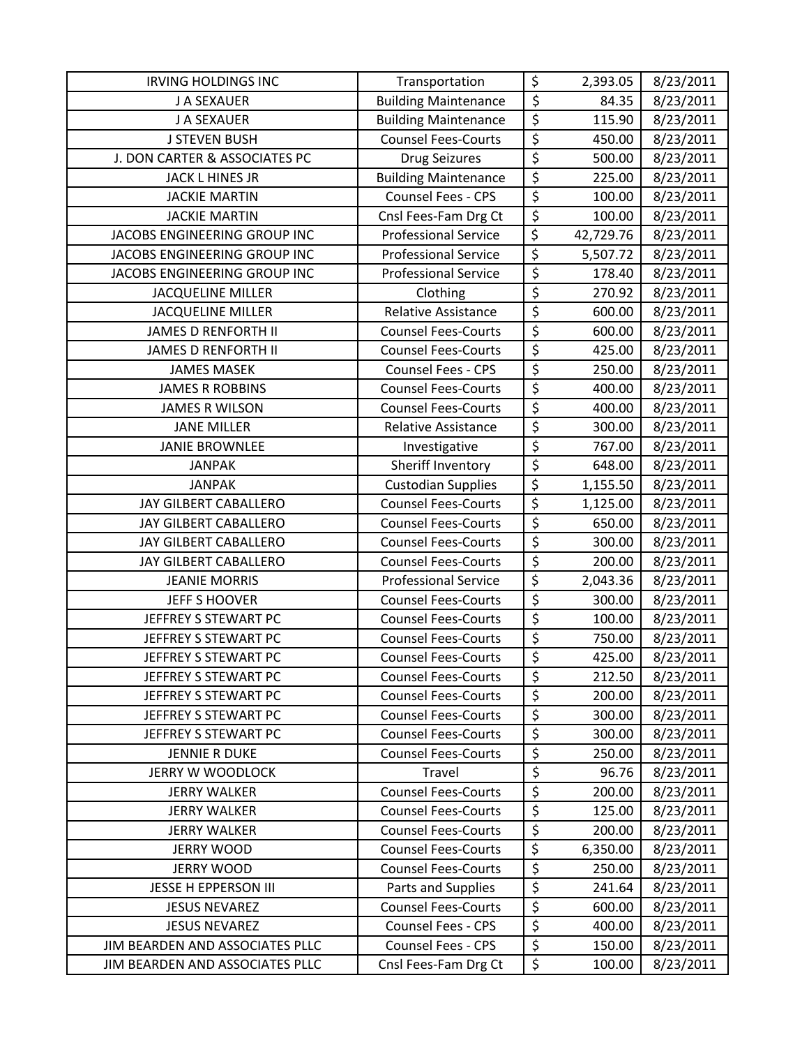| <b>IRVING HOLDINGS INC</b>      | Transportation              | \$                       | 2,393.05  | 8/23/2011 |
|---------------------------------|-----------------------------|--------------------------|-----------|-----------|
| J A SEXAUER                     | <b>Building Maintenance</b> | \$                       | 84.35     | 8/23/2011 |
| J A SEXAUER                     | <b>Building Maintenance</b> | \$                       | 115.90    | 8/23/2011 |
| <b>J STEVEN BUSH</b>            | <b>Counsel Fees-Courts</b>  | $\overline{\xi}$         | 450.00    | 8/23/2011 |
| J. DON CARTER & ASSOCIATES PC   | <b>Drug Seizures</b>        | $\overline{\xi}$         | 500.00    | 8/23/2011 |
| <b>JACK L HINES JR</b>          | <b>Building Maintenance</b> | \$                       | 225.00    | 8/23/2011 |
| <b>JACKIE MARTIN</b>            | Counsel Fees - CPS          | $\overline{\xi}$         | 100.00    | 8/23/2011 |
| <b>JACKIE MARTIN</b>            | Cnsl Fees-Fam Drg Ct        | $\overline{\xi}$         | 100.00    | 8/23/2011 |
| JACOBS ENGINEERING GROUP INC    | <b>Professional Service</b> | $\overline{\xi}$         | 42,729.76 | 8/23/2011 |
| JACOBS ENGINEERING GROUP INC    | <b>Professional Service</b> | \$                       | 5,507.72  | 8/23/2011 |
| JACOBS ENGINEERING GROUP INC    | <b>Professional Service</b> | $\overline{\xi}$         | 178.40    | 8/23/2011 |
| <b>JACQUELINE MILLER</b>        | Clothing                    | \$                       | 270.92    | 8/23/2011 |
| <b>JACQUELINE MILLER</b>        | Relative Assistance         | \$                       | 600.00    | 8/23/2011 |
| <b>JAMES D RENFORTH II</b>      | <b>Counsel Fees-Courts</b>  | \$                       | 600.00    | 8/23/2011 |
| <b>JAMES D RENFORTH II</b>      | <b>Counsel Fees-Courts</b>  | \$                       | 425.00    | 8/23/2011 |
| <b>JAMES MASEK</b>              | Counsel Fees - CPS          | $\overline{\mathcal{S}}$ | 250.00    | 8/23/2011 |
| <b>JAMES R ROBBINS</b>          | <b>Counsel Fees-Courts</b>  | \$                       | 400.00    | 8/23/2011 |
| <b>JAMES R WILSON</b>           | <b>Counsel Fees-Courts</b>  | $\overline{\xi}$         | 400.00    | 8/23/2011 |
| <b>JANE MILLER</b>              | <b>Relative Assistance</b>  | $\overline{\xi}$         | 300.00    | 8/23/2011 |
| <b>JANIE BROWNLEE</b>           | Investigative               | \$                       | 767.00    | 8/23/2011 |
| <b>JANPAK</b>                   | Sheriff Inventory           | $\overline{\xi}$         | 648.00    | 8/23/2011 |
| <b>JANPAK</b>                   | <b>Custodian Supplies</b>   | $\overline{\xi}$         | 1,155.50  | 8/23/2011 |
| JAY GILBERT CABALLERO           | <b>Counsel Fees-Courts</b>  | \$                       | 1,125.00  | 8/23/2011 |
| JAY GILBERT CABALLERO           | <b>Counsel Fees-Courts</b>  | \$                       | 650.00    | 8/23/2011 |
| JAY GILBERT CABALLERO           | <b>Counsel Fees-Courts</b>  | \$                       | 300.00    | 8/23/2011 |
| JAY GILBERT CABALLERO           | <b>Counsel Fees-Courts</b>  | \$                       | 200.00    | 8/23/2011 |
| <b>JEANIE MORRIS</b>            | <b>Professional Service</b> | $\overline{\xi}$         | 2,043.36  | 8/23/2011 |
| <b>JEFF S HOOVER</b>            | <b>Counsel Fees-Courts</b>  | $\overline{\xi}$         | 300.00    | 8/23/2011 |
| JEFFREY S STEWART PC            | <b>Counsel Fees-Courts</b>  | $\overline{\xi}$         | 100.00    | 8/23/2011 |
| JEFFREY S STEWART PC            | <b>Counsel Fees-Courts</b>  | $\overline{\xi}$         | 750.00    | 8/23/2011 |
| JEFFREY S STEWART PC            | <b>Counsel Fees-Courts</b>  | $\overline{\xi}$         | 425.00    | 8/23/2011 |
| JEFFREY S STEWART PC            | <b>Counsel Fees-Courts</b>  | \$                       | 212.50    | 8/23/2011 |
| JEFFREY S STEWART PC            | <b>Counsel Fees-Courts</b>  | \$                       | 200.00    | 8/23/2011 |
| JEFFREY S STEWART PC            | <b>Counsel Fees-Courts</b>  | \$                       | 300.00    | 8/23/2011 |
| JEFFREY S STEWART PC            | <b>Counsel Fees-Courts</b>  | \$                       | 300.00    | 8/23/2011 |
| <b>JENNIE R DUKE</b>            | <b>Counsel Fees-Courts</b>  | \$                       | 250.00    | 8/23/2011 |
| <b>JERRY W WOODLOCK</b>         | Travel                      | $\overline{\xi}$         | 96.76     | 8/23/2011 |
| <b>JERRY WALKER</b>             | <b>Counsel Fees-Courts</b>  | \$                       | 200.00    | 8/23/2011 |
| <b>JERRY WALKER</b>             | <b>Counsel Fees-Courts</b>  | $\overline{\xi}$         | 125.00    | 8/23/2011 |
| <b>JERRY WALKER</b>             | <b>Counsel Fees-Courts</b>  | $\overline{\xi}$         | 200.00    | 8/23/2011 |
| <b>JERRY WOOD</b>               | <b>Counsel Fees-Courts</b>  | $\overline{\xi}$         | 6,350.00  | 8/23/2011 |
| <b>JERRY WOOD</b>               | <b>Counsel Fees-Courts</b>  | \$                       | 250.00    | 8/23/2011 |
| <b>JESSE H EPPERSON III</b>     | Parts and Supplies          | \$                       | 241.64    | 8/23/2011 |
| <b>JESUS NEVAREZ</b>            | <b>Counsel Fees-Courts</b>  | $\overline{\varsigma}$   | 600.00    | 8/23/2011 |
| <b>JESUS NEVAREZ</b>            | Counsel Fees - CPS          | \$                       | 400.00    | 8/23/2011 |
| JIM BEARDEN AND ASSOCIATES PLLC | <b>Counsel Fees - CPS</b>   | $\overline{\xi}$         | 150.00    | 8/23/2011 |
| JIM BEARDEN AND ASSOCIATES PLLC | Cnsl Fees-Fam Drg Ct        | \$                       | 100.00    | 8/23/2011 |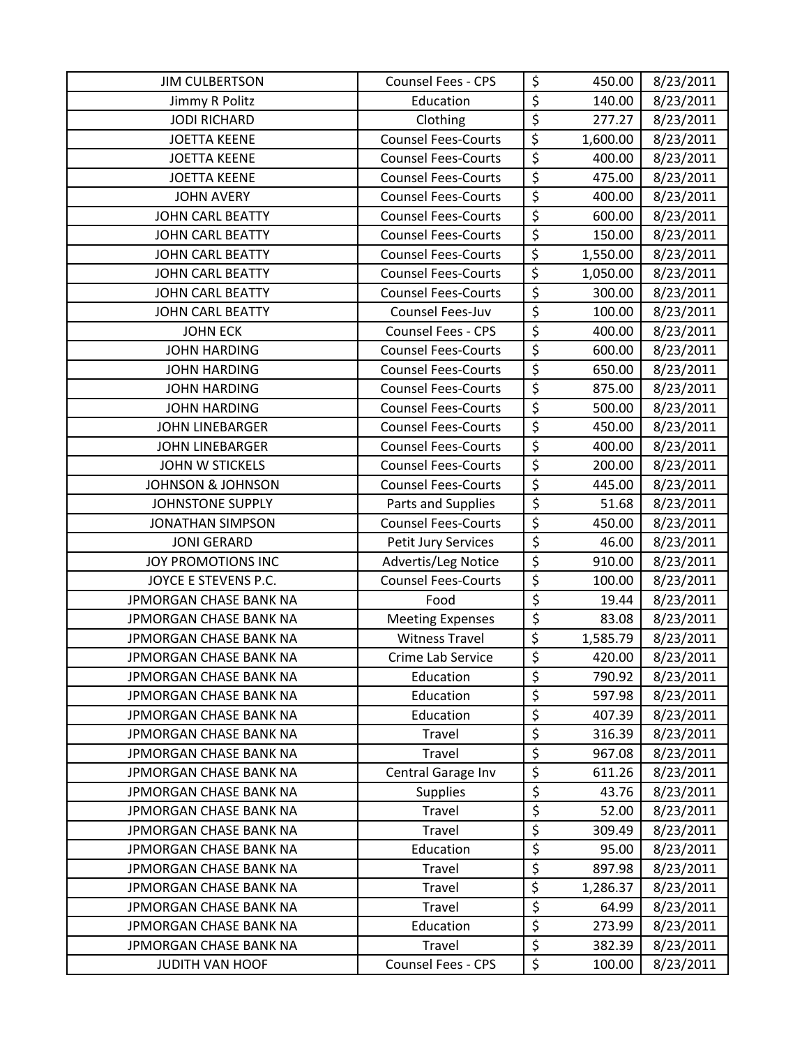| <b>JIM CULBERTSON</b>         | <b>Counsel Fees - CPS</b>  | \$                     | 450.00   | 8/23/2011 |
|-------------------------------|----------------------------|------------------------|----------|-----------|
| Jimmy R Politz                | Education                  | $\overline{\xi}$       | 140.00   | 8/23/2011 |
| <b>JODI RICHARD</b>           | Clothing                   | $\overline{\xi}$       | 277.27   | 8/23/2011 |
| <b>JOETTA KEENE</b>           | <b>Counsel Fees-Courts</b> | \$                     | 1,600.00 | 8/23/2011 |
| <b>JOETTA KEENE</b>           | <b>Counsel Fees-Courts</b> | $\overline{\xi}$       | 400.00   | 8/23/2011 |
| <b>JOETTA KEENE</b>           | <b>Counsel Fees-Courts</b> | \$                     | 475.00   | 8/23/2011 |
| <b>JOHN AVERY</b>             | <b>Counsel Fees-Courts</b> | $\overline{\xi}$       | 400.00   | 8/23/2011 |
| <b>JOHN CARL BEATTY</b>       | <b>Counsel Fees-Courts</b> | $\overline{\xi}$       | 600.00   | 8/23/2011 |
| JOHN CARL BEATTY              | <b>Counsel Fees-Courts</b> | \$                     | 150.00   | 8/23/2011 |
| <b>JOHN CARL BEATTY</b>       | <b>Counsel Fees-Courts</b> | $\overline{\xi}$       | 1,550.00 | 8/23/2011 |
| <b>JOHN CARL BEATTY</b>       | <b>Counsel Fees-Courts</b> | $\overline{\xi}$       | 1,050.00 | 8/23/2011 |
| <b>JOHN CARL BEATTY</b>       | <b>Counsel Fees-Courts</b> | \$                     | 300.00   | 8/23/2011 |
| JOHN CARL BEATTY              | Counsel Fees-Juv           | $\overline{\xi}$       | 100.00   | 8/23/2011 |
| <b>JOHN ECK</b>               | Counsel Fees - CPS         | $\overline{\xi}$       | 400.00   | 8/23/2011 |
| <b>JOHN HARDING</b>           | <b>Counsel Fees-Courts</b> | \$                     | 600.00   | 8/23/2011 |
| <b>JOHN HARDING</b>           | <b>Counsel Fees-Courts</b> | $\overline{\varsigma}$ | 650.00   | 8/23/2011 |
| <b>JOHN HARDING</b>           | <b>Counsel Fees-Courts</b> | $\overline{\xi}$       | 875.00   | 8/23/2011 |
| <b>JOHN HARDING</b>           | <b>Counsel Fees-Courts</b> | $\overline{\xi}$       | 500.00   | 8/23/2011 |
| <b>JOHN LINEBARGER</b>        | <b>Counsel Fees-Courts</b> | \$                     | 450.00   | 8/23/2011 |
| <b>JOHN LINEBARGER</b>        | <b>Counsel Fees-Courts</b> | $\overline{\xi}$       | 400.00   | 8/23/2011 |
| JOHN W STICKELS               | <b>Counsel Fees-Courts</b> | $\overline{\xi}$       | 200.00   | 8/23/2011 |
| <b>JOHNSON &amp; JOHNSON</b>  | <b>Counsel Fees-Courts</b> | \$                     | 445.00   | 8/23/2011 |
| <b>JOHNSTONE SUPPLY</b>       | Parts and Supplies         | \$                     | 51.68    | 8/23/2011 |
| <b>JONATHAN SIMPSON</b>       | <b>Counsel Fees-Courts</b> | $\overline{\xi}$       | 450.00   | 8/23/2011 |
| <b>JONI GERARD</b>            | Petit Jury Services        | $\overline{\xi}$       | 46.00    | 8/23/2011 |
| JOY PROMOTIONS INC            | Advertis/Leg Notice        | \$                     | 910.00   | 8/23/2011 |
| JOYCE E STEVENS P.C.          | <b>Counsel Fees-Courts</b> | \$                     | 100.00   | 8/23/2011 |
| <b>JPMORGAN CHASE BANK NA</b> | Food                       | $\overline{\xi}$       | 19.44    | 8/23/2011 |
| JPMORGAN CHASE BANK NA        | <b>Meeting Expenses</b>    | $\overline{\xi}$       | 83.08    | 8/23/2011 |
| JPMORGAN CHASE BANK NA        | <b>Witness Travel</b>      | $\overline{\xi}$       | 1,585.79 | 8/23/2011 |
| JPMORGAN CHASE BANK NA        | Crime Lab Service          | \$                     | 420.00   | 8/23/2011 |
| JPMORGAN CHASE BANK NA        | Education                  | \$                     | 790.92   | 8/23/2011 |
| JPMORGAN CHASE BANK NA        | Education                  | \$                     | 597.98   | 8/23/2011 |
| JPMORGAN CHASE BANK NA        | Education                  | \$                     | 407.39   | 8/23/2011 |
| JPMORGAN CHASE BANK NA        | Travel                     | \$                     | 316.39   | 8/23/2011 |
| JPMORGAN CHASE BANK NA        | Travel                     | \$                     | 967.08   | 8/23/2011 |
| JPMORGAN CHASE BANK NA        | Central Garage Inv         | \$                     | 611.26   | 8/23/2011 |
| JPMORGAN CHASE BANK NA        | <b>Supplies</b>            | \$                     | 43.76    | 8/23/2011 |
| JPMORGAN CHASE BANK NA        | Travel                     | $\overline{\xi}$       | 52.00    | 8/23/2011 |
| <b>JPMORGAN CHASE BANK NA</b> | Travel                     | $\overline{\xi}$       | 309.49   | 8/23/2011 |
| JPMORGAN CHASE BANK NA        | Education                  | \$                     | 95.00    | 8/23/2011 |
| JPMORGAN CHASE BANK NA        | Travel                     | \$                     | 897.98   | 8/23/2011 |
| JPMORGAN CHASE BANK NA        | Travel                     | \$                     | 1,286.37 | 8/23/2011 |
| JPMORGAN CHASE BANK NA        | Travel                     | $\overline{\varsigma}$ | 64.99    | 8/23/2011 |
| JPMORGAN CHASE BANK NA        | Education                  | \$                     | 273.99   | 8/23/2011 |
| JPMORGAN CHASE BANK NA        | Travel                     | $\overline{\xi}$       | 382.39   | 8/23/2011 |
| <b>JUDITH VAN HOOF</b>        | Counsel Fees - CPS         | \$                     | 100.00   | 8/23/2011 |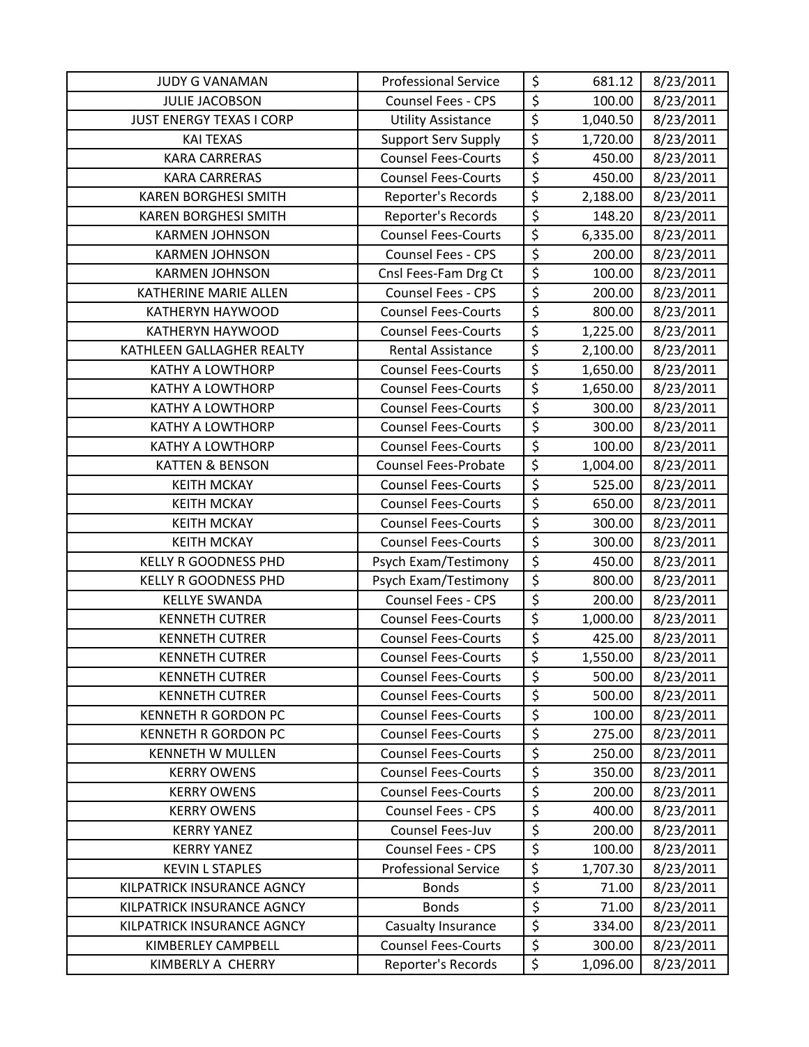| <b>JUDY G VANAMAN</b>           | <b>Professional Service</b> | \$                     | 681.12   | 8/23/2011 |
|---------------------------------|-----------------------------|------------------------|----------|-----------|
| <b>JULIE JACOBSON</b>           | Counsel Fees - CPS          | $\overline{\xi}$       | 100.00   | 8/23/2011 |
| <b>JUST ENERGY TEXAS I CORP</b> | <b>Utility Assistance</b>   | $\overline{\xi}$       | 1,040.50 | 8/23/2011 |
| <b>KAI TEXAS</b>                | <b>Support Serv Supply</b>  | \$                     | 1,720.00 | 8/23/2011 |
| <b>KARA CARRERAS</b>            | <b>Counsel Fees-Courts</b>  | \$                     | 450.00   | 8/23/2011 |
| <b>KARA CARRERAS</b>            | <b>Counsel Fees-Courts</b>  | $\overline{\xi}$       | 450.00   | 8/23/2011 |
| <b>KAREN BORGHESI SMITH</b>     | Reporter's Records          | $\overline{\xi}$       | 2,188.00 | 8/23/2011 |
| <b>KAREN BORGHESI SMITH</b>     | Reporter's Records          | $\overline{\xi}$       | 148.20   | 8/23/2011 |
| <b>KARMEN JOHNSON</b>           | <b>Counsel Fees-Courts</b>  | \$                     | 6,335.00 | 8/23/2011 |
| <b>KARMEN JOHNSON</b>           | <b>Counsel Fees - CPS</b>   | $\overline{\xi}$       | 200.00   | 8/23/2011 |
| <b>KARMEN JOHNSON</b>           | Cnsl Fees-Fam Drg Ct        | $\overline{\xi}$       | 100.00   | 8/23/2011 |
| KATHERINE MARIE ALLEN           | Counsel Fees - CPS          | $\overline{\xi}$       | 200.00   | 8/23/2011 |
| KATHERYN HAYWOOD                | <b>Counsel Fees-Courts</b>  | \$                     | 800.00   | 8/23/2011 |
| <b>KATHERYN HAYWOOD</b>         | <b>Counsel Fees-Courts</b>  | $\overline{\xi}$       | 1,225.00 | 8/23/2011 |
| KATHLEEN GALLAGHER REALTY       | <b>Rental Assistance</b>    | $\overline{\xi}$       | 2,100.00 | 8/23/2011 |
| <b>KATHY A LOWTHORP</b>         | <b>Counsel Fees-Courts</b>  | $\overline{\xi}$       | 1,650.00 | 8/23/2011 |
| <b>KATHY A LOWTHORP</b>         | <b>Counsel Fees-Courts</b>  | \$                     | 1,650.00 | 8/23/2011 |
| <b>KATHY A LOWTHORP</b>         | <b>Counsel Fees-Courts</b>  | $\overline{\xi}$       | 300.00   | 8/23/2011 |
| <b>KATHY A LOWTHORP</b>         | <b>Counsel Fees-Courts</b>  | \$                     | 300.00   | 8/23/2011 |
| <b>KATHY A LOWTHORP</b>         | <b>Counsel Fees-Courts</b>  | $\overline{\xi}$       | 100.00   | 8/23/2011 |
| <b>KATTEN &amp; BENSON</b>      | <b>Counsel Fees-Probate</b> | \$                     | 1,004.00 | 8/23/2011 |
| <b>KEITH MCKAY</b>              | <b>Counsel Fees-Courts</b>  | \$                     | 525.00   | 8/23/2011 |
| <b>KEITH MCKAY</b>              | <b>Counsel Fees-Courts</b>  | $\overline{\varsigma}$ | 650.00   | 8/23/2011 |
| <b>KEITH MCKAY</b>              | <b>Counsel Fees-Courts</b>  | \$                     | 300.00   | 8/23/2011 |
| <b>KEITH MCKAY</b>              | <b>Counsel Fees-Courts</b>  | $\overline{\xi}$       | 300.00   | 8/23/2011 |
| <b>KELLY R GOODNESS PHD</b>     | Psych Exam/Testimony        | $\overline{\xi}$       | 450.00   | 8/23/2011 |
| <b>KELLY R GOODNESS PHD</b>     | Psych Exam/Testimony        | $\overline{\xi}$       | 800.00   | 8/23/2011 |
| <b>KELLYE SWANDA</b>            | Counsel Fees - CPS          | $\overline{\xi}$       | 200.00   | 8/23/2011 |
| <b>KENNETH CUTRER</b>           | <b>Counsel Fees-Courts</b>  | $\overline{\xi}$       | 1,000.00 | 8/23/2011 |
| <b>KENNETH CUTRER</b>           | <b>Counsel Fees-Courts</b>  | $\overline{\varsigma}$ | 425.00   | 8/23/2011 |
| <b>KENNETH CUTRER</b>           | <b>Counsel Fees-Courts</b>  | $\overline{\xi}$       | 1,550.00 | 8/23/2011 |
| <b>KENNETH CUTRER</b>           | <b>Counsel Fees-Courts</b>  | \$                     | 500.00   | 8/23/2011 |
| <b>KENNETH CUTRER</b>           | <b>Counsel Fees-Courts</b>  | $\overline{\xi}$       | 500.00   | 8/23/2011 |
| <b>KENNETH R GORDON PC</b>      | <b>Counsel Fees-Courts</b>  | \$                     | 100.00   | 8/23/2011 |
| <b>KENNETH R GORDON PC</b>      | <b>Counsel Fees-Courts</b>  | \$                     | 275.00   | 8/23/2011 |
| <b>KENNETH W MULLEN</b>         | <b>Counsel Fees-Courts</b>  | \$                     | 250.00   | 8/23/2011 |
| <b>KERRY OWENS</b>              | <b>Counsel Fees-Courts</b>  | \$                     | 350.00   | 8/23/2011 |
| <b>KERRY OWENS</b>              | <b>Counsel Fees-Courts</b>  | $\overline{\xi}$       | 200.00   | 8/23/2011 |
| <b>KERRY OWENS</b>              | <b>Counsel Fees - CPS</b>   | \$                     | 400.00   | 8/23/2011 |
| <b>KERRY YANEZ</b>              | Counsel Fees-Juv            | \$                     | 200.00   | 8/23/2011 |
| <b>KERRY YANEZ</b>              | <b>Counsel Fees - CPS</b>   | $\overline{\xi}$       | 100.00   | 8/23/2011 |
| <b>KEVIN L STAPLES</b>          | <b>Professional Service</b> | \$                     | 1,707.30 | 8/23/2011 |
| KILPATRICK INSURANCE AGNCY      | <b>Bonds</b>                | \$                     | 71.00    | 8/23/2011 |
| KILPATRICK INSURANCE AGNCY      | <b>Bonds</b>                | $\overline{\varsigma}$ | 71.00    | 8/23/2011 |
| KILPATRICK INSURANCE AGNCY      | Casualty Insurance          | \$                     | 334.00   | 8/23/2011 |
| KIMBERLEY CAMPBELL              | <b>Counsel Fees-Courts</b>  | $\overline{\xi}$       | 300.00   | 8/23/2011 |
| KIMBERLY A CHERRY               | Reporter's Records          | \$                     | 1,096.00 | 8/23/2011 |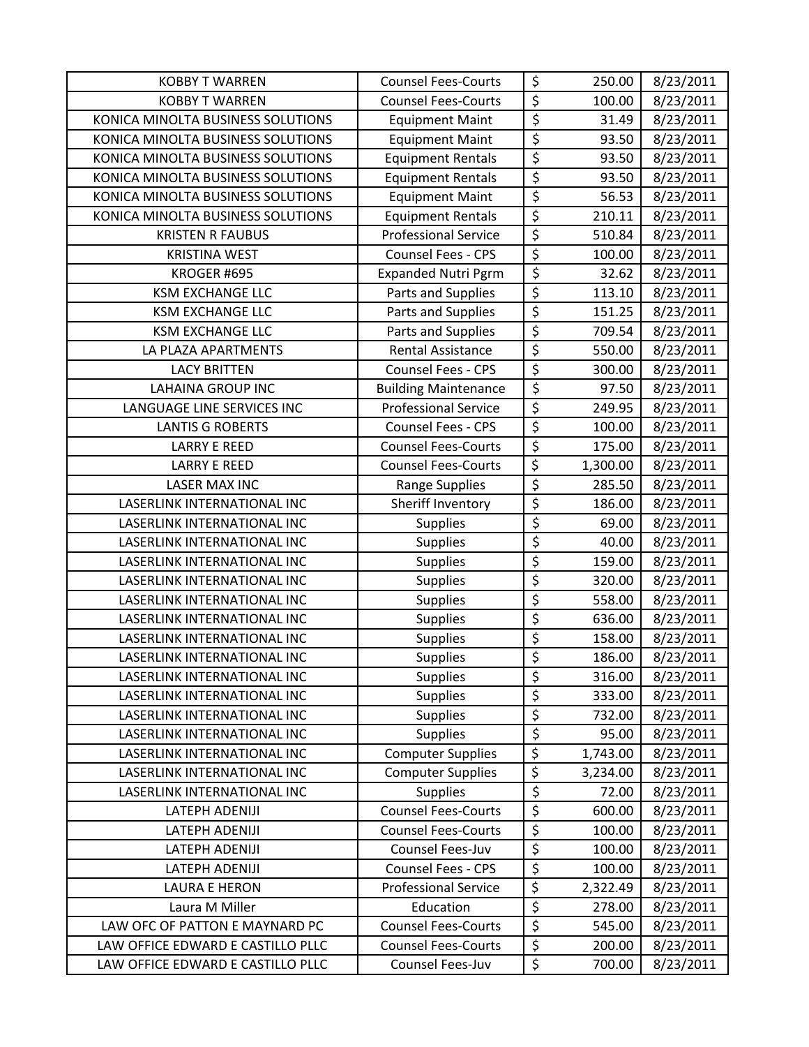| <b>KOBBY T WARREN</b>             | <b>Counsel Fees-Courts</b>  | \$                     | 250.00   | 8/23/2011 |
|-----------------------------------|-----------------------------|------------------------|----------|-----------|
| <b>KOBBY T WARREN</b>             | <b>Counsel Fees-Courts</b>  | $\overline{\xi}$       | 100.00   | 8/23/2011 |
| KONICA MINOLTA BUSINESS SOLUTIONS | <b>Equipment Maint</b>      | $\overline{\xi}$       | 31.49    | 8/23/2011 |
| KONICA MINOLTA BUSINESS SOLUTIONS | <b>Equipment Maint</b>      | \$                     | 93.50    | 8/23/2011 |
| KONICA MINOLTA BUSINESS SOLUTIONS | <b>Equipment Rentals</b>    | \$                     | 93.50    | 8/23/2011 |
| KONICA MINOLTA BUSINESS SOLUTIONS | <b>Equipment Rentals</b>    | $\overline{\xi}$       | 93.50    | 8/23/2011 |
| KONICA MINOLTA BUSINESS SOLUTIONS | <b>Equipment Maint</b>      | \$                     | 56.53    | 8/23/2011 |
| KONICA MINOLTA BUSINESS SOLUTIONS | <b>Equipment Rentals</b>    | $\overline{\varsigma}$ | 210.11   | 8/23/2011 |
| <b>KRISTEN R FAUBUS</b>           | <b>Professional Service</b> | \$                     | 510.84   | 8/23/2011 |
| <b>KRISTINA WEST</b>              | <b>Counsel Fees - CPS</b>   | $\overline{\xi}$       | 100.00   | 8/23/2011 |
| KROGER #695                       | <b>Expanded Nutri Pgrm</b>  | $\overline{\xi}$       | 32.62    | 8/23/2011 |
| <b>KSM EXCHANGE LLC</b>           | Parts and Supplies          | $\overline{\xi}$       | 113.10   | 8/23/2011 |
| <b>KSM EXCHANGE LLC</b>           | Parts and Supplies          | \$                     | 151.25   | 8/23/2011 |
| <b>KSM EXCHANGE LLC</b>           | Parts and Supplies          | $\overline{\xi}$       | 709.54   | 8/23/2011 |
| LA PLAZA APARTMENTS               | <b>Rental Assistance</b>    | $\overline{\xi}$       | 550.00   | 8/23/2011 |
| <b>LACY BRITTEN</b>               | Counsel Fees - CPS          | $\overline{\xi}$       | 300.00   | 8/23/2011 |
| <b>LAHAINA GROUP INC</b>          | <b>Building Maintenance</b> | $\overline{\xi}$       | 97.50    | 8/23/2011 |
| LANGUAGE LINE SERVICES INC        | <b>Professional Service</b> | $\overline{\xi}$       | 249.95   | 8/23/2011 |
| <b>LANTIS G ROBERTS</b>           | Counsel Fees - CPS          | $\overline{\xi}$       | 100.00   | 8/23/2011 |
| <b>LARRY E REED</b>               | <b>Counsel Fees-Courts</b>  | \$                     | 175.00   | 8/23/2011 |
| <b>LARRY E REED</b>               | <b>Counsel Fees-Courts</b>  | $\overline{\xi}$       | 1,300.00 | 8/23/2011 |
| <b>LASER MAX INC</b>              | Range Supplies              | \$                     | 285.50   | 8/23/2011 |
| LASERLINK INTERNATIONAL INC       | Sheriff Inventory           | $\overline{\varsigma}$ | 186.00   | 8/23/2011 |
| LASERLINK INTERNATIONAL INC       | <b>Supplies</b>             | $\overline{\xi}$       | 69.00    | 8/23/2011 |
| LASERLINK INTERNATIONAL INC       | <b>Supplies</b>             | \$                     | 40.00    | 8/23/2011 |
| LASERLINK INTERNATIONAL INC       | <b>Supplies</b>             | \$                     | 159.00   | 8/23/2011 |
| LASERLINK INTERNATIONAL INC       | <b>Supplies</b>             | $\overline{\xi}$       | 320.00   | 8/23/2011 |
| LASERLINK INTERNATIONAL INC       | <b>Supplies</b>             | \$                     | 558.00   | 8/23/2011 |
| LASERLINK INTERNATIONAL INC       | <b>Supplies</b>             | $\overline{\xi}$       | 636.00   | 8/23/2011 |
| LASERLINK INTERNATIONAL INC       | <b>Supplies</b>             | $\overline{\xi}$       | 158.00   | 8/23/2011 |
| LASERLINK INTERNATIONAL INC       | <b>Supplies</b>             | \$                     | 186.00   | 8/23/2011 |
| LASERLINK INTERNATIONAL INC       | <b>Supplies</b>             | \$                     | 316.00   | 8/23/2011 |
| LASERLINK INTERNATIONAL INC       | <b>Supplies</b>             | $\overline{\varsigma}$ | 333.00   | 8/23/2011 |
| LASERLINK INTERNATIONAL INC       | <b>Supplies</b>             | \$                     | 732.00   | 8/23/2011 |
| LASERLINK INTERNATIONAL INC       | <b>Supplies</b>             | \$                     | 95.00    | 8/23/2011 |
| LASERLINK INTERNATIONAL INC       | <b>Computer Supplies</b>    | $\overline{\xi}$       | 1,743.00 | 8/23/2011 |
| LASERLINK INTERNATIONAL INC       | <b>Computer Supplies</b>    | $\overline{\xi}$       | 3,234.00 | 8/23/2011 |
| LASERLINK INTERNATIONAL INC       | <b>Supplies</b>             | \$                     | 72.00    | 8/23/2011 |
| <b>LATEPH ADENIJI</b>             | <b>Counsel Fees-Courts</b>  | \$                     | 600.00   | 8/23/2011 |
| <b>LATEPH ADENIJI</b>             | <b>Counsel Fees-Courts</b>  | \$                     | 100.00   | 8/23/2011 |
| <b>LATEPH ADENIJI</b>             | Counsel Fees-Juv            | \$                     | 100.00   | 8/23/2011 |
| <b>LATEPH ADENIJI</b>             | Counsel Fees - CPS          | \$                     | 100.00   | 8/23/2011 |
| <b>LAURA E HERON</b>              | <b>Professional Service</b> | $\overline{\xi}$       | 2,322.49 | 8/23/2011 |
| Laura M Miller                    | Education                   | $\overline{\varsigma}$ | 278.00   | 8/23/2011 |
| LAW OFC OF PATTON E MAYNARD PC    | <b>Counsel Fees-Courts</b>  | $\overline{\xi}$       | 545.00   | 8/23/2011 |
| LAW OFFICE EDWARD E CASTILLO PLLC | <b>Counsel Fees-Courts</b>  | $\overline{\xi}$       | 200.00   | 8/23/2011 |
| LAW OFFICE EDWARD E CASTILLO PLLC | Counsel Fees-Juv            | \$                     | 700.00   | 8/23/2011 |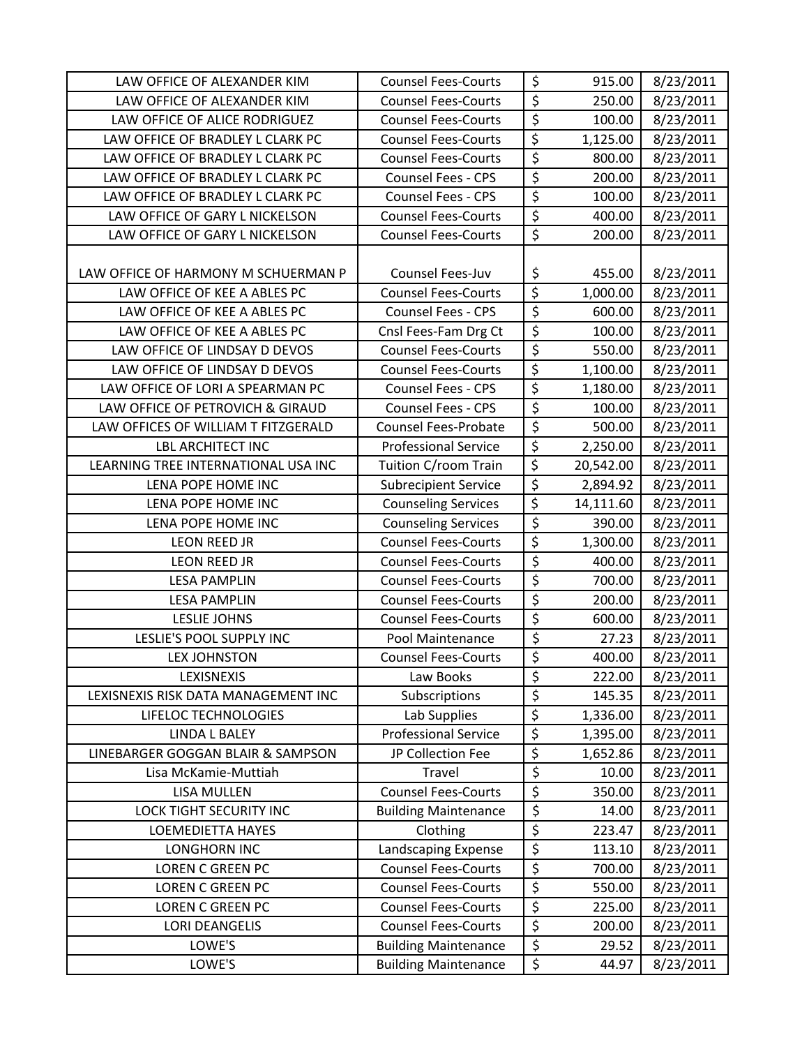| LAW OFFICE OF ALEXANDER KIM         | <b>Counsel Fees-Courts</b>  | \$                                  | 915.00    | 8/23/2011 |
|-------------------------------------|-----------------------------|-------------------------------------|-----------|-----------|
| LAW OFFICE OF ALEXANDER KIM         | <b>Counsel Fees-Courts</b>  | $\overline{\xi}$                    | 250.00    | 8/23/2011 |
| LAW OFFICE OF ALICE RODRIGUEZ       | <b>Counsel Fees-Courts</b>  | $\overline{\xi}$                    | 100.00    | 8/23/2011 |
| LAW OFFICE OF BRADLEY L CLARK PC    | <b>Counsel Fees-Courts</b>  | \$                                  | 1,125.00  | 8/23/2011 |
| LAW OFFICE OF BRADLEY L CLARK PC    | <b>Counsel Fees-Courts</b>  | \$                                  | 800.00    | 8/23/2011 |
| LAW OFFICE OF BRADLEY L CLARK PC    | Counsel Fees - CPS          | $\overline{\xi}$                    | 200.00    | 8/23/2011 |
| LAW OFFICE OF BRADLEY L CLARK PC    | <b>Counsel Fees - CPS</b>   | \$                                  | 100.00    | 8/23/2011 |
| LAW OFFICE OF GARY L NICKELSON      | <b>Counsel Fees-Courts</b>  | \$                                  | 400.00    | 8/23/2011 |
| LAW OFFICE OF GARY L NICKELSON      | <b>Counsel Fees-Courts</b>  | $\overline{\xi}$                    | 200.00    | 8/23/2011 |
| LAW OFFICE OF HARMONY M SCHUERMAN P | Counsel Fees-Juv            | \$                                  | 455.00    | 8/23/2011 |
| LAW OFFICE OF KEE A ABLES PC        | <b>Counsel Fees-Courts</b>  | $\overline{\boldsymbol{\varsigma}}$ | 1,000.00  | 8/23/2011 |
| LAW OFFICE OF KEE A ABLES PC        | <b>Counsel Fees - CPS</b>   | $\overline{\xi}$                    | 600.00    | 8/23/2011 |
| LAW OFFICE OF KEE A ABLES PC        | Cnsl Fees-Fam Drg Ct        | $\overline{\xi}$                    | 100.00    | 8/23/2011 |
| LAW OFFICE OF LINDSAY D DEVOS       | <b>Counsel Fees-Courts</b>  | $\overline{\xi}$                    | 550.00    | 8/23/2011 |
| LAW OFFICE OF LINDSAY D DEVOS       | <b>Counsel Fees-Courts</b>  | \$                                  | 1,100.00  | 8/23/2011 |
| LAW OFFICE OF LORI A SPEARMAN PC    | <b>Counsel Fees - CPS</b>   | $\overline{\xi}$                    | 1,180.00  | 8/23/2011 |
| LAW OFFICE OF PETROVICH & GIRAUD    | <b>Counsel Fees - CPS</b>   | \$                                  | 100.00    | 8/23/2011 |
| LAW OFFICES OF WILLIAM T FITZGERALD | <b>Counsel Fees-Probate</b> | \$                                  | 500.00    | 8/23/2011 |
| <b>LBL ARCHITECT INC</b>            | <b>Professional Service</b> | $\overline{\xi}$                    | 2,250.00  | 8/23/2011 |
| LEARNING TREE INTERNATIONAL USA INC | Tuition C/room Train        | $\overline{\xi}$                    | 20,542.00 | 8/23/2011 |
| LENA POPE HOME INC                  | <b>Subrecipient Service</b> | \$                                  | 2,894.92  | 8/23/2011 |
| LENA POPE HOME INC                  | <b>Counseling Services</b>  | $\overline{\xi}$                    | 14,111.60 | 8/23/2011 |
| LENA POPE HOME INC                  | <b>Counseling Services</b>  | $\overline{\xi}$                    | 390.00    | 8/23/2011 |
| LEON REED JR                        | <b>Counsel Fees-Courts</b>  | $\overline{\xi}$                    | 1,300.00  | 8/23/2011 |
| <b>LEON REED JR</b>                 | <b>Counsel Fees-Courts</b>  | \$                                  | 400.00    | 8/23/2011 |
| <b>LESA PAMPLIN</b>                 | <b>Counsel Fees-Courts</b>  | $\overline{\xi}$                    | 700.00    | 8/23/2011 |
| <b>LESA PAMPLIN</b>                 | <b>Counsel Fees-Courts</b>  | $\overline{\xi}$                    | 200.00    | 8/23/2011 |
| <b>LESLIE JOHNS</b>                 | <b>Counsel Fees-Courts</b>  | \$                                  | 600.00    | 8/23/2011 |
| LESLIE'S POOL SUPPLY INC            | Pool Maintenance            | \$                                  | 27.23     | 8/23/2011 |
| <b>LEX JOHNSTON</b>                 | <b>Counsel Fees-Courts</b>  | $\overline{\xi}$                    | 400.00    | 8/23/2011 |
| LEXISNEXIS                          | Law Books                   | \$                                  | 222.00    | 8/23/2011 |
| LEXISNEXIS RISK DATA MANAGEMENT INC | Subscriptions               | \$                                  | 145.35    | 8/23/2011 |
| LIFELOC TECHNOLOGIES                | Lab Supplies                | \$                                  | 1,336.00  | 8/23/2011 |
| <b>LINDA L BALEY</b>                | <b>Professional Service</b> | \$                                  | 1,395.00  | 8/23/2011 |
| LINEBARGER GOGGAN BLAIR & SAMPSON   | JP Collection Fee           | \$                                  | 1,652.86  | 8/23/2011 |
| Lisa McKamie-Muttiah                | Travel                      | \$                                  | 10.00     | 8/23/2011 |
| <b>LISA MULLEN</b>                  | <b>Counsel Fees-Courts</b>  | \$                                  | 350.00    | 8/23/2011 |
| LOCK TIGHT SECURITY INC             | <b>Building Maintenance</b> | \$                                  | 14.00     | 8/23/2011 |
| <b>LOEMEDIETTA HAYES</b>            | Clothing                    | \$                                  | 223.47    | 8/23/2011 |
| <b>LONGHORN INC</b>                 | Landscaping Expense         | \$                                  | 113.10    | 8/23/2011 |
| <b>LOREN C GREEN PC</b>             | <b>Counsel Fees-Courts</b>  | \$                                  | 700.00    | 8/23/2011 |
| <b>LOREN C GREEN PC</b>             | <b>Counsel Fees-Courts</b>  | \$                                  | 550.00    | 8/23/2011 |
| <b>LOREN C GREEN PC</b>             | <b>Counsel Fees-Courts</b>  | \$                                  | 225.00    | 8/23/2011 |
| <b>LORI DEANGELIS</b>               | <b>Counsel Fees-Courts</b>  | \$                                  | 200.00    | 8/23/2011 |
| LOWE'S                              | <b>Building Maintenance</b> | \$                                  | 29.52     | 8/23/2011 |
| LOWE'S                              | <b>Building Maintenance</b> | \$                                  | 44.97     | 8/23/2011 |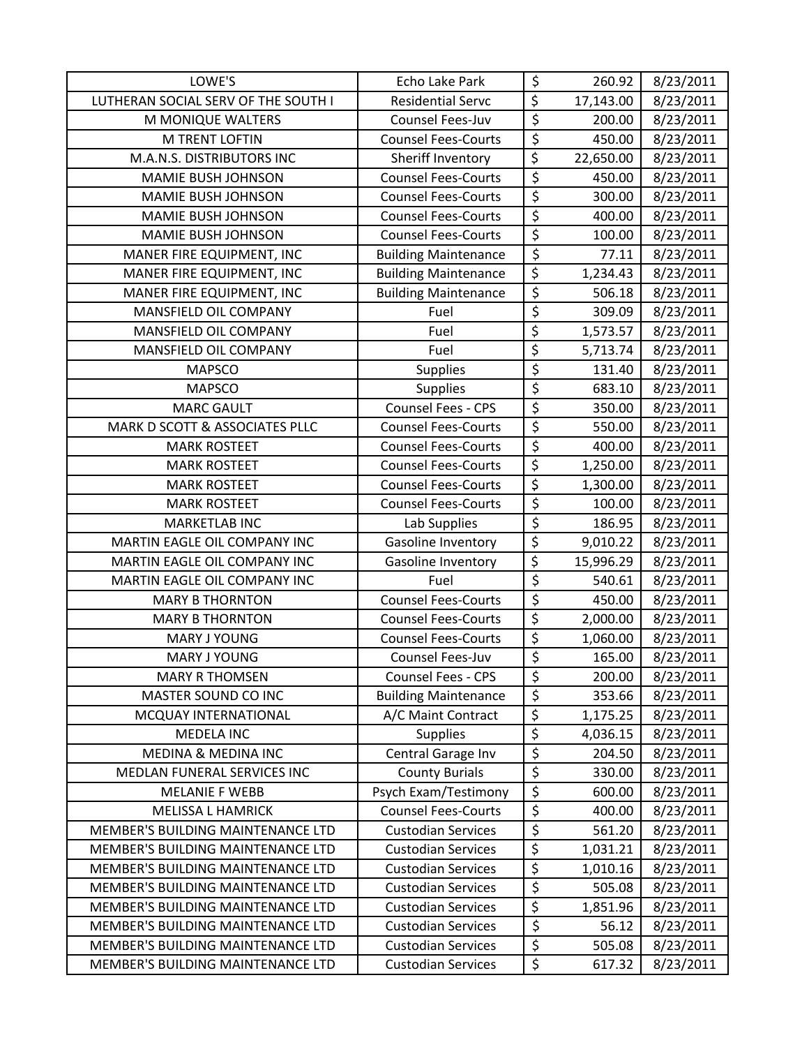| LOWE'S                              | Echo Lake Park              | \$                     | 260.92    | 8/23/2011 |
|-------------------------------------|-----------------------------|------------------------|-----------|-----------|
| LUTHERAN SOCIAL SERV OF THE SOUTH I | <b>Residential Servc</b>    | \$                     | 17,143.00 | 8/23/2011 |
| M MONIQUE WALTERS                   | Counsel Fees-Juv            | $\overline{\xi}$       | 200.00    | 8/23/2011 |
| <b>M TRENT LOFTIN</b>               | <b>Counsel Fees-Courts</b>  | $\overline{\xi}$       | 450.00    | 8/23/2011 |
| M.A.N.S. DISTRIBUTORS INC           | Sheriff Inventory           | $\overline{\xi}$       | 22,650.00 | 8/23/2011 |
| <b>MAMIE BUSH JOHNSON</b>           | <b>Counsel Fees-Courts</b>  | $\overline{\xi}$       | 450.00    | 8/23/2011 |
| MAMIE BUSH JOHNSON                  | <b>Counsel Fees-Courts</b>  | $\overline{\xi}$       | 300.00    | 8/23/2011 |
| <b>MAMIE BUSH JOHNSON</b>           | <b>Counsel Fees-Courts</b>  | \$                     | 400.00    | 8/23/2011 |
| <b>MAMIE BUSH JOHNSON</b>           | <b>Counsel Fees-Courts</b>  | \$                     | 100.00    | 8/23/2011 |
| MANER FIRE EQUIPMENT, INC           | <b>Building Maintenance</b> | $\overline{\xi}$       | 77.11     | 8/23/2011 |
| MANER FIRE EQUIPMENT, INC           | <b>Building Maintenance</b> | $\overline{\xi}$       | 1,234.43  | 8/23/2011 |
| MANER FIRE EQUIPMENT, INC           | <b>Building Maintenance</b> | $\overline{\xi}$       | 506.18    | 8/23/2011 |
| MANSFIELD OIL COMPANY               | Fuel                        | $\overline{\xi}$       | 309.09    | 8/23/2011 |
| MANSFIELD OIL COMPANY               | Fuel                        | $\overline{\xi}$       | 1,573.57  | 8/23/2011 |
| MANSFIELD OIL COMPANY               | Fuel                        | $\overline{\varsigma}$ | 5,713.74  | 8/23/2011 |
| <b>MAPSCO</b>                       | <b>Supplies</b>             | $\overline{\xi}$       | 131.40    | 8/23/2011 |
| <b>MAPSCO</b>                       | <b>Supplies</b>             | $\overline{\xi}$       | 683.10    | 8/23/2011 |
| <b>MARC GAULT</b>                   | Counsel Fees - CPS          | $\overline{\xi}$       | 350.00    | 8/23/2011 |
| MARK D SCOTT & ASSOCIATES PLLC      | <b>Counsel Fees-Courts</b>  | $\overline{\xi}$       | 550.00    | 8/23/2011 |
| <b>MARK ROSTEET</b>                 | <b>Counsel Fees-Courts</b>  | $\overline{\xi}$       | 400.00    | 8/23/2011 |
| <b>MARK ROSTEET</b>                 | <b>Counsel Fees-Courts</b>  | $\overline{\xi}$       | 1,250.00  | 8/23/2011 |
| <b>MARK ROSTEET</b>                 | <b>Counsel Fees-Courts</b>  | $\overline{\xi}$       | 1,300.00  | 8/23/2011 |
| <b>MARK ROSTEET</b>                 | <b>Counsel Fees-Courts</b>  | \$                     | 100.00    | 8/23/2011 |
| <b>MARKETLAB INC</b>                | Lab Supplies                | $\overline{\xi}$       | 186.95    | 8/23/2011 |
| MARTIN EAGLE OIL COMPANY INC        | Gasoline Inventory          | $\overline{\xi}$       | 9,010.22  | 8/23/2011 |
| MARTIN EAGLE OIL COMPANY INC        | Gasoline Inventory          | $\overline{\xi}$       | 15,996.29 | 8/23/2011 |
| MARTIN EAGLE OIL COMPANY INC        | Fuel                        | $\overline{\xi}$       | 540.61    | 8/23/2011 |
| <b>MARY B THORNTON</b>              | <b>Counsel Fees-Courts</b>  | $\overline{\xi}$       | 450.00    | 8/23/2011 |
| <b>MARY B THORNTON</b>              | <b>Counsel Fees-Courts</b>  | $\overline{\xi}$       | 2,000.00  | 8/23/2011 |
| <b>MARY J YOUNG</b>                 | <b>Counsel Fees-Courts</b>  | $\overline{\xi}$       | 1,060.00  | 8/23/2011 |
| <b>MARY J YOUNG</b>                 | Counsel Fees-Juv            | $\overline{\xi}$       | 165.00    | 8/23/2011 |
| <b>MARY R THOMSEN</b>               | Counsel Fees - CPS          | \$                     | 200.00    | 8/23/2011 |
| MASTER SOUND CO INC                 | <b>Building Maintenance</b> | $\overline{\varsigma}$ | 353.66    | 8/23/2011 |
| MCQUAY INTERNATIONAL                | A/C Maint Contract          | \$                     | 1,175.25  | 8/23/2011 |
| <b>MEDELA INC</b>                   | <b>Supplies</b>             | \$                     | 4,036.15  | 8/23/2011 |
| <b>MEDINA &amp; MEDINA INC</b>      | Central Garage Inv          | \$                     | 204.50    | 8/23/2011 |
| MEDLAN FUNERAL SERVICES INC         | <b>County Burials</b>       | \$                     | 330.00    | 8/23/2011 |
| <b>MELANIE F WEBB</b>               | Psych Exam/Testimony        | \$                     | 600.00    | 8/23/2011 |
| <b>MELISSA L HAMRICK</b>            | <b>Counsel Fees-Courts</b>  | \$                     | 400.00    | 8/23/2011 |
| MEMBER'S BUILDING MAINTENANCE LTD   | <b>Custodian Services</b>   | $\overline{\varsigma}$ | 561.20    | 8/23/2011 |
| MEMBER'S BUILDING MAINTENANCE LTD   | <b>Custodian Services</b>   | \$                     | 1,031.21  | 8/23/2011 |
| MEMBER'S BUILDING MAINTENANCE LTD   | <b>Custodian Services</b>   | \$                     | 1,010.16  | 8/23/2011 |
| MEMBER'S BUILDING MAINTENANCE LTD   | <b>Custodian Services</b>   | $\overline{\xi}$       | 505.08    | 8/23/2011 |
| MEMBER'S BUILDING MAINTENANCE LTD   | <b>Custodian Services</b>   | $\overline{\xi}$       | 1,851.96  | 8/23/2011 |
| MEMBER'S BUILDING MAINTENANCE LTD   | <b>Custodian Services</b>   | \$                     | 56.12     | 8/23/2011 |
| MEMBER'S BUILDING MAINTENANCE LTD   | <b>Custodian Services</b>   | \$                     | 505.08    | 8/23/2011 |
| MEMBER'S BUILDING MAINTENANCE LTD   | <b>Custodian Services</b>   | \$                     | 617.32    | 8/23/2011 |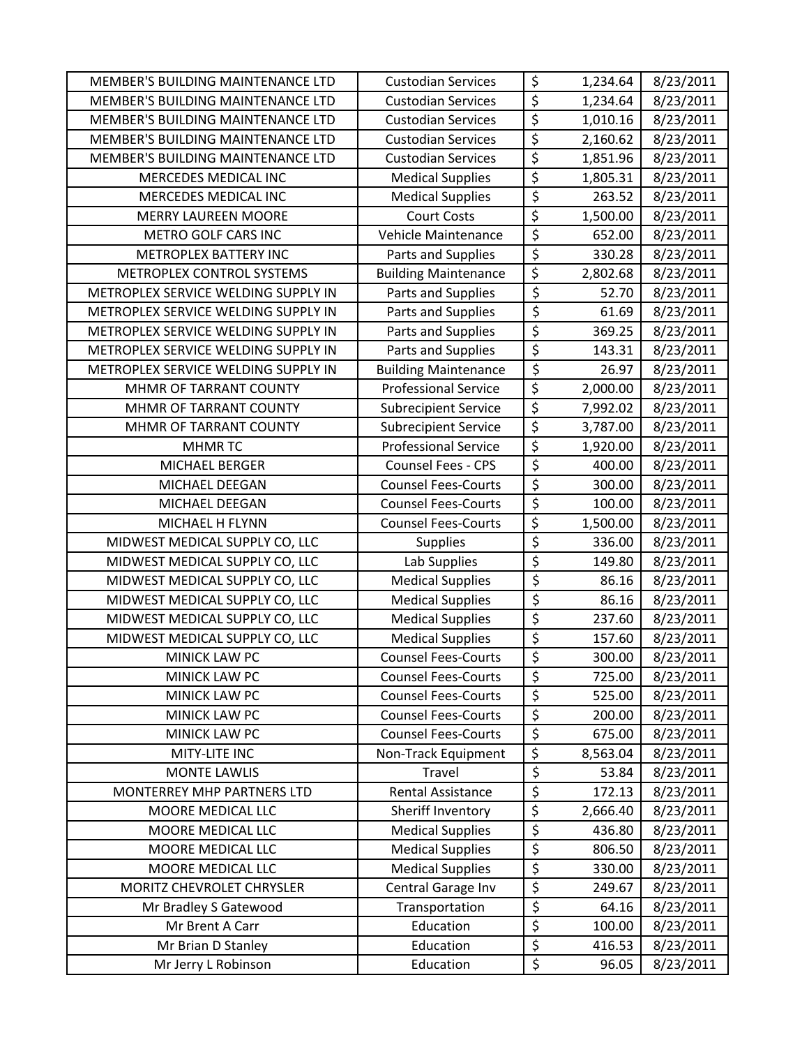| MEMBER'S BUILDING MAINTENANCE LTD   | <b>Custodian Services</b>   | \$                              | 1,234.64 | 8/23/2011 |
|-------------------------------------|-----------------------------|---------------------------------|----------|-----------|
| MEMBER'S BUILDING MAINTENANCE LTD   | <b>Custodian Services</b>   | $\overline{\xi}$                | 1,234.64 | 8/23/2011 |
| MEMBER'S BUILDING MAINTENANCE LTD   | <b>Custodian Services</b>   | $\overline{\xi}$                | 1,010.16 | 8/23/2011 |
| MEMBER'S BUILDING MAINTENANCE LTD   | <b>Custodian Services</b>   | \$                              | 2,160.62 | 8/23/2011 |
| MEMBER'S BUILDING MAINTENANCE LTD   | <b>Custodian Services</b>   | \$                              | 1,851.96 | 8/23/2011 |
| MERCEDES MEDICAL INC                | <b>Medical Supplies</b>     | $\overline{\xi}$                | 1,805.31 | 8/23/2011 |
| MERCEDES MEDICAL INC                | <b>Medical Supplies</b>     | \$                              | 263.52   | 8/23/2011 |
| <b>MERRY LAUREEN MOORE</b>          | <b>Court Costs</b>          | \$                              | 1,500.00 | 8/23/2011 |
| METRO GOLF CARS INC                 | Vehicle Maintenance         | $\overline{\xi}$                | 652.00   | 8/23/2011 |
| METROPLEX BATTERY INC               | Parts and Supplies          | $\overline{\xi}$                | 330.28   | 8/23/2011 |
| METROPLEX CONTROL SYSTEMS           | <b>Building Maintenance</b> | \$                              | 2,802.68 | 8/23/2011 |
| METROPLEX SERVICE WELDING SUPPLY IN | Parts and Supplies          | \$                              | 52.70    | 8/23/2011 |
| METROPLEX SERVICE WELDING SUPPLY IN | Parts and Supplies          | \$                              | 61.69    | 8/23/2011 |
| METROPLEX SERVICE WELDING SUPPLY IN | Parts and Supplies          | $\overline{\xi}$                | 369.25   | 8/23/2011 |
| METROPLEX SERVICE WELDING SUPPLY IN | Parts and Supplies          | $\overline{\xi}$                | 143.31   | 8/23/2011 |
| METROPLEX SERVICE WELDING SUPPLY IN | <b>Building Maintenance</b> | $\overline{\varsigma}$          | 26.97    | 8/23/2011 |
| MHMR OF TARRANT COUNTY              | <b>Professional Service</b> | $\overline{\xi}$                | 2,000.00 | 8/23/2011 |
| MHMR OF TARRANT COUNTY              | <b>Subrecipient Service</b> | $\overline{\xi}$                | 7,992.02 | 8/23/2011 |
| MHMR OF TARRANT COUNTY              | <b>Subrecipient Service</b> | $\overline{\xi}$                | 3,787.00 | 8/23/2011 |
| <b>MHMRTC</b>                       | <b>Professional Service</b> | \$                              | 1,920.00 | 8/23/2011 |
| MICHAEL BERGER                      | Counsel Fees - CPS          | $\overline{\xi}$                | 400.00   | 8/23/2011 |
| MICHAEL DEEGAN                      | <b>Counsel Fees-Courts</b>  | $\overline{\xi}$                | 300.00   | 8/23/2011 |
| MICHAEL DEEGAN                      | <b>Counsel Fees-Courts</b>  | $\overline{\xi}$                | 100.00   | 8/23/2011 |
| MICHAEL H FLYNN                     | <b>Counsel Fees-Courts</b>  | $\overline{\xi}$                | 1,500.00 | 8/23/2011 |
| MIDWEST MEDICAL SUPPLY CO, LLC      | <b>Supplies</b>             | \$                              | 336.00   | 8/23/2011 |
| MIDWEST MEDICAL SUPPLY CO, LLC      | Lab Supplies                | \$                              | 149.80   | 8/23/2011 |
| MIDWEST MEDICAL SUPPLY CO, LLC      | <b>Medical Supplies</b>     | \$                              | 86.16    | 8/23/2011 |
| MIDWEST MEDICAL SUPPLY CO, LLC      | <b>Medical Supplies</b>     | $\overline{\xi}$                | 86.16    | 8/23/2011 |
| MIDWEST MEDICAL SUPPLY CO, LLC      | <b>Medical Supplies</b>     | $\overline{\xi}$                | 237.60   | 8/23/2011 |
| MIDWEST MEDICAL SUPPLY CO, LLC      | <b>Medical Supplies</b>     | $\overline{\varsigma}$          | 157.60   | 8/23/2011 |
| <b>MINICK LAW PC</b>                | <b>Counsel Fees-Courts</b>  | $\overline{\boldsymbol{\zeta}}$ | 300.00   | 8/23/2011 |
| MINICK LAW PC                       | <b>Counsel Fees-Courts</b>  | \$                              | 725.00   | 8/23/2011 |
| MINICK LAW PC                       | <b>Counsel Fees-Courts</b>  | \$                              | 525.00   | 8/23/2011 |
| MINICK LAW PC                       | <b>Counsel Fees-Courts</b>  | \$                              | 200.00   | 8/23/2011 |
| <b>MINICK LAW PC</b>                | <b>Counsel Fees-Courts</b>  | \$                              | 675.00   | 8/23/2011 |
| MITY-LITE INC                       | Non-Track Equipment         | $\overline{\xi}$                | 8,563.04 | 8/23/2011 |
| <b>MONTE LAWLIS</b>                 | Travel                      | $\overline{\varsigma}$          | 53.84    | 8/23/2011 |
| MONTERREY MHP PARTNERS LTD          | <b>Rental Assistance</b>    | \$                              | 172.13   | 8/23/2011 |
| MOORE MEDICAL LLC                   | Sheriff Inventory           | \$                              | 2,666.40 | 8/23/2011 |
| MOORE MEDICAL LLC                   | <b>Medical Supplies</b>     | $\overline{\xi}$                | 436.80   | 8/23/2011 |
| MOORE MEDICAL LLC                   | <b>Medical Supplies</b>     | \$                              | 806.50   | 8/23/2011 |
| MOORE MEDICAL LLC                   | <b>Medical Supplies</b>     | \$                              | 330.00   | 8/23/2011 |
| MORITZ CHEVROLET CHRYSLER           | Central Garage Inv          | $\overline{\xi}$                | 249.67   | 8/23/2011 |
| Mr Bradley S Gatewood               | Transportation              | \$                              | 64.16    | 8/23/2011 |
| Mr Brent A Carr                     | Education                   | $\overline{\xi}$                | 100.00   | 8/23/2011 |
| Mr Brian D Stanley                  | Education                   | \$                              | 416.53   | 8/23/2011 |
| Mr Jerry L Robinson                 | Education                   | \$                              | 96.05    | 8/23/2011 |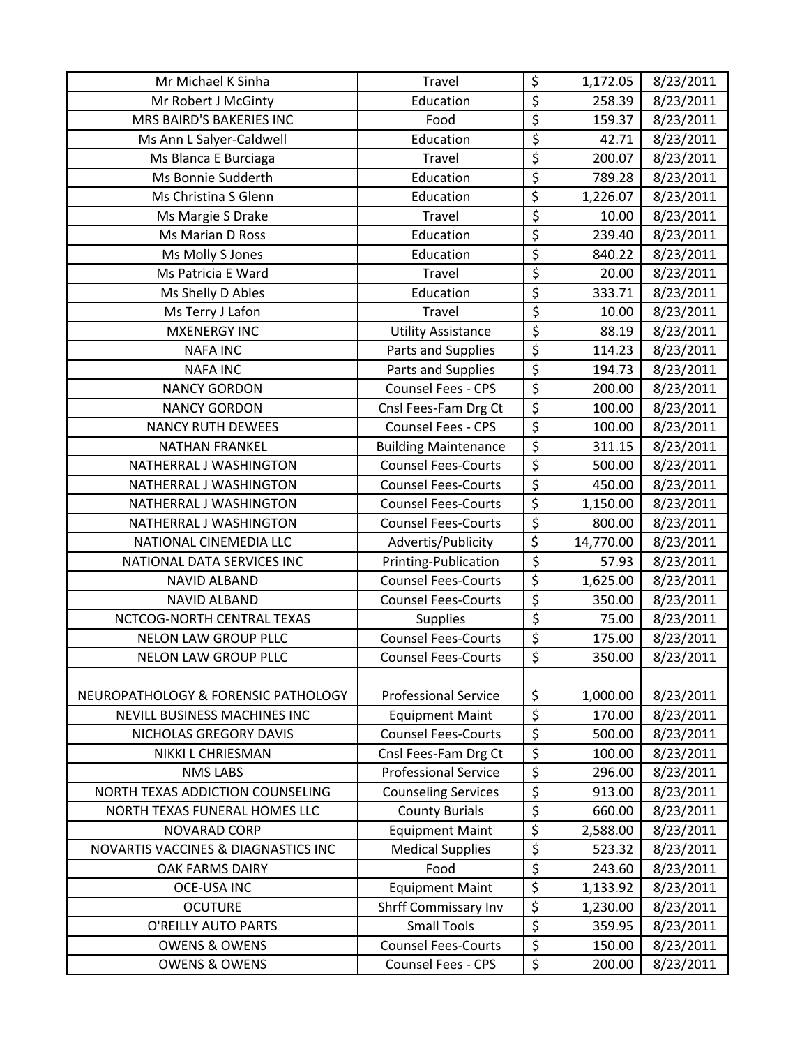| Mr Michael K Sinha                  | Travel                      | \$                              | 1,172.05  | 8/23/2011 |
|-------------------------------------|-----------------------------|---------------------------------|-----------|-----------|
| Mr Robert J McGinty                 | Education                   | \$                              | 258.39    | 8/23/2011 |
| MRS BAIRD'S BAKERIES INC            | Food                        | \$                              | 159.37    | 8/23/2011 |
| Ms Ann L Salyer-Caldwell            | Education                   | \$                              | 42.71     | 8/23/2011 |
| Ms Blanca E Burciaga                | Travel                      | \$                              | 200.07    | 8/23/2011 |
| Ms Bonnie Sudderth                  | Education                   | \$                              | 789.28    | 8/23/2011 |
| Ms Christina S Glenn                | Education                   | \$                              | 1,226.07  | 8/23/2011 |
| Ms Margie S Drake                   | Travel                      | \$                              | 10.00     | 8/23/2011 |
| Ms Marian D Ross                    | Education                   | \$                              | 239.40    | 8/23/2011 |
| Ms Molly S Jones                    | Education                   | $\overline{\xi}$                | 840.22    | 8/23/2011 |
| Ms Patricia E Ward                  | <b>Travel</b>               | \$                              | 20.00     | 8/23/2011 |
| Ms Shelly D Ables                   | Education                   | \$                              | 333.71    | 8/23/2011 |
| Ms Terry J Lafon                    | <b>Travel</b>               | \$                              | 10.00     | 8/23/2011 |
| <b>MXENERGY INC</b>                 | <b>Utility Assistance</b>   | \$                              | 88.19     | 8/23/2011 |
| <b>NAFA INC</b>                     | Parts and Supplies          | \$                              | 114.23    | 8/23/2011 |
| <b>NAFA INC</b>                     | Parts and Supplies          | $\overline{\mathcal{S}}$        | 194.73    | 8/23/2011 |
| <b>NANCY GORDON</b>                 | <b>Counsel Fees - CPS</b>   | $\overline{\xi}$                | 200.00    | 8/23/2011 |
| <b>NANCY GORDON</b>                 | Cnsl Fees-Fam Drg Ct        | \$                              | 100.00    | 8/23/2011 |
| <b>NANCY RUTH DEWEES</b>            | Counsel Fees - CPS          | \$                              | 100.00    | 8/23/2011 |
| <b>NATHAN FRANKEL</b>               | <b>Building Maintenance</b> | \$                              | 311.15    | 8/23/2011 |
| NATHERRAL J WASHINGTON              | <b>Counsel Fees-Courts</b>  | \$                              | 500.00    | 8/23/2011 |
| NATHERRAL J WASHINGTON              | <b>Counsel Fees-Courts</b>  | \$                              | 450.00    | 8/23/2011 |
| NATHERRAL J WASHINGTON              | <b>Counsel Fees-Courts</b>  | $\overline{\xi}$                | 1,150.00  | 8/23/2011 |
| NATHERRAL J WASHINGTON              | <b>Counsel Fees-Courts</b>  | $\overline{\xi}$                | 800.00    | 8/23/2011 |
| NATIONAL CINEMEDIA LLC              | Advertis/Publicity          | \$                              | 14,770.00 | 8/23/2011 |
| NATIONAL DATA SERVICES INC          | Printing-Publication        | $\overline{\varsigma}$          | 57.93     | 8/23/2011 |
| <b>NAVID ALBAND</b>                 | <b>Counsel Fees-Courts</b>  | \$                              | 1,625.00  | 8/23/2011 |
| <b>NAVID ALBAND</b>                 | <b>Counsel Fees-Courts</b>  | $\overline{\xi}$                | 350.00    | 8/23/2011 |
| NCTCOG-NORTH CENTRAL TEXAS          | <b>Supplies</b>             | $\overline{\xi}$                | 75.00     | 8/23/2011 |
| <b>NELON LAW GROUP PLLC</b>         | <b>Counsel Fees-Courts</b>  | $\overline{\xi}$                | 175.00    | 8/23/2011 |
| <b>NELON LAW GROUP PLLC</b>         | <b>Counsel Fees-Courts</b>  | $\overline{\xi}$                | 350.00    | 8/23/2011 |
|                                     |                             |                                 |           |           |
| NEUROPATHOLOGY & FORENSIC PATHOLOGY | <b>Professional Service</b> | \$                              | 1,000.00  | 8/23/2011 |
| <b>NEVILL BUSINESS MACHINES INC</b> | <b>Equipment Maint</b>      | \$                              | 170.00    | 8/23/2011 |
| NICHOLAS GREGORY DAVIS              | <b>Counsel Fees-Courts</b>  | \$                              | 500.00    | 8/23/2011 |
| <b>NIKKI L CHRIESMAN</b>            | Cnsl Fees-Fam Drg Ct        | \$                              | 100.00    | 8/23/2011 |
| <b>NMS LABS</b>                     | <b>Professional Service</b> | \$                              | 296.00    | 8/23/2011 |
| NORTH TEXAS ADDICTION COUNSELING    | <b>Counseling Services</b>  | $\overline{\xi}$                | 913.00    | 8/23/2011 |
| NORTH TEXAS FUNERAL HOMES LLC       | <b>County Burials</b>       | \$                              | 660.00    | 8/23/2011 |
| NOVARAD CORP                        | <b>Equipment Maint</b>      | \$                              | 2,588.00  | 8/23/2011 |
| NOVARTIS VACCINES & DIAGNASTICS INC | <b>Medical Supplies</b>     | $\overline{\boldsymbol{\zeta}}$ | 523.32    | 8/23/2011 |
| OAK FARMS DAIRY                     | Food                        | $\overline{\xi}$                | 243.60    | 8/23/2011 |
| <b>OCE-USA INC</b>                  | <b>Equipment Maint</b>      | \$                              | 1,133.92  | 8/23/2011 |
| <b>OCUTURE</b>                      | <b>Shrff Commissary Inv</b> | $\overline{\varsigma}$          | 1,230.00  | 8/23/2011 |
| O'REILLY AUTO PARTS                 | <b>Small Tools</b>          | $\overline{\xi}$                | 359.95    | 8/23/2011 |
| <b>OWENS &amp; OWENS</b>            | <b>Counsel Fees-Courts</b>  | $\overline{\xi}$                | 150.00    | 8/23/2011 |
| <b>OWENS &amp; OWENS</b>            | Counsel Fees - CPS          | \$                              | 200.00    | 8/23/2011 |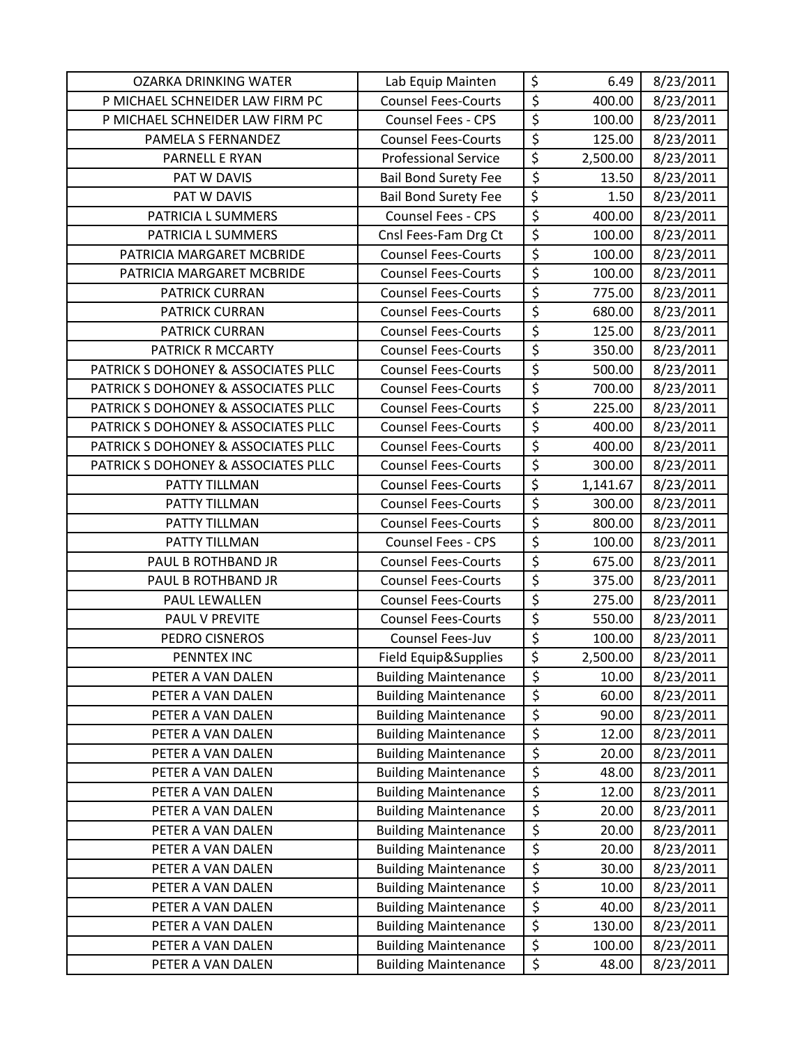| <b>OZARKA DRINKING WATER</b>        | Lab Equip Mainten           | \$                                  | 6.49     | 8/23/2011 |
|-------------------------------------|-----------------------------|-------------------------------------|----------|-----------|
| P MICHAEL SCHNEIDER LAW FIRM PC     | <b>Counsel Fees-Courts</b>  | $\overline{\xi}$                    | 400.00   | 8/23/2011 |
| P MICHAEL SCHNEIDER LAW FIRM PC     | <b>Counsel Fees - CPS</b>   | \$                                  | 100.00   | 8/23/2011 |
| PAMELA S FERNANDEZ                  | <b>Counsel Fees-Courts</b>  | \$                                  | 125.00   | 8/23/2011 |
| PARNELL E RYAN                      | <b>Professional Service</b> | $\overline{\xi}$                    | 2,500.00 | 8/23/2011 |
| PAT W DAVIS                         | <b>Bail Bond Surety Fee</b> | $\overline{\xi}$                    | 13.50    | 8/23/2011 |
| PAT W DAVIS                         | <b>Bail Bond Surety Fee</b> | $\overline{\boldsymbol{\varsigma}}$ | 1.50     | 8/23/2011 |
| PATRICIA L SUMMERS                  | <b>Counsel Fees - CPS</b>   | $\overline{\xi}$                    | 400.00   | 8/23/2011 |
| PATRICIA L SUMMERS                  | Cnsl Fees-Fam Drg Ct        | \$                                  | 100.00   | 8/23/2011 |
| PATRICIA MARGARET MCBRIDE           | <b>Counsel Fees-Courts</b>  | $\overline{\xi}$                    | 100.00   | 8/23/2011 |
| PATRICIA MARGARET MCBRIDE           | <b>Counsel Fees-Courts</b>  | \$                                  | 100.00   | 8/23/2011 |
| PATRICK CURRAN                      | <b>Counsel Fees-Courts</b>  | $\overline{\xi}$                    | 775.00   | 8/23/2011 |
| <b>PATRICK CURRAN</b>               | <b>Counsel Fees-Courts</b>  | $\overline{\xi}$                    | 680.00   | 8/23/2011 |
| <b>PATRICK CURRAN</b>               | <b>Counsel Fees-Courts</b>  | $\overline{\xi}$                    | 125.00   | 8/23/2011 |
| PATRICK R MCCARTY                   | <b>Counsel Fees-Courts</b>  | $\overline{\xi}$                    | 350.00   | 8/23/2011 |
| PATRICK S DOHONEY & ASSOCIATES PLLC | <b>Counsel Fees-Courts</b>  | $\overline{\xi}$                    | 500.00   | 8/23/2011 |
| PATRICK S DOHONEY & ASSOCIATES PLLC | <b>Counsel Fees-Courts</b>  | \$                                  | 700.00   | 8/23/2011 |
| PATRICK S DOHONEY & ASSOCIATES PLLC | <b>Counsel Fees-Courts</b>  | $\overline{\xi}$                    | 225.00   | 8/23/2011 |
| PATRICK S DOHONEY & ASSOCIATES PLLC | <b>Counsel Fees-Courts</b>  | \$                                  | 400.00   | 8/23/2011 |
| PATRICK S DOHONEY & ASSOCIATES PLLC | <b>Counsel Fees-Courts</b>  | \$                                  | 400.00   | 8/23/2011 |
| PATRICK S DOHONEY & ASSOCIATES PLLC | <b>Counsel Fees-Courts</b>  | $\overline{\xi}$                    | 300.00   | 8/23/2011 |
| PATTY TILLMAN                       | <b>Counsel Fees-Courts</b>  | $\overline{\xi}$                    | 1,141.67 | 8/23/2011 |
| PATTY TILLMAN                       | <b>Counsel Fees-Courts</b>  | \$                                  | 300.00   | 8/23/2011 |
| PATTY TILLMAN                       | <b>Counsel Fees-Courts</b>  | $\overline{\xi}$                    | 800.00   | 8/23/2011 |
| PATTY TILLMAN                       | <b>Counsel Fees - CPS</b>   | $\overline{\xi}$                    | 100.00   | 8/23/2011 |
| PAUL B ROTHBAND JR                  | <b>Counsel Fees-Courts</b>  | $\overline{\xi}$                    | 675.00   | 8/23/2011 |
| PAUL B ROTHBAND JR                  | <b>Counsel Fees-Courts</b>  | $\overline{\xi}$                    | 375.00   | 8/23/2011 |
| PAUL LEWALLEN                       | <b>Counsel Fees-Courts</b>  | $\overline{\xi}$                    | 275.00   | 8/23/2011 |
| PAUL V PREVITE                      | <b>Counsel Fees-Courts</b>  | $\overline{\xi}$                    | 550.00   | 8/23/2011 |
| PEDRO CISNEROS                      | Counsel Fees-Juv            | $\overline{\varsigma}$              | 100.00   | 8/23/2011 |
| PENNTEX INC                         | Field Equip&Supplies        | $\overline{\xi}$                    | 2,500.00 | 8/23/2011 |
| PETER A VAN DALEN                   | <b>Building Maintenance</b> | \$                                  | 10.00    | 8/23/2011 |
| PETER A VAN DALEN                   | <b>Building Maintenance</b> | $\overline{\boldsymbol{\zeta}}$     | 60.00    | 8/23/2011 |
| PETER A VAN DALEN                   | <b>Building Maintenance</b> | \$                                  | 90.00    | 8/23/2011 |
| PETER A VAN DALEN                   | <b>Building Maintenance</b> | $\overline{\xi}$                    | 12.00    | 8/23/2011 |
| PETER A VAN DALEN                   | <b>Building Maintenance</b> | \$                                  | 20.00    | 8/23/2011 |
| PETER A VAN DALEN                   | <b>Building Maintenance</b> | \$                                  | 48.00    | 8/23/2011 |
| PETER A VAN DALEN                   | <b>Building Maintenance</b> | $\overline{\boldsymbol{\zeta}}$     | 12.00    | 8/23/2011 |
| PETER A VAN DALEN                   | <b>Building Maintenance</b> | \$                                  | 20.00    | 8/23/2011 |
| PETER A VAN DALEN                   | <b>Building Maintenance</b> | $\overline{\xi}$                    | 20.00    | 8/23/2011 |
| PETER A VAN DALEN                   | <b>Building Maintenance</b> | \$                                  | 20.00    | 8/23/2011 |
| PETER A VAN DALEN                   | <b>Building Maintenance</b> | \$                                  | 30.00    | 8/23/2011 |
| PETER A VAN DALEN                   | <b>Building Maintenance</b> | $\overline{\xi}$                    | 10.00    | 8/23/2011 |
| PETER A VAN DALEN                   | <b>Building Maintenance</b> | $\overline{\xi}$                    | 40.00    | 8/23/2011 |
| PETER A VAN DALEN                   | <b>Building Maintenance</b> | \$                                  | 130.00   | 8/23/2011 |
| PETER A VAN DALEN                   | <b>Building Maintenance</b> | \$                                  | 100.00   | 8/23/2011 |
| PETER A VAN DALEN                   | <b>Building Maintenance</b> | \$                                  | 48.00    | 8/23/2011 |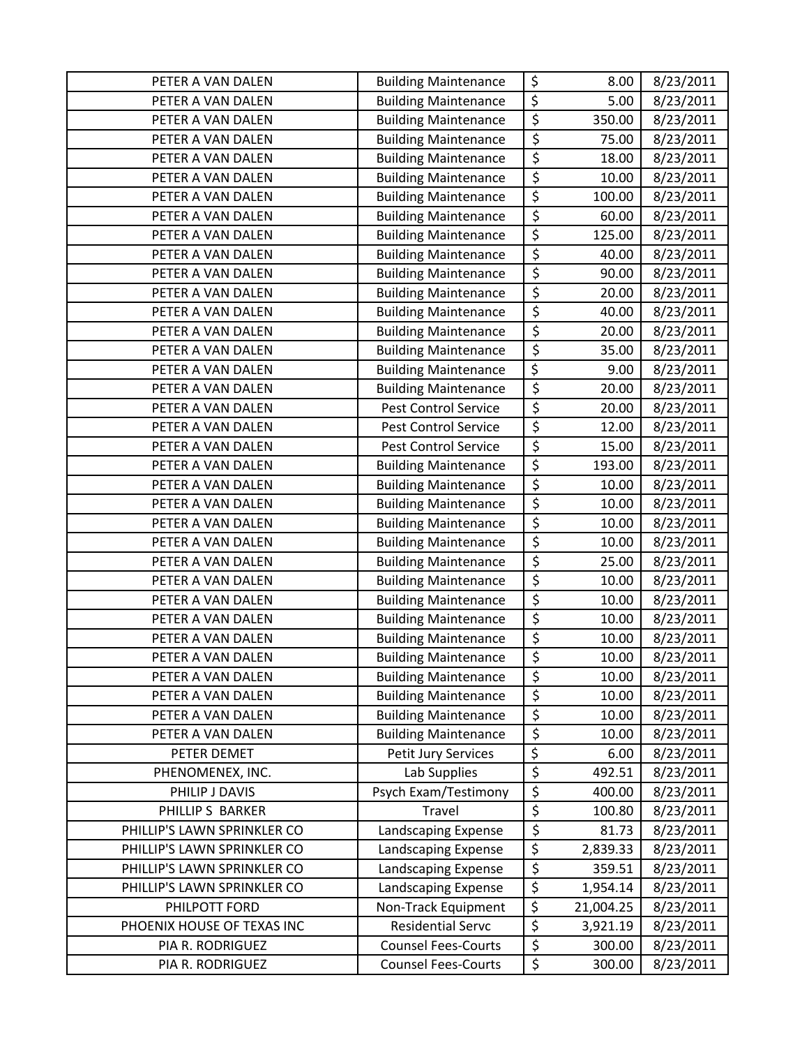| PETER A VAN DALEN           | <b>Building Maintenance</b> | \$                     | 8.00      | 8/23/2011 |
|-----------------------------|-----------------------------|------------------------|-----------|-----------|
| PETER A VAN DALEN           | <b>Building Maintenance</b> | $\overline{\xi}$       | 5.00      | 8/23/2011 |
| PETER A VAN DALEN           | <b>Building Maintenance</b> | $\overline{\xi}$       | 350.00    | 8/23/2011 |
| PETER A VAN DALEN           | <b>Building Maintenance</b> | $\overline{\xi}$       | 75.00     | 8/23/2011 |
| PETER A VAN DALEN           | <b>Building Maintenance</b> | \$                     | 18.00     | 8/23/2011 |
| PETER A VAN DALEN           | <b>Building Maintenance</b> | \$                     | 10.00     | 8/23/2011 |
| PETER A VAN DALEN           | <b>Building Maintenance</b> | \$                     | 100.00    | 8/23/2011 |
| PETER A VAN DALEN           | <b>Building Maintenance</b> | $\overline{\varsigma}$ | 60.00     | 8/23/2011 |
| PETER A VAN DALEN           | <b>Building Maintenance</b> | \$                     | 125.00    | 8/23/2011 |
| PETER A VAN DALEN           | <b>Building Maintenance</b> | \$                     | 40.00     | 8/23/2011 |
| PETER A VAN DALEN           | <b>Building Maintenance</b> | $\overline{\xi}$       | 90.00     | 8/23/2011 |
| PETER A VAN DALEN           | <b>Building Maintenance</b> | \$                     | 20.00     | 8/23/2011 |
| PETER A VAN DALEN           | <b>Building Maintenance</b> | \$                     | 40.00     | 8/23/2011 |
| PETER A VAN DALEN           | <b>Building Maintenance</b> | \$                     | 20.00     | 8/23/2011 |
| PETER A VAN DALEN           | <b>Building Maintenance</b> | \$                     | 35.00     | 8/23/2011 |
| PETER A VAN DALEN           | <b>Building Maintenance</b> | $\overline{\varsigma}$ | 9.00      | 8/23/2011 |
| PETER A VAN DALEN           | <b>Building Maintenance</b> | $\overline{\xi}$       | 20.00     | 8/23/2011 |
| PETER A VAN DALEN           | Pest Control Service        | $\overline{\xi}$       | 20.00     | 8/23/2011 |
| PETER A VAN DALEN           | Pest Control Service        | $\overline{\xi}$       | 12.00     | 8/23/2011 |
| PETER A VAN DALEN           | Pest Control Service        | \$                     | 15.00     | 8/23/2011 |
| PETER A VAN DALEN           | <b>Building Maintenance</b> | \$                     | 193.00    | 8/23/2011 |
| PETER A VAN DALEN           | <b>Building Maintenance</b> | \$                     | 10.00     | 8/23/2011 |
| PETER A VAN DALEN           | <b>Building Maintenance</b> | $\overline{\xi}$       | 10.00     | 8/23/2011 |
| PETER A VAN DALEN           | <b>Building Maintenance</b> | \$                     | 10.00     | 8/23/2011 |
| PETER A VAN DALEN           | <b>Building Maintenance</b> | \$                     | 10.00     | 8/23/2011 |
| PETER A VAN DALEN           | <b>Building Maintenance</b> | $\overline{\varsigma}$ | 25.00     | 8/23/2011 |
| PETER A VAN DALEN           | <b>Building Maintenance</b> | \$                     | 10.00     | 8/23/2011 |
| PETER A VAN DALEN           | <b>Building Maintenance</b> | \$                     | 10.00     | 8/23/2011 |
| PETER A VAN DALEN           | <b>Building Maintenance</b> | \$                     | 10.00     | 8/23/2011 |
| PETER A VAN DALEN           | <b>Building Maintenance</b> | $\overline{\varsigma}$ | 10.00     | 8/23/2011 |
| PETER A VAN DALEN           | <b>Building Maintenance</b> | $\overline{\xi}$       | 10.00     | 8/23/2011 |
| PETER A VAN DALEN           | <b>Building Maintenance</b> | \$                     | 10.00     | 8/23/2011 |
| PETER A VAN DALEN           | <b>Building Maintenance</b> | \$                     | 10.00     | 8/23/2011 |
| PETER A VAN DALEN           | <b>Building Maintenance</b> | \$                     | 10.00     | 8/23/2011 |
| PETER A VAN DALEN           | <b>Building Maintenance</b> | \$                     | 10.00     | 8/23/2011 |
| PETER DEMET                 | Petit Jury Services         | \$                     | 6.00      | 8/23/2011 |
| PHENOMENEX, INC.            | Lab Supplies                | $\overline{\varsigma}$ | 492.51    | 8/23/2011 |
| PHILIP J DAVIS              | Psych Exam/Testimony        | \$                     | 400.00    | 8/23/2011 |
| PHILLIP S BARKER            | Travel                      | $\overline{\xi}$       | 100.80    | 8/23/2011 |
| PHILLIP'S LAWN SPRINKLER CO | Landscaping Expense         | \$                     | 81.73     | 8/23/2011 |
| PHILLIP'S LAWN SPRINKLER CO | Landscaping Expense         | $\overline{\varsigma}$ | 2,839.33  | 8/23/2011 |
| PHILLIP'S LAWN SPRINKLER CO | Landscaping Expense         | $\overline{\xi}$       | 359.51    | 8/23/2011 |
| PHILLIP'S LAWN SPRINKLER CO | Landscaping Expense         | $\overline{\xi}$       | 1,954.14  | 8/23/2011 |
| PHILPOTT FORD               | Non-Track Equipment         | $\overline{\xi}$       | 21,004.25 | 8/23/2011 |
| PHOENIX HOUSE OF TEXAS INC  | <b>Residential Servc</b>    | \$                     | 3,921.19  | 8/23/2011 |
| PIA R. RODRIGUEZ            | <b>Counsel Fees-Courts</b>  | $\overline{\xi}$       | 300.00    | 8/23/2011 |
| PIA R. RODRIGUEZ            | <b>Counsel Fees-Courts</b>  | \$                     | 300.00    | 8/23/2011 |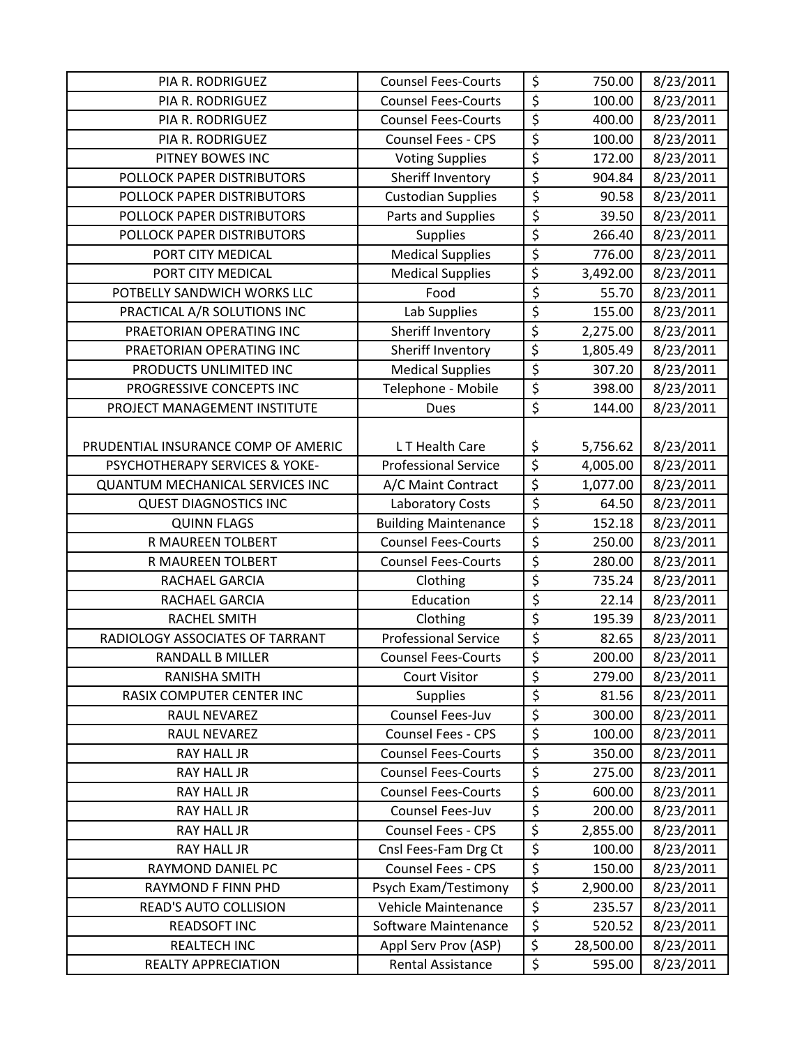| PIA R. RODRIGUEZ                       | <b>Counsel Fees-Courts</b>  | \$                              | 750.00    | 8/23/2011 |
|----------------------------------------|-----------------------------|---------------------------------|-----------|-----------|
| PIA R. RODRIGUEZ                       | <b>Counsel Fees-Courts</b>  | $\overline{\xi}$                | 100.00    | 8/23/2011 |
| PIA R. RODRIGUEZ                       | <b>Counsel Fees-Courts</b>  | \$                              | 400.00    | 8/23/2011 |
| PIA R. RODRIGUEZ                       | <b>Counsel Fees - CPS</b>   | $\overline{\xi}$                | 100.00    | 8/23/2011 |
| PITNEY BOWES INC                       | <b>Voting Supplies</b>      | $\overline{\xi}$                | 172.00    | 8/23/2011 |
| POLLOCK PAPER DISTRIBUTORS             | Sheriff Inventory           | \$                              | 904.84    | 8/23/2011 |
| POLLOCK PAPER DISTRIBUTORS             | Custodian Supplies          | $\overline{\xi}$                | 90.58     | 8/23/2011 |
| POLLOCK PAPER DISTRIBUTORS             | Parts and Supplies          | \$                              | 39.50     | 8/23/2011 |
| POLLOCK PAPER DISTRIBUTORS             | <b>Supplies</b>             | $\overline{\xi}$                | 266.40    | 8/23/2011 |
| PORT CITY MEDICAL                      | <b>Medical Supplies</b>     | $\overline{\xi}$                | 776.00    | 8/23/2011 |
| PORT CITY MEDICAL                      | <b>Medical Supplies</b>     | $\overline{\xi}$                | 3,492.00  | 8/23/2011 |
| POTBELLY SANDWICH WORKS LLC            | Food                        | \$                              | 55.70     | 8/23/2011 |
| PRACTICAL A/R SOLUTIONS INC            | Lab Supplies                | \$                              | 155.00    | 8/23/2011 |
| PRAETORIAN OPERATING INC               | Sheriff Inventory           | \$                              | 2,275.00  | 8/23/2011 |
| PRAETORIAN OPERATING INC               | Sheriff Inventory           | \$                              | 1,805.49  | 8/23/2011 |
| PRODUCTS UNLIMITED INC                 | <b>Medical Supplies</b>     | $\overline{\mathcal{S}}$        | 307.20    | 8/23/2011 |
| PROGRESSIVE CONCEPTS INC               | Telephone - Mobile          | \$                              | 398.00    | 8/23/2011 |
| PROJECT MANAGEMENT INSTITUTE           | Dues                        | \$                              | 144.00    | 8/23/2011 |
|                                        |                             |                                 |           |           |
| PRUDENTIAL INSURANCE COMP OF AMERIC    | LT Health Care              | \$                              | 5,756.62  | 8/23/2011 |
| PSYCHOTHERAPY SERVICES & YOKE-         | <b>Professional Service</b> | $\overline{\xi}$                | 4,005.00  | 8/23/2011 |
| <b>QUANTUM MECHANICAL SERVICES INC</b> | A/C Maint Contract          | $\overline{\xi}$                | 1,077.00  | 8/23/2011 |
| <b>QUEST DIAGNOSTICS INC</b>           | Laboratory Costs            | $\overline{\boldsymbol{\zeta}}$ | 64.50     | 8/23/2011 |
| <b>QUINN FLAGS</b>                     | <b>Building Maintenance</b> | \$                              | 152.18    | 8/23/2011 |
| R MAUREEN TOLBERT                      | <b>Counsel Fees-Courts</b>  | \$                              | 250.00    | 8/23/2011 |
| R MAUREEN TOLBERT                      | <b>Counsel Fees-Courts</b>  | \$                              | 280.00    | 8/23/2011 |
| RACHAEL GARCIA                         | Clothing                    | \$                              | 735.24    | 8/23/2011 |
| RACHAEL GARCIA                         | Education                   | \$                              | 22.14     | 8/23/2011 |
| <b>RACHEL SMITH</b>                    | Clothing                    | \$                              | 195.39    | 8/23/2011 |
| RADIOLOGY ASSOCIATES OF TARRANT        | <b>Professional Service</b> | \$                              | 82.65     | 8/23/2011 |
| <b>RANDALL B MILLER</b>                | <b>Counsel Fees-Courts</b>  | $\overline{\xi}$                | 200.00    | 8/23/2011 |
| <b>RANISHA SMITH</b>                   | <b>Court Visitor</b>        | \$                              | 279.00    | 8/23/2011 |
| <b>RASIX COMPUTER CENTER INC</b>       | <b>Supplies</b>             | \$                              | 81.56     | 8/23/2011 |
| RAUL NEVAREZ                           | Counsel Fees-Juv            | $\overline{\xi}$                | 300.00    | 8/23/2011 |
| RAUL NEVAREZ                           | Counsel Fees - CPS          | \$                              | 100.00    | 8/23/2011 |
| <b>RAY HALL JR</b>                     | <b>Counsel Fees-Courts</b>  | \$                              | 350.00    | 8/23/2011 |
| <b>RAY HALL JR</b>                     | <b>Counsel Fees-Courts</b>  | \$                              | 275.00    | 8/23/2011 |
| RAY HALL JR                            | <b>Counsel Fees-Courts</b>  | \$                              | 600.00    | 8/23/2011 |
| RAY HALL JR                            | Counsel Fees-Juv            | \$                              | 200.00    | 8/23/2011 |
| <b>RAY HALL JR</b>                     | Counsel Fees - CPS          | \$                              | 2,855.00  | 8/23/2011 |
| <b>RAY HALL JR</b>                     | Cnsl Fees-Fam Drg Ct        | $\overline{\boldsymbol{\zeta}}$ | 100.00    | 8/23/2011 |
| RAYMOND DANIEL PC                      | Counsel Fees - CPS          | \$                              | 150.00    | 8/23/2011 |
| RAYMOND F FINN PHD                     | Psych Exam/Testimony        | $\overline{\xi}$                | 2,900.00  | 8/23/2011 |
| <b>READ'S AUTO COLLISION</b>           | Vehicle Maintenance         | $\overline{\mathcal{S}}$        | 235.57    | 8/23/2011 |
| <b>READSOFT INC</b>                    | Software Maintenance        | $\overline{\xi}$                | 520.52    | 8/23/2011 |
| <b>REALTECH INC</b>                    | Appl Serv Prov (ASP)        | \$                              | 28,500.00 | 8/23/2011 |
| REALTY APPRECIATION                    | Rental Assistance           | \$                              | 595.00    | 8/23/2011 |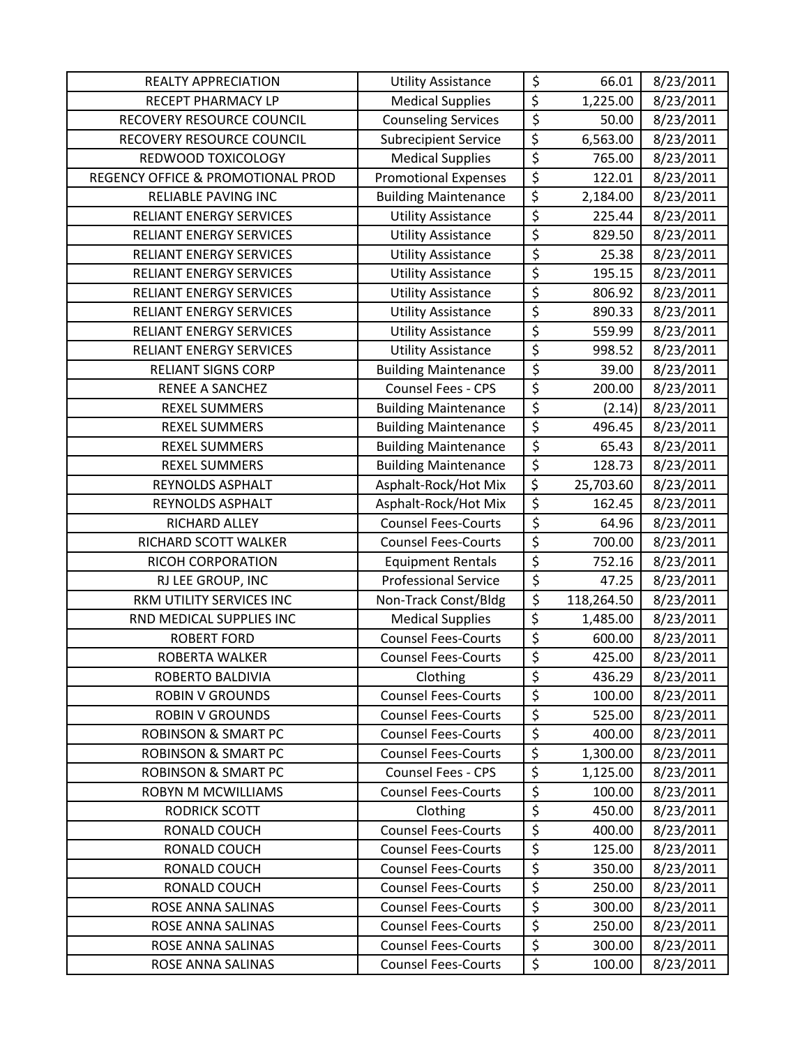| <b>REALTY APPRECIATION</b>        | <b>Utility Assistance</b>   | \$                              | 66.01      | 8/23/2011 |
|-----------------------------------|-----------------------------|---------------------------------|------------|-----------|
| RECEPT PHARMACY LP                | <b>Medical Supplies</b>     | \$                              | 1,225.00   | 8/23/2011 |
| RECOVERY RESOURCE COUNCIL         | <b>Counseling Services</b>  | $\overline{\xi}$                | 50.00      | 8/23/2011 |
| RECOVERY RESOURCE COUNCIL         | <b>Subrecipient Service</b> | \$                              | 6,563.00   | 8/23/2011 |
| REDWOOD TOXICOLOGY                | <b>Medical Supplies</b>     | \$                              | 765.00     | 8/23/2011 |
| REGENCY OFFICE & PROMOTIONAL PROD | <b>Promotional Expenses</b> | \$                              | 122.01     | 8/23/2011 |
| RELIABLE PAVING INC               | <b>Building Maintenance</b> | \$                              | 2,184.00   | 8/23/2011 |
| RELIANT ENERGY SERVICES           | <b>Utility Assistance</b>   | \$                              | 225.44     | 8/23/2011 |
| RELIANT ENERGY SERVICES           | <b>Utility Assistance</b>   | \$                              | 829.50     | 8/23/2011 |
| <b>RELIANT ENERGY SERVICES</b>    | <b>Utility Assistance</b>   | $\overline{\xi}$                | 25.38      | 8/23/2011 |
| <b>RELIANT ENERGY SERVICES</b>    | <b>Utility Assistance</b>   | $\overline{\xi}$                | 195.15     | 8/23/2011 |
| <b>RELIANT ENERGY SERVICES</b>    | <b>Utility Assistance</b>   | \$                              | 806.92     | 8/23/2011 |
| RELIANT ENERGY SERVICES           | <b>Utility Assistance</b>   | \$                              | 890.33     | 8/23/2011 |
| RELIANT ENERGY SERVICES           | <b>Utility Assistance</b>   | \$                              | 559.99     | 8/23/2011 |
| <b>RELIANT ENERGY SERVICES</b>    | <b>Utility Assistance</b>   | \$                              | 998.52     | 8/23/2011 |
| <b>RELIANT SIGNS CORP</b>         | <b>Building Maintenance</b> | $\overline{\xi}$                | 39.00      | 8/23/2011 |
| <b>RENEE A SANCHEZ</b>            | <b>Counsel Fees - CPS</b>   | $\overline{\xi}$                | 200.00     | 8/23/2011 |
| <b>REXEL SUMMERS</b>              | <b>Building Maintenance</b> | \$                              | (2.14)     | 8/23/2011 |
| <b>REXEL SUMMERS</b>              | <b>Building Maintenance</b> | \$                              | 496.45     | 8/23/2011 |
| <b>REXEL SUMMERS</b>              | <b>Building Maintenance</b> | \$                              | 65.43      | 8/23/2011 |
| <b>REXEL SUMMERS</b>              | <b>Building Maintenance</b> | $\overline{\xi}$                | 128.73     | 8/23/2011 |
| REYNOLDS ASPHALT                  | Asphalt-Rock/Hot Mix        | $\overline{\boldsymbol{\zeta}}$ | 25,703.60  | 8/23/2011 |
| REYNOLDS ASPHALT                  | Asphalt-Rock/Hot Mix        | \$                              | 162.45     | 8/23/2011 |
| RICHARD ALLEY                     | <b>Counsel Fees-Courts</b>  | \$                              | 64.96      | 8/23/2011 |
| RICHARD SCOTT WALKER              | <b>Counsel Fees-Courts</b>  | \$                              | 700.00     | 8/23/2011 |
| RICOH CORPORATION                 | <b>Equipment Rentals</b>    | \$                              | 752.16     | 8/23/2011 |
| RJ LEE GROUP, INC                 | <b>Professional Service</b> | \$                              | 47.25      | 8/23/2011 |
| RKM UTILITY SERVICES INC          | Non-Track Const/Bldg        | $\overline{\xi}$                | 118,264.50 | 8/23/2011 |
| RND MEDICAL SUPPLIES INC          | <b>Medical Supplies</b>     | \$                              | 1,485.00   | 8/23/2011 |
| <b>ROBERT FORD</b>                | <b>Counsel Fees-Courts</b>  | $\overline{\xi}$                | 600.00     | 8/23/2011 |
| ROBERTA WALKER                    | <b>Counsel Fees-Courts</b>  | \$                              | 425.00     | 8/23/2011 |
| ROBERTO BALDIVIA                  | Clothing                    | \$                              | 436.29     | 8/23/2011 |
| <b>ROBIN V GROUNDS</b>            | <b>Counsel Fees-Courts</b>  | \$                              | 100.00     | 8/23/2011 |
| <b>ROBIN V GROUNDS</b>            | <b>Counsel Fees-Courts</b>  | \$                              | 525.00     | 8/23/2011 |
| <b>ROBINSON &amp; SMART PC</b>    | <b>Counsel Fees-Courts</b>  | $\overline{\xi}$                | 400.00     | 8/23/2011 |
| <b>ROBINSON &amp; SMART PC</b>    | <b>Counsel Fees-Courts</b>  | \$                              | 1,300.00   | 8/23/2011 |
| <b>ROBINSON &amp; SMART PC</b>    | <b>Counsel Fees - CPS</b>   | \$                              | 1,125.00   | 8/23/2011 |
| <b>ROBYN M MCWILLIAMS</b>         | <b>Counsel Fees-Courts</b>  | \$                              | 100.00     | 8/23/2011 |
| <b>RODRICK SCOTT</b>              | Clothing                    | \$                              | 450.00     | 8/23/2011 |
| RONALD COUCH                      | <b>Counsel Fees-Courts</b>  | \$                              | 400.00     | 8/23/2011 |
| RONALD COUCH                      | <b>Counsel Fees-Courts</b>  | \$                              | 125.00     | 8/23/2011 |
| RONALD COUCH                      | <b>Counsel Fees-Courts</b>  | \$                              | 350.00     | 8/23/2011 |
| RONALD COUCH                      | <b>Counsel Fees-Courts</b>  | \$                              | 250.00     | 8/23/2011 |
| ROSE ANNA SALINAS                 | <b>Counsel Fees-Courts</b>  | $\overline{\xi}$                | 300.00     | 8/23/2011 |
| ROSE ANNA SALINAS                 | <b>Counsel Fees-Courts</b>  | $\overline{\xi}$                | 250.00     | 8/23/2011 |
| ROSE ANNA SALINAS                 | <b>Counsel Fees-Courts</b>  | \$                              | 300.00     | 8/23/2011 |
| ROSE ANNA SALINAS                 | <b>Counsel Fees-Courts</b>  | \$                              | 100.00     | 8/23/2011 |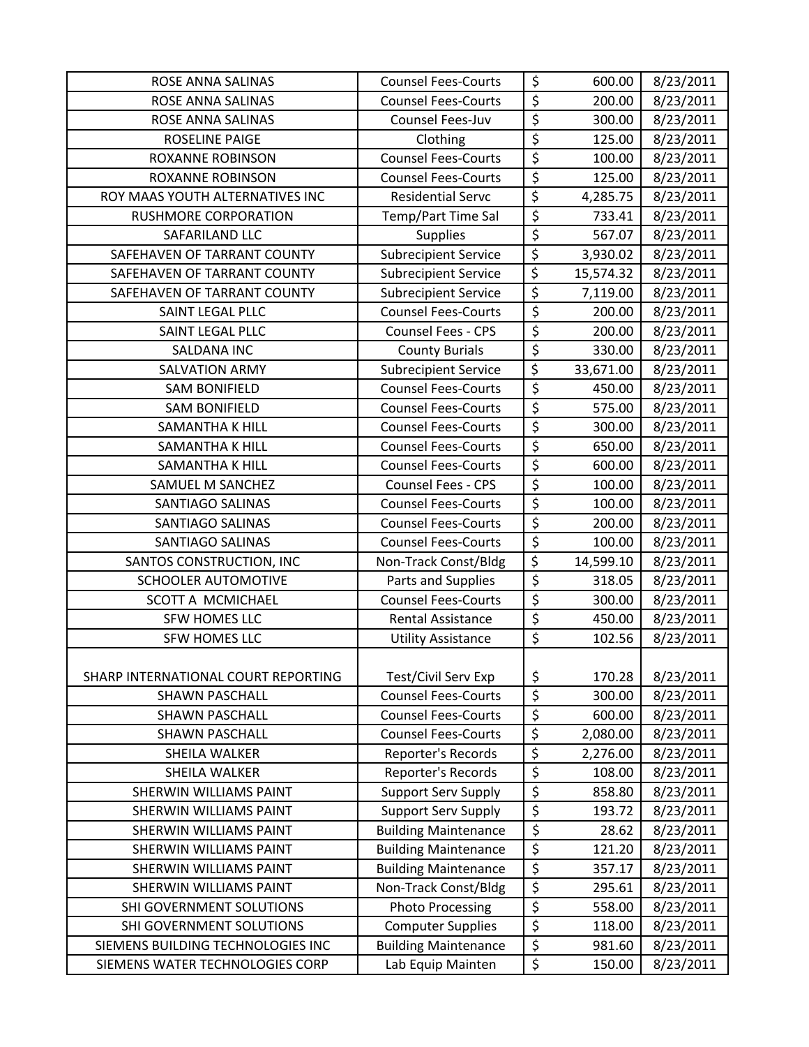| ROSE ANNA SALINAS                   | <b>Counsel Fees-Courts</b>  | \$                              | 600.00    | 8/23/2011 |
|-------------------------------------|-----------------------------|---------------------------------|-----------|-----------|
| ROSE ANNA SALINAS                   | <b>Counsel Fees-Courts</b>  | \$                              | 200.00    | 8/23/2011 |
| ROSE ANNA SALINAS                   | Counsel Fees-Juv            | \$                              | 300.00    | 8/23/2011 |
| <b>ROSELINE PAIGE</b>               | Clothing                    | $\overline{\xi}$                | 125.00    | 8/23/2011 |
| <b>ROXANNE ROBINSON</b>             | <b>Counsel Fees-Courts</b>  | \$                              | 100.00    | 8/23/2011 |
| <b>ROXANNE ROBINSON</b>             | <b>Counsel Fees-Courts</b>  | $\overline{\xi}$                | 125.00    | 8/23/2011 |
| ROY MAAS YOUTH ALTERNATIVES INC     | <b>Residential Servc</b>    | $\overline{\xi}$                | 4,285.75  | 8/23/2011 |
| <b>RUSHMORE CORPORATION</b>         | Temp/Part Time Sal          | $\overline{\mathcal{S}}$        | 733.41    | 8/23/2011 |
| SAFARILAND LLC                      | <b>Supplies</b>             | $\overline{\xi}$                | 567.07    | 8/23/2011 |
| SAFEHAVEN OF TARRANT COUNTY         | <b>Subrecipient Service</b> | \$                              | 3,930.02  | 8/23/2011 |
| SAFEHAVEN OF TARRANT COUNTY         | <b>Subrecipient Service</b> | $\overline{\xi}$                | 15,574.32 | 8/23/2011 |
| SAFEHAVEN OF TARRANT COUNTY         | <b>Subrecipient Service</b> | $\overline{\xi}$                | 7,119.00  | 8/23/2011 |
| SAINT LEGAL PLLC                    | <b>Counsel Fees-Courts</b>  | \$                              | 200.00    | 8/23/2011 |
| SAINT LEGAL PLLC                    | Counsel Fees - CPS          | $\overline{\xi}$                | 200.00    | 8/23/2011 |
| <b>SALDANA INC</b>                  | <b>County Burials</b>       | $\overline{\xi}$                | 330.00    | 8/23/2011 |
| <b>SALVATION ARMY</b>               | <b>Subrecipient Service</b> | \$                              | 33,671.00 | 8/23/2011 |
| <b>SAM BONIFIELD</b>                | <b>Counsel Fees-Courts</b>  | \$                              | 450.00    | 8/23/2011 |
| <b>SAM BONIFIELD</b>                | <b>Counsel Fees-Courts</b>  | $\overline{\xi}$                | 575.00    | 8/23/2011 |
| <b>SAMANTHA K HILL</b>              | <b>Counsel Fees-Courts</b>  | \$                              | 300.00    | 8/23/2011 |
| <b>SAMANTHA K HILL</b>              | <b>Counsel Fees-Courts</b>  | $\overline{\xi}$                | 650.00    | 8/23/2011 |
| SAMANTHA K HILL                     | <b>Counsel Fees-Courts</b>  | $\overline{\xi}$                | 600.00    | 8/23/2011 |
| SAMUEL M SANCHEZ                    | Counsel Fees - CPS          | \$                              | 100.00    | 8/23/2011 |
| <b>SANTIAGO SALINAS</b>             | <b>Counsel Fees-Courts</b>  | $\overline{\xi}$                | 100.00    | 8/23/2011 |
| <b>SANTIAGO SALINAS</b>             | <b>Counsel Fees-Courts</b>  | \$                              | 200.00    | 8/23/2011 |
| SANTIAGO SALINAS                    | <b>Counsel Fees-Courts</b>  | $\overline{\xi}$                | 100.00    | 8/23/2011 |
| SANTOS CONSTRUCTION, INC            | Non-Track Const/Bldg        | $\overline{\xi}$                | 14,599.10 | 8/23/2011 |
| <b>SCHOOLER AUTOMOTIVE</b>          | Parts and Supplies          | $\overline{\xi}$                | 318.05    | 8/23/2011 |
| SCOTT A MCMICHAEL                   | <b>Counsel Fees-Courts</b>  | \$                              | 300.00    | 8/23/2011 |
| SFW HOMES LLC                       | Rental Assistance           | $\overline{\xi}$                | 450.00    | 8/23/2011 |
| SFW HOMES LLC                       | <b>Utility Assistance</b>   | $\overline{\xi}$                | 102.56    | 8/23/2011 |
|                                     |                             |                                 |           |           |
| SHARP INTERNATIONAL COURT REPORTING | Test/Civil Serv Exp         | \$                              | 170.28    | 8/23/2011 |
| <b>SHAWN PASCHALL</b>               | <b>Counsel Fees-Courts</b>  | \$                              | 300.00    | 8/23/2011 |
| <b>SHAWN PASCHALL</b>               | <b>Counsel Fees-Courts</b>  | \$                              | 600.00    | 8/23/2011 |
| <b>SHAWN PASCHALL</b>               | <b>Counsel Fees-Courts</b>  | \$                              | 2,080.00  | 8/23/2011 |
| SHEILA WALKER                       | Reporter's Records          | $\overline{\xi}$                | 2,276.00  | 8/23/2011 |
| SHEILA WALKER                       | Reporter's Records          | \$                              | 108.00    | 8/23/2011 |
| <b>SHERWIN WILLIAMS PAINT</b>       | <b>Support Serv Supply</b>  | \$                              | 858.80    | 8/23/2011 |
| <b>SHERWIN WILLIAMS PAINT</b>       | <b>Support Serv Supply</b>  | \$                              | 193.72    | 8/23/2011 |
| SHERWIN WILLIAMS PAINT              | <b>Building Maintenance</b> | \$                              | 28.62     | 8/23/2011 |
| SHERWIN WILLIAMS PAINT              | <b>Building Maintenance</b> | $\overline{\boldsymbol{\zeta}}$ | 121.20    | 8/23/2011 |
| <b>SHERWIN WILLIAMS PAINT</b>       | <b>Building Maintenance</b> | \$                              | 357.17    | 8/23/2011 |
| SHERWIN WILLIAMS PAINT              | Non-Track Const/Bldg        | \$                              | 295.61    | 8/23/2011 |
| SHI GOVERNMENT SOLUTIONS            | <b>Photo Processing</b>     | $\overline{\varsigma}$          | 558.00    | 8/23/2011 |
| SHI GOVERNMENT SOLUTIONS            | <b>Computer Supplies</b>    | \$                              | 118.00    | 8/23/2011 |
| SIEMENS BUILDING TECHNOLOGIES INC   | <b>Building Maintenance</b> | $\overline{\xi}$                | 981.60    | 8/23/2011 |
| SIEMENS WATER TECHNOLOGIES CORP     | Lab Equip Mainten           | \$                              | 150.00    | 8/23/2011 |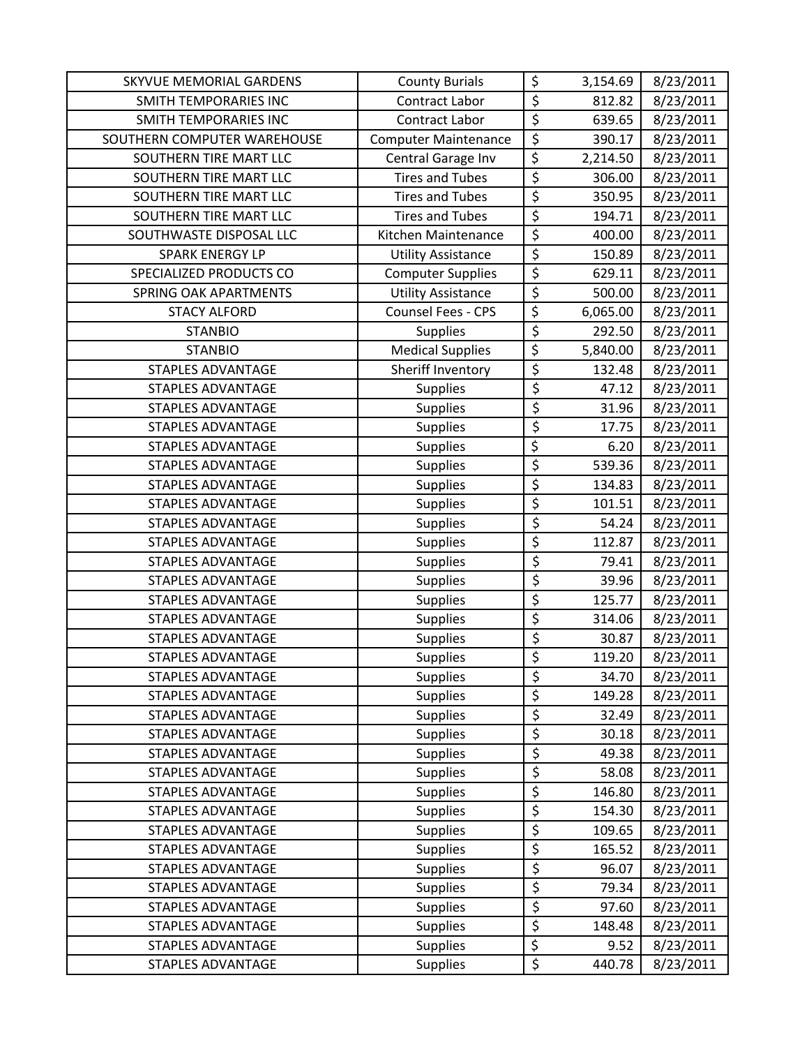| SKYVUE MEMORIAL GARDENS      | <b>County Burials</b>       | \$               | 3,154.69 | 8/23/2011 |
|------------------------------|-----------------------------|------------------|----------|-----------|
| SMITH TEMPORARIES INC        | Contract Labor              | \$               | 812.82   | 8/23/2011 |
| <b>SMITH TEMPORARIES INC</b> | Contract Labor              | \$               | 639.65   | 8/23/2011 |
| SOUTHERN COMPUTER WAREHOUSE  | <b>Computer Maintenance</b> | \$               | 390.17   | 8/23/2011 |
| SOUTHERN TIRE MART LLC       | Central Garage Inv          | \$               | 2,214.50 | 8/23/2011 |
| SOUTHERN TIRE MART LLC       | <b>Tires and Tubes</b>      | \$               | 306.00   | 8/23/2011 |
| SOUTHERN TIRE MART LLC       | <b>Tires and Tubes</b>      | \$               | 350.95   | 8/23/2011 |
| SOUTHERN TIRE MART LLC       | <b>Tires and Tubes</b>      | \$               | 194.71   | 8/23/2011 |
| SOUTHWASTE DISPOSAL LLC      | Kitchen Maintenance         | \$               | 400.00   | 8/23/2011 |
| <b>SPARK ENERGY LP</b>       | <b>Utility Assistance</b>   | $\overline{\xi}$ | 150.89   | 8/23/2011 |
| SPECIALIZED PRODUCTS CO      | <b>Computer Supplies</b>    | $\overline{\xi}$ | 629.11   | 8/23/2011 |
| <b>SPRING OAK APARTMENTS</b> | <b>Utility Assistance</b>   | \$               | 500.00   | 8/23/2011 |
| <b>STACY ALFORD</b>          | Counsel Fees - CPS          | \$               | 6,065.00 | 8/23/2011 |
| <b>STANBIO</b>               | Supplies                    | \$               | 292.50   | 8/23/2011 |
| <b>STANBIO</b>               | <b>Medical Supplies</b>     | \$               | 5,840.00 | 8/23/2011 |
| <b>STAPLES ADVANTAGE</b>     | Sheriff Inventory           | $\overline{\xi}$ | 132.48   | 8/23/2011 |
| <b>STAPLES ADVANTAGE</b>     | <b>Supplies</b>             | \$               | 47.12    | 8/23/2011 |
| <b>STAPLES ADVANTAGE</b>     | <b>Supplies</b>             | \$               | 31.96    | 8/23/2011 |
| <b>STAPLES ADVANTAGE</b>     | <b>Supplies</b>             | \$               | 17.75    | 8/23/2011 |
| <b>STAPLES ADVANTAGE</b>     | <b>Supplies</b>             | $\overline{\xi}$ | 6.20     | 8/23/2011 |
| <b>STAPLES ADVANTAGE</b>     | <b>Supplies</b>             | $\overline{\xi}$ | 539.36   | 8/23/2011 |
| STAPLES ADVANTAGE            | Supplies                    | \$               | 134.83   | 8/23/2011 |
| <b>STAPLES ADVANTAGE</b>     | <b>Supplies</b>             | \$               | 101.51   | 8/23/2011 |
| <b>STAPLES ADVANTAGE</b>     | <b>Supplies</b>             | \$               | 54.24    | 8/23/2011 |
| <b>STAPLES ADVANTAGE</b>     | Supplies                    | \$               | 112.87   | 8/23/2011 |
| <b>STAPLES ADVANTAGE</b>     | <b>Supplies</b>             | \$               | 79.41    | 8/23/2011 |
| <b>STAPLES ADVANTAGE</b>     | <b>Supplies</b>             | \$               | 39.96    | 8/23/2011 |
| <b>STAPLES ADVANTAGE</b>     | <b>Supplies</b>             | $\overline{\xi}$ | 125.77   | 8/23/2011 |
| <b>STAPLES ADVANTAGE</b>     | <b>Supplies</b>             | \$               | 314.06   | 8/23/2011 |
| <b>STAPLES ADVANTAGE</b>     | Supplies                    | \$               | 30.87    | 8/23/2011 |
| <b>STAPLES ADVANTAGE</b>     | <b>Supplies</b>             | \$               | 119.20   | 8/23/2011 |
| <b>STAPLES ADVANTAGE</b>     | <b>Supplies</b>             | \$               | 34.70    | 8/23/2011 |
| <b>STAPLES ADVANTAGE</b>     | <b>Supplies</b>             | \$               | 149.28   | 8/23/2011 |
| <b>STAPLES ADVANTAGE</b>     | <b>Supplies</b>             | \$               | 32.49    | 8/23/2011 |
| <b>STAPLES ADVANTAGE</b>     | Supplies                    | \$               | 30.18    | 8/23/2011 |
| <b>STAPLES ADVANTAGE</b>     | Supplies                    | \$               | 49.38    | 8/23/2011 |
| <b>STAPLES ADVANTAGE</b>     | <b>Supplies</b>             | \$               | 58.08    | 8/23/2011 |
| <b>STAPLES ADVANTAGE</b>     | <b>Supplies</b>             | \$               | 146.80   | 8/23/2011 |
| <b>STAPLES ADVANTAGE</b>     | Supplies                    | $\overline{\xi}$ | 154.30   | 8/23/2011 |
| <b>STAPLES ADVANTAGE</b>     | <b>Supplies</b>             | \$               | 109.65   | 8/23/2011 |
| <b>STAPLES ADVANTAGE</b>     | <b>Supplies</b>             | $\overline{\xi}$ | 165.52   | 8/23/2011 |
| <b>STAPLES ADVANTAGE</b>     | <b>Supplies</b>             | \$               | 96.07    | 8/23/2011 |
| <b>STAPLES ADVANTAGE</b>     | <b>Supplies</b>             | \$               | 79.34    | 8/23/2011 |
| <b>STAPLES ADVANTAGE</b>     | <b>Supplies</b>             | $\overline{\xi}$ | 97.60    | 8/23/2011 |
| <b>STAPLES ADVANTAGE</b>     | Supplies                    | \$               | 148.48   | 8/23/2011 |
| <b>STAPLES ADVANTAGE</b>     | <b>Supplies</b>             | \$               | 9.52     | 8/23/2011 |
| <b>STAPLES ADVANTAGE</b>     | <b>Supplies</b>             | \$               | 440.78   | 8/23/2011 |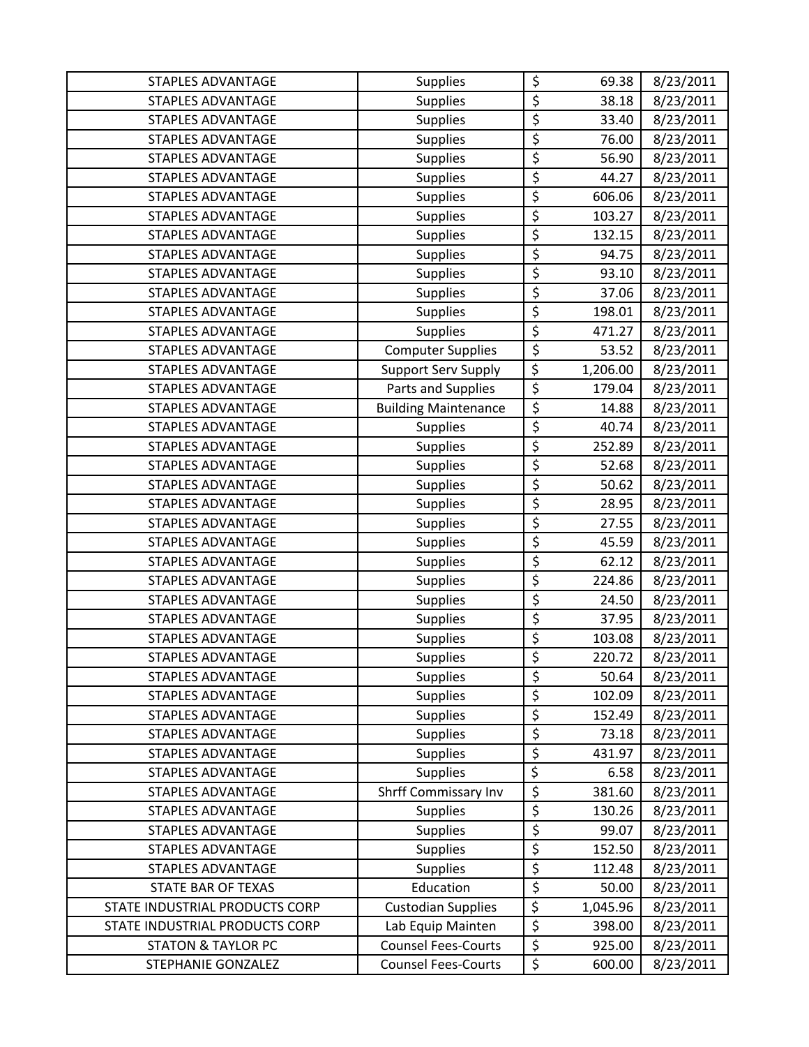| <b>STAPLES ADVANTAGE</b>       | <b>Supplies</b>             | \$               | 69.38    | 8/23/2011 |
|--------------------------------|-----------------------------|------------------|----------|-----------|
| <b>STAPLES ADVANTAGE</b>       | <b>Supplies</b>             | \$               | 38.18    | 8/23/2011 |
| <b>STAPLES ADVANTAGE</b>       | <b>Supplies</b>             | \$               | 33.40    | 8/23/2011 |
| <b>STAPLES ADVANTAGE</b>       | Supplies                    | \$               | 76.00    | 8/23/2011 |
| <b>STAPLES ADVANTAGE</b>       | Supplies                    | \$               | 56.90    | 8/23/2011 |
| <b>STAPLES ADVANTAGE</b>       | <b>Supplies</b>             | \$               | 44.27    | 8/23/2011 |
| STAPLES ADVANTAGE              | <b>Supplies</b>             | \$               | 606.06   | 8/23/2011 |
| <b>STAPLES ADVANTAGE</b>       | Supplies                    | \$               | 103.27   | 8/23/2011 |
| <b>STAPLES ADVANTAGE</b>       | <b>Supplies</b>             | \$               | 132.15   | 8/23/2011 |
| <b>STAPLES ADVANTAGE</b>       | <b>Supplies</b>             | \$               | 94.75    | 8/23/2011 |
| <b>STAPLES ADVANTAGE</b>       | <b>Supplies</b>             | \$               | 93.10    | 8/23/2011 |
| <b>STAPLES ADVANTAGE</b>       | Supplies                    | \$               | 37.06    | 8/23/2011 |
| <b>STAPLES ADVANTAGE</b>       | Supplies                    | \$               | 198.01   | 8/23/2011 |
| STAPLES ADVANTAGE              | Supplies                    | \$               | 471.27   | 8/23/2011 |
| <b>STAPLES ADVANTAGE</b>       | <b>Computer Supplies</b>    | \$               | 53.52    | 8/23/2011 |
| <b>STAPLES ADVANTAGE</b>       | <b>Support Serv Supply</b>  | $\overline{\xi}$ | 1,206.00 | 8/23/2011 |
| <b>STAPLES ADVANTAGE</b>       | Parts and Supplies          | \$               | 179.04   | 8/23/2011 |
| <b>STAPLES ADVANTAGE</b>       | <b>Building Maintenance</b> | \$               | 14.88    | 8/23/2011 |
| <b>STAPLES ADVANTAGE</b>       | <b>Supplies</b>             | \$               | 40.74    | 8/23/2011 |
| <b>STAPLES ADVANTAGE</b>       | <b>Supplies</b>             | \$               | 252.89   | 8/23/2011 |
| <b>STAPLES ADVANTAGE</b>       | <b>Supplies</b>             | \$               | 52.68    | 8/23/2011 |
| STAPLES ADVANTAGE              | Supplies                    | \$               | 50.62    | 8/23/2011 |
| <b>STAPLES ADVANTAGE</b>       | Supplies                    | \$               | 28.95    | 8/23/2011 |
| <b>STAPLES ADVANTAGE</b>       | <b>Supplies</b>             | \$               | 27.55    | 8/23/2011 |
| <b>STAPLES ADVANTAGE</b>       | <b>Supplies</b>             | \$               | 45.59    | 8/23/2011 |
| STAPLES ADVANTAGE              | Supplies                    | \$               | 62.12    | 8/23/2011 |
| <b>STAPLES ADVANTAGE</b>       | <b>Supplies</b>             | \$               | 224.86   | 8/23/2011 |
| <b>STAPLES ADVANTAGE</b>       | Supplies                    | \$               | 24.50    | 8/23/2011 |
| <b>STAPLES ADVANTAGE</b>       | <b>Supplies</b>             | \$               | 37.95    | 8/23/2011 |
| <b>STAPLES ADVANTAGE</b>       | <b>Supplies</b>             | \$               | 103.08   | 8/23/2011 |
| <b>STAPLES ADVANTAGE</b>       | <b>Supplies</b>             | \$               | 220.72   | 8/23/2011 |
| <b>STAPLES ADVANTAGE</b>       | <b>Supplies</b>             | \$               | 50.64    | 8/23/2011 |
| <b>STAPLES ADVANTAGE</b>       | <b>Supplies</b>             | \$               | 102.09   | 8/23/2011 |
| <b>STAPLES ADVANTAGE</b>       | Supplies                    | \$               | 152.49   | 8/23/2011 |
| <b>STAPLES ADVANTAGE</b>       | <b>Supplies</b>             | \$               | 73.18    | 8/23/2011 |
| <b>STAPLES ADVANTAGE</b>       | Supplies                    | \$               | 431.97   | 8/23/2011 |
| <b>STAPLES ADVANTAGE</b>       | <b>Supplies</b>             | \$               | 6.58     | 8/23/2011 |
| <b>STAPLES ADVANTAGE</b>       | <b>Shrff Commissary Inv</b> | \$               | 381.60   | 8/23/2011 |
| <b>STAPLES ADVANTAGE</b>       | <b>Supplies</b>             | \$               | 130.26   | 8/23/2011 |
| <b>STAPLES ADVANTAGE</b>       | <b>Supplies</b>             | \$               | 99.07    | 8/23/2011 |
| <b>STAPLES ADVANTAGE</b>       | <b>Supplies</b>             | \$               | 152.50   | 8/23/2011 |
| <b>STAPLES ADVANTAGE</b>       | <b>Supplies</b>             | \$               | 112.48   | 8/23/2011 |
| <b>STATE BAR OF TEXAS</b>      | Education                   | \$               | 50.00    | 8/23/2011 |
| STATE INDUSTRIAL PRODUCTS CORP | <b>Custodian Supplies</b>   | $\overline{\xi}$ | 1,045.96 | 8/23/2011 |
| STATE INDUSTRIAL PRODUCTS CORP | Lab Equip Mainten           | \$               | 398.00   | 8/23/2011 |
| <b>STATON &amp; TAYLOR PC</b>  | <b>Counsel Fees-Courts</b>  | \$               | 925.00   | 8/23/2011 |
| STEPHANIE GONZALEZ             | <b>Counsel Fees-Courts</b>  | \$               | 600.00   | 8/23/2011 |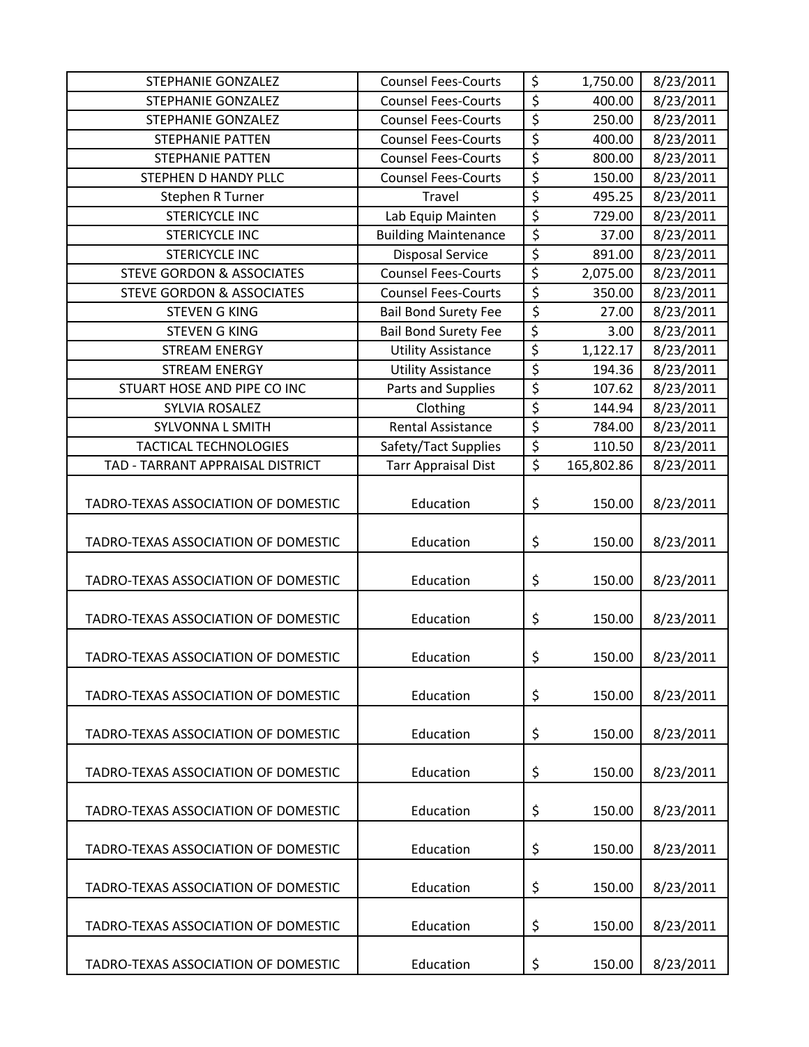| STEPHANIE GONZALEZ                   | <b>Counsel Fees-Courts</b>  | \$               | 1,750.00   | 8/23/2011 |
|--------------------------------------|-----------------------------|------------------|------------|-----------|
| <b>STEPHANIE GONZALEZ</b>            | <b>Counsel Fees-Courts</b>  | \$               | 400.00     | 8/23/2011 |
| STEPHANIE GONZALEZ                   | <b>Counsel Fees-Courts</b>  | \$               | 250.00     | 8/23/2011 |
| <b>STEPHANIE PATTEN</b>              | <b>Counsel Fees-Courts</b>  | \$               | 400.00     | 8/23/2011 |
| <b>STEPHANIE PATTEN</b>              | <b>Counsel Fees-Courts</b>  | \$               | 800.00     | 8/23/2011 |
| STEPHEN D HANDY PLLC                 | <b>Counsel Fees-Courts</b>  | \$               | 150.00     | 8/23/2011 |
| Stephen R Turner                     | Travel                      | $\overline{\xi}$ | 495.25     | 8/23/2011 |
| <b>STERICYCLE INC</b>                | Lab Equip Mainten           | $\overline{\xi}$ | 729.00     | 8/23/2011 |
| <b>STERICYCLE INC</b>                | <b>Building Maintenance</b> | \$               | 37.00      | 8/23/2011 |
| <b>STERICYCLE INC</b>                | <b>Disposal Service</b>     | \$               | 891.00     | 8/23/2011 |
| <b>STEVE GORDON &amp; ASSOCIATES</b> | <b>Counsel Fees-Courts</b>  | $\overline{\xi}$ | 2,075.00   | 8/23/2011 |
| <b>STEVE GORDON &amp; ASSOCIATES</b> | <b>Counsel Fees-Courts</b>  | \$               | 350.00     | 8/23/2011 |
| <b>STEVEN G KING</b>                 | <b>Bail Bond Surety Fee</b> | \$               | 27.00      | 8/23/2011 |
| <b>STEVEN G KING</b>                 | <b>Bail Bond Surety Fee</b> | \$               | 3.00       | 8/23/2011 |
| <b>STREAM ENERGY</b>                 | <b>Utility Assistance</b>   | \$               | 1,122.17   | 8/23/2011 |
| <b>STREAM ENERGY</b>                 | <b>Utility Assistance</b>   | \$               | 194.36     | 8/23/2011 |
| STUART HOSE AND PIPE CO INC          | Parts and Supplies          | $\overline{\xi}$ | 107.62     | 8/23/2011 |
| SYLVIA ROSALEZ                       | Clothing                    | $\overline{\xi}$ | 144.94     | 8/23/2011 |
| <b>SYLVONNA L SMITH</b>              | <b>Rental Assistance</b>    | \$               | 784.00     | 8/23/2011 |
| <b>TACTICAL TECHNOLOGIES</b>         | Safety/Tact Supplies        | $\overline{\xi}$ | 110.50     | 8/23/2011 |
| TAD - TARRANT APPRAISAL DISTRICT     | <b>Tarr Appraisal Dist</b>  | $\overline{\xi}$ | 165,802.86 | 8/23/2011 |
| TADRO-TEXAS ASSOCIATION OF DOMESTIC  | Education                   | \$               | 150.00     | 8/23/2011 |
| TADRO-TEXAS ASSOCIATION OF DOMESTIC  | Education                   | \$               | 150.00     | 8/23/2011 |
| TADRO-TEXAS ASSOCIATION OF DOMESTIC  | Education                   | \$               | 150.00     | 8/23/2011 |
| TADRO-TEXAS ASSOCIATION OF DOMESTIC  | Education                   | \$               | 150.00     | 8/23/2011 |
| TADRO-TEXAS ASSOCIATION OF DOMESTIC  | Education                   | \$               | 150.00     | 8/23/2011 |
| TADRO-TEXAS ASSOCIATION OF DOMESTIC  | Education                   | \$               | 150.00     | 8/23/2011 |
| TADRO-TEXAS ASSOCIATION OF DOMESTIC  | Education                   | \$               | 150.00     | 8/23/2011 |
| TADRO-TEXAS ASSOCIATION OF DOMESTIC  | Education                   | \$               | 150.00     | 8/23/2011 |
| TADRO-TEXAS ASSOCIATION OF DOMESTIC  | Education                   | \$               | 150.00     | 8/23/2011 |
| TADRO-TEXAS ASSOCIATION OF DOMESTIC  | Education                   | \$               | 150.00     | 8/23/2011 |
| TADRO-TEXAS ASSOCIATION OF DOMESTIC  | Education                   | \$               | 150.00     | 8/23/2011 |
| TADRO-TEXAS ASSOCIATION OF DOMESTIC  | Education                   | \$               | 150.00     | 8/23/2011 |
| TADRO-TEXAS ASSOCIATION OF DOMESTIC  | Education                   | \$               | 150.00     | 8/23/2011 |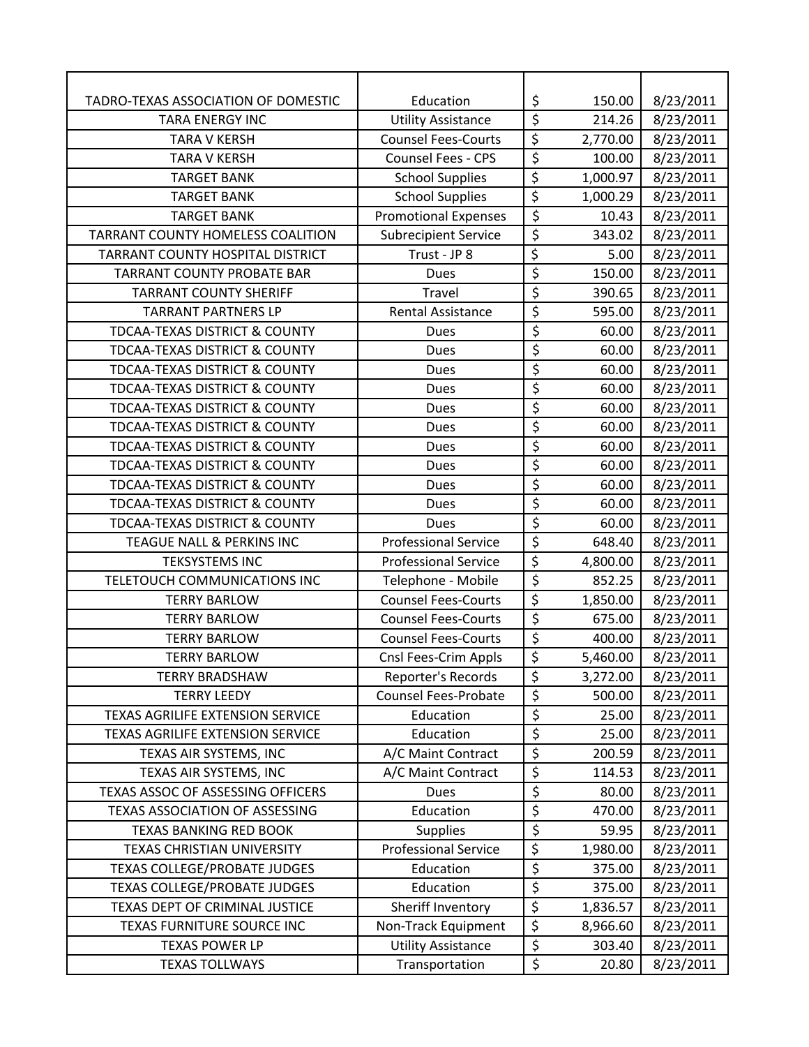| TADRO-TEXAS ASSOCIATION OF DOMESTIC      | Education                   | \$                              | 150.00   | 8/23/2011 |
|------------------------------------------|-----------------------------|---------------------------------|----------|-----------|
| <b>TARA ENERGY INC</b>                   | <b>Utility Assistance</b>   | $\overline{\xi}$                | 214.26   | 8/23/2011 |
| <b>TARA V KERSH</b>                      | <b>Counsel Fees-Courts</b>  | \$                              | 2,770.00 | 8/23/2011 |
| <b>TARA V KERSH</b>                      | <b>Counsel Fees - CPS</b>   | $\overline{\boldsymbol{\zeta}}$ | 100.00   | 8/23/2011 |
| <b>TARGET BANK</b>                       | <b>School Supplies</b>      | $\overline{\xi}$                | 1,000.97 | 8/23/2011 |
| <b>TARGET BANK</b>                       | <b>School Supplies</b>      | \$                              | 1,000.29 | 8/23/2011 |
| <b>TARGET BANK</b>                       | <b>Promotional Expenses</b> | \$                              | 10.43    | 8/23/2011 |
| TARRANT COUNTY HOMELESS COALITION        | <b>Subrecipient Service</b> | $\overline{\varsigma}$          | 343.02   | 8/23/2011 |
| TARRANT COUNTY HOSPITAL DISTRICT         | Trust - JP 8                | \$                              | 5.00     | 8/23/2011 |
| <b>TARRANT COUNTY PROBATE BAR</b>        | <b>Dues</b>                 | \$                              | 150.00   | 8/23/2011 |
| <b>TARRANT COUNTY SHERIFF</b>            | Travel                      | \$                              | 390.65   | 8/23/2011 |
| <b>TARRANT PARTNERS LP</b>               | <b>Rental Assistance</b>    | \$                              | 595.00   | 8/23/2011 |
| <b>TDCAA-TEXAS DISTRICT &amp; COUNTY</b> | <b>Dues</b>                 | \$                              | 60.00    | 8/23/2011 |
| <b>TDCAA-TEXAS DISTRICT &amp; COUNTY</b> | <b>Dues</b>                 | \$                              | 60.00    | 8/23/2011 |
| <b>TDCAA-TEXAS DISTRICT &amp; COUNTY</b> | <b>Dues</b>                 | $\overline{\varsigma}$          | 60.00    | 8/23/2011 |
| <b>TDCAA-TEXAS DISTRICT &amp; COUNTY</b> | <b>Dues</b>                 | \$                              | 60.00    | 8/23/2011 |
| <b>TDCAA-TEXAS DISTRICT &amp; COUNTY</b> | <b>Dues</b>                 | \$                              | 60.00    | 8/23/2011 |
| TDCAA-TEXAS DISTRICT & COUNTY            | <b>Dues</b>                 | \$                              | 60.00    | 8/23/2011 |
| <b>TDCAA-TEXAS DISTRICT &amp; COUNTY</b> | <b>Dues</b>                 | \$                              | 60.00    | 8/23/2011 |
| <b>TDCAA-TEXAS DISTRICT &amp; COUNTY</b> | <b>Dues</b>                 | \$                              | 60.00    | 8/23/2011 |
| <b>TDCAA-TEXAS DISTRICT &amp; COUNTY</b> | <b>Dues</b>                 | $\overline{\boldsymbol{\zeta}}$ | 60.00    | 8/23/2011 |
| <b>TDCAA-TEXAS DISTRICT &amp; COUNTY</b> | <b>Dues</b>                 | \$                              | 60.00    | 8/23/2011 |
| <b>TDCAA-TEXAS DISTRICT &amp; COUNTY</b> | Dues                        | \$                              | 60.00    | 8/23/2011 |
| <b>TEAGUE NALL &amp; PERKINS INC</b>     | <b>Professional Service</b> | $\overline{\xi}$                | 648.40   | 8/23/2011 |
| <b>TEKSYSTEMS INC</b>                    | <b>Professional Service</b> | \$                              | 4,800.00 | 8/23/2011 |
| TELETOUCH COMMUNICATIONS INC             | Telephone - Mobile          | $\overline{\xi}$                | 852.25   | 8/23/2011 |
| <b>TERRY BARLOW</b>                      | <b>Counsel Fees-Courts</b>  | \$                              | 1,850.00 | 8/23/2011 |
| <b>TERRY BARLOW</b>                      | <b>Counsel Fees-Courts</b>  | \$                              | 675.00   | 8/23/2011 |
| <b>TERRY BARLOW</b>                      | <b>Counsel Fees-Courts</b>  | $\overline{\varsigma}$          | 400.00   | 8/23/2011 |
| <b>TERRY BARLOW</b>                      | Cnsl Fees-Crim Appls        | \$                              | 5,460.00 | 8/23/2011 |
| <b>TERRY BRADSHAW</b>                    | Reporter's Records          | \$                              | 3,272.00 | 8/23/2011 |
| <b>TERRY LEEDY</b>                       | <b>Counsel Fees-Probate</b> | \$                              | 500.00   | 8/23/2011 |
| <b>TEXAS AGRILIFE EXTENSION SERVICE</b>  | Education                   | \$                              | 25.00    | 8/23/2011 |
| <b>TEXAS AGRILIFE EXTENSION SERVICE</b>  | Education                   | \$                              | 25.00    | 8/23/2011 |
| TEXAS AIR SYSTEMS, INC                   | A/C Maint Contract          | $\overline{\xi}$                | 200.59   | 8/23/2011 |
| TEXAS AIR SYSTEMS, INC                   | A/C Maint Contract          | \$                              | 114.53   | 8/23/2011 |
| TEXAS ASSOC OF ASSESSING OFFICERS        | Dues                        | \$                              | 80.00    | 8/23/2011 |
| TEXAS ASSOCIATION OF ASSESSING           | Education                   | \$                              | 470.00   | 8/23/2011 |
| <b>TEXAS BANKING RED BOOK</b>            | <b>Supplies</b>             | $\overline{\varsigma}$          | 59.95    | 8/23/2011 |
| <b>TEXAS CHRISTIAN UNIVERSITY</b>        | <b>Professional Service</b> | \$                              | 1,980.00 | 8/23/2011 |
| <b>TEXAS COLLEGE/PROBATE JUDGES</b>      | Education                   | \$                              | 375.00   | 8/23/2011 |
| <b>TEXAS COLLEGE/PROBATE JUDGES</b>      | Education                   | \$                              | 375.00   | 8/23/2011 |
| TEXAS DEPT OF CRIMINAL JUSTICE           | Sheriff Inventory           | \$                              | 1,836.57 | 8/23/2011 |
| TEXAS FURNITURE SOURCE INC               | Non-Track Equipment         | \$                              | 8,966.60 | 8/23/2011 |
| <b>TEXAS POWER LP</b>                    | <b>Utility Assistance</b>   | $\overline{\xi}$                | 303.40   | 8/23/2011 |
| <b>TEXAS TOLLWAYS</b>                    | Transportation              | \$                              | 20.80    | 8/23/2011 |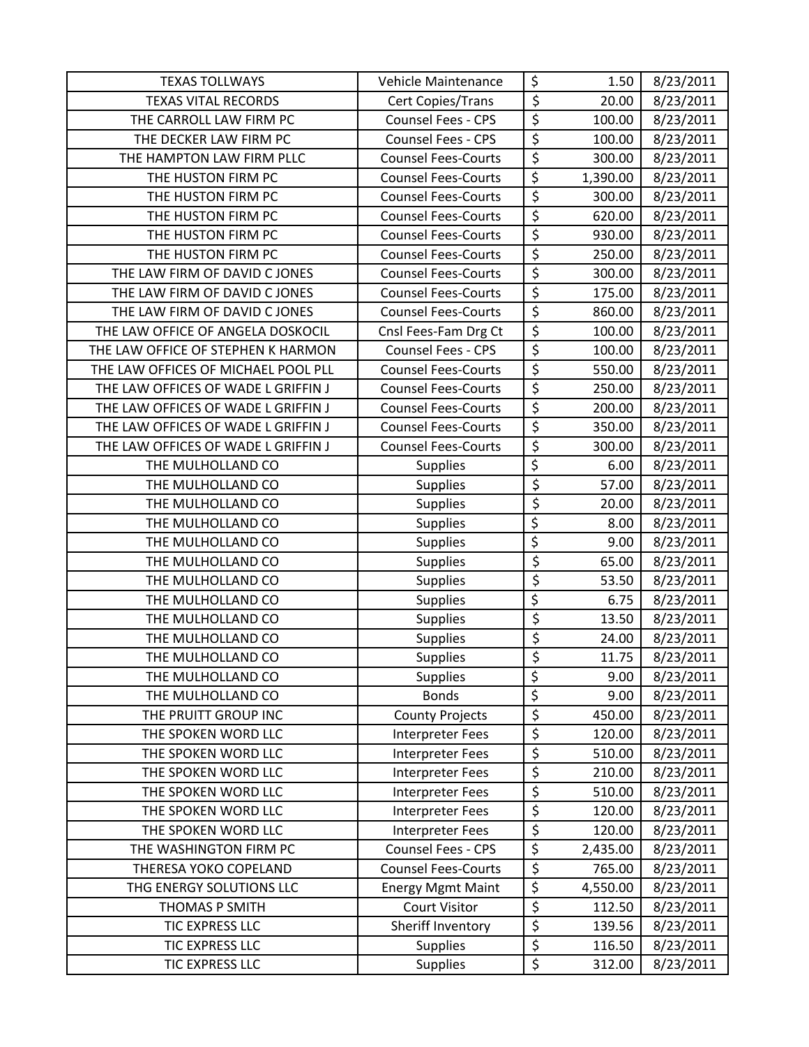| <b>TEXAS TOLLWAYS</b>               | Vehicle Maintenance        | \$                     | 1.50     | 8/23/2011 |
|-------------------------------------|----------------------------|------------------------|----------|-----------|
| <b>TEXAS VITAL RECORDS</b>          | Cert Copies/Trans          | \$                     | 20.00    | 8/23/2011 |
| THE CARROLL LAW FIRM PC             | Counsel Fees - CPS         | $\overline{\xi}$       | 100.00   | 8/23/2011 |
| THE DECKER LAW FIRM PC              | Counsel Fees - CPS         | $\overline{\xi}$       | 100.00   | 8/23/2011 |
| THE HAMPTON LAW FIRM PLLC           | <b>Counsel Fees-Courts</b> | $\overline{\xi}$       | 300.00   | 8/23/2011 |
| THE HUSTON FIRM PC                  | <b>Counsel Fees-Courts</b> | $\overline{\varsigma}$ | 1,390.00 | 8/23/2011 |
| THE HUSTON FIRM PC                  | <b>Counsel Fees-Courts</b> | \$                     | 300.00   | 8/23/2011 |
| THE HUSTON FIRM PC                  | <b>Counsel Fees-Courts</b> | \$                     | 620.00   | 8/23/2011 |
| THE HUSTON FIRM PC                  | <b>Counsel Fees-Courts</b> | \$                     | 930.00   | 8/23/2011 |
| THE HUSTON FIRM PC                  | <b>Counsel Fees-Courts</b> | \$                     | 250.00   | 8/23/2011 |
| THE LAW FIRM OF DAVID C JONES       | <b>Counsel Fees-Courts</b> | \$                     | 300.00   | 8/23/2011 |
| THE LAW FIRM OF DAVID C JONES       | <b>Counsel Fees-Courts</b> | \$                     | 175.00   | 8/23/2011 |
| THE LAW FIRM OF DAVID C JONES       | <b>Counsel Fees-Courts</b> | $\overline{\xi}$       | 860.00   | 8/23/2011 |
| THE LAW OFFICE OF ANGELA DOSKOCIL   | Cnsl Fees-Fam Drg Ct       | $\overline{\xi}$       | 100.00   | 8/23/2011 |
| THE LAW OFFICE OF STEPHEN K HARMON  | <b>Counsel Fees - CPS</b>  | \$                     | 100.00   | 8/23/2011 |
| THE LAW OFFICES OF MICHAEL POOL PLL | <b>Counsel Fees-Courts</b> | \$                     | 550.00   | 8/23/2011 |
| THE LAW OFFICES OF WADE L GRIFFIN J | <b>Counsel Fees-Courts</b> | $\overline{\xi}$       | 250.00   | 8/23/2011 |
| THE LAW OFFICES OF WADE L GRIFFIN J | <b>Counsel Fees-Courts</b> | $\overline{\xi}$       | 200.00   | 8/23/2011 |
| THE LAW OFFICES OF WADE L GRIFFIN J | <b>Counsel Fees-Courts</b> | \$                     | 350.00   | 8/23/2011 |
| THE LAW OFFICES OF WADE L GRIFFIN J | <b>Counsel Fees-Courts</b> | \$                     | 300.00   | 8/23/2011 |
| THE MULHOLLAND CO                   | Supplies                   | \$                     | 6.00     | 8/23/2011 |
| THE MULHOLLAND CO                   | Supplies                   | \$                     | 57.00    | 8/23/2011 |
| THE MULHOLLAND CO                   | <b>Supplies</b>            | \$                     | 20.00    | 8/23/2011 |
| THE MULHOLLAND CO                   | <b>Supplies</b>            | $\overline{\xi}$       | 8.00     | 8/23/2011 |
| THE MULHOLLAND CO                   | <b>Supplies</b>            | $\overline{\xi}$       | 9.00     | 8/23/2011 |
| THE MULHOLLAND CO                   | <b>Supplies</b>            | \$                     | 65.00    | 8/23/2011 |
| THE MULHOLLAND CO                   | Supplies                   | \$                     | 53.50    | 8/23/2011 |
| THE MULHOLLAND CO                   | Supplies                   | \$                     | 6.75     | 8/23/2011 |
| THE MULHOLLAND CO                   | <b>Supplies</b>            | \$                     | 13.50    | 8/23/2011 |
| THE MULHOLLAND CO                   | <b>Supplies</b>            | \$                     | 24.00    | 8/23/2011 |
| THE MULHOLLAND CO                   | <b>Supplies</b>            | \$                     | 11.75    | 8/23/2011 |
| THE MULHOLLAND CO                   | <b>Supplies</b>            | \$                     | 9.00     | 8/23/2011 |
| THE MULHOLLAND CO                   | <b>Bonds</b>               | \$                     | 9.00     | 8/23/2011 |
| THE PRUITT GROUP INC                | <b>County Projects</b>     | \$                     | 450.00   | 8/23/2011 |
| THE SPOKEN WORD LLC                 | Interpreter Fees           | \$                     | 120.00   | 8/23/2011 |
| THE SPOKEN WORD LLC                 | Interpreter Fees           | \$                     | 510.00   | 8/23/2011 |
| THE SPOKEN WORD LLC                 | Interpreter Fees           | \$                     | 210.00   | 8/23/2011 |
| THE SPOKEN WORD LLC                 | Interpreter Fees           | \$                     | 510.00   | 8/23/2011 |
| THE SPOKEN WORD LLC                 | Interpreter Fees           | \$                     | 120.00   | 8/23/2011 |
| THE SPOKEN WORD LLC                 | Interpreter Fees           | \$                     | 120.00   | 8/23/2011 |
| THE WASHINGTON FIRM PC              | Counsel Fees - CPS         | $\overline{\xi}$       | 2,435.00 | 8/23/2011 |
| THERESA YOKO COPELAND               | <b>Counsel Fees-Courts</b> | \$                     | 765.00   | 8/23/2011 |
| THG ENERGY SOLUTIONS LLC            | <b>Energy Mgmt Maint</b>   | $\overline{\xi}$       | 4,550.00 | 8/23/2011 |
| THOMAS P SMITH                      | <b>Court Visitor</b>       | \$                     | 112.50   | 8/23/2011 |
| TIC EXPRESS LLC                     | Sheriff Inventory          | \$                     | 139.56   | 8/23/2011 |
| TIC EXPRESS LLC                     | <b>Supplies</b>            | \$                     | 116.50   | 8/23/2011 |
| TIC EXPRESS LLC                     | Supplies                   | \$                     | 312.00   | 8/23/2011 |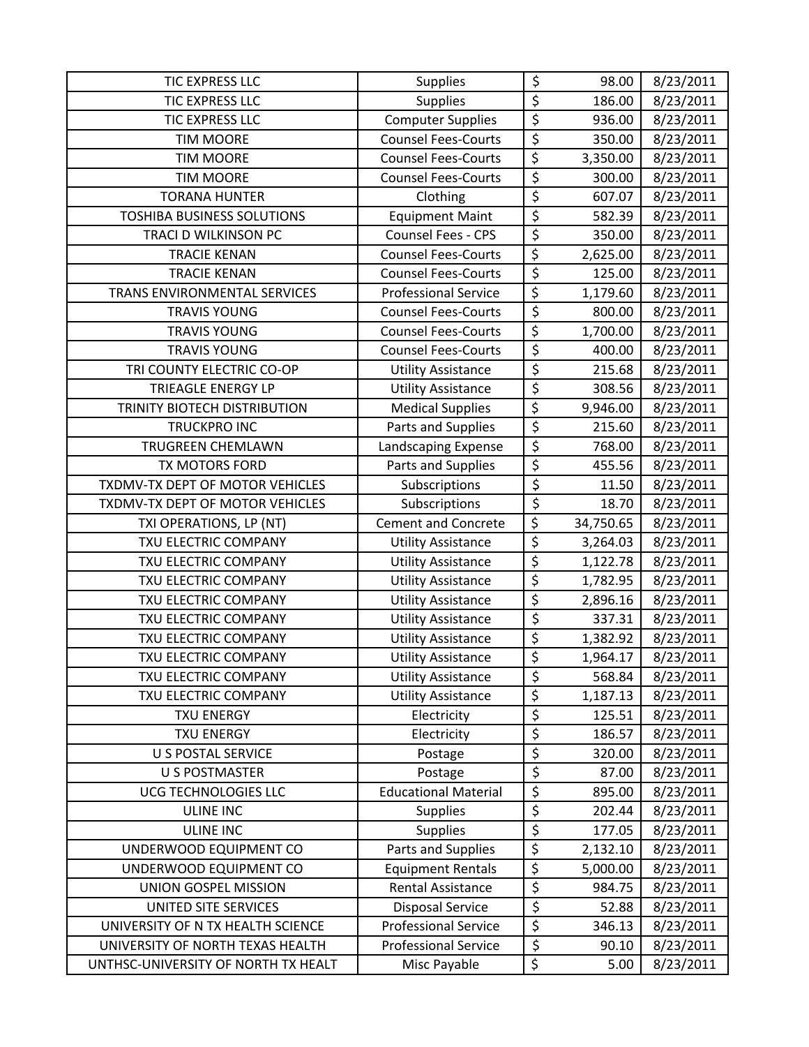| <b>TIC EXPRESS LLC</b>              | <b>Supplies</b>             | \$                     | 98.00     | 8/23/2011 |
|-------------------------------------|-----------------------------|------------------------|-----------|-----------|
| <b>TIC EXPRESS LLC</b>              | <b>Supplies</b>             | \$                     | 186.00    | 8/23/2011 |
| <b>TIC EXPRESS LLC</b>              | <b>Computer Supplies</b>    | \$                     | 936.00    | 8/23/2011 |
| <b>TIM MOORE</b>                    | <b>Counsel Fees-Courts</b>  | \$                     | 350.00    | 8/23/2011 |
| <b>TIM MOORE</b>                    | <b>Counsel Fees-Courts</b>  | \$                     | 3,350.00  | 8/23/2011 |
| <b>TIM MOORE</b>                    | <b>Counsel Fees-Courts</b>  | \$                     | 300.00    | 8/23/2011 |
| <b>TORANA HUNTER</b>                | Clothing                    | $\overline{\xi}$       | 607.07    | 8/23/2011 |
| <b>TOSHIBA BUSINESS SOLUTIONS</b>   | <b>Equipment Maint</b>      | $\overline{\varsigma}$ | 582.39    | 8/23/2011 |
| TRACI D WILKINSON PC                | Counsel Fees - CPS          | $\overline{\xi}$       | 350.00    | 8/23/2011 |
| <b>TRACIE KENAN</b>                 | <b>Counsel Fees-Courts</b>  | $\overline{\xi}$       | 2,625.00  | 8/23/2011 |
| <b>TRACIE KENAN</b>                 | <b>Counsel Fees-Courts</b>  | \$                     | 125.00    | 8/23/2011 |
| TRANS ENVIRONMENTAL SERVICES        | <b>Professional Service</b> | $\overline{\xi}$       | 1,179.60  | 8/23/2011 |
| <b>TRAVIS YOUNG</b>                 | <b>Counsel Fees-Courts</b>  | \$                     | 800.00    | 8/23/2011 |
| <b>TRAVIS YOUNG</b>                 | <b>Counsel Fees-Courts</b>  | \$                     | 1,700.00  | 8/23/2011 |
| <b>TRAVIS YOUNG</b>                 | <b>Counsel Fees-Courts</b>  | $\overline{\xi}$       | 400.00    | 8/23/2011 |
| TRI COUNTY ELECTRIC CO-OP           | <b>Utility Assistance</b>   | $\overline{\xi}$       | 215.68    | 8/23/2011 |
| <b>TRIEAGLE ENERGY LP</b>           | <b>Utility Assistance</b>   | $\overline{\xi}$       | 308.56    | 8/23/2011 |
| TRINITY BIOTECH DISTRIBUTION        | <b>Medical Supplies</b>     | $\overline{\xi}$       | 9,946.00  | 8/23/2011 |
| <b>TRUCKPRO INC</b>                 | Parts and Supplies          | \$                     | 215.60    | 8/23/2011 |
| TRUGREEN CHEMLAWN                   | Landscaping Expense         | \$                     | 768.00    | 8/23/2011 |
| TX MOTORS FORD                      | Parts and Supplies          | $\overline{\xi}$       | 455.56    | 8/23/2011 |
| TXDMV-TX DEPT OF MOTOR VEHICLES     | Subscriptions               | \$                     | 11.50     | 8/23/2011 |
| TXDMV-TX DEPT OF MOTOR VEHICLES     | Subscriptions               | $\overline{\xi}$       | 18.70     | 8/23/2011 |
| TXI OPERATIONS, LP (NT)             | <b>Cement and Concrete</b>  | \$                     | 34,750.65 | 8/23/2011 |
| TXU ELECTRIC COMPANY                | <b>Utility Assistance</b>   | \$                     | 3,264.03  | 8/23/2011 |
| TXU ELECTRIC COMPANY                | <b>Utility Assistance</b>   | \$                     | 1,122.78  | 8/23/2011 |
| TXU ELECTRIC COMPANY                | <b>Utility Assistance</b>   | $\overline{\xi}$       | 1,782.95  | 8/23/2011 |
| TXU ELECTRIC COMPANY                | <b>Utility Assistance</b>   | $\overline{\xi}$       | 2,896.16  | 8/23/2011 |
| TXU ELECTRIC COMPANY                | <b>Utility Assistance</b>   | $\overline{\xi}$       | 337.31    | 8/23/2011 |
| TXU ELECTRIC COMPANY                | <b>Utility Assistance</b>   | $\overline{\varsigma}$ | 1,382.92  | 8/23/2011 |
| TXU ELECTRIC COMPANY                | <b>Utility Assistance</b>   | $\overline{\xi}$       | 1,964.17  | 8/23/2011 |
| TXU ELECTRIC COMPANY                | <b>Utility Assistance</b>   | \$                     | 568.84    | 8/23/2011 |
| TXU ELECTRIC COMPANY                | <b>Utility Assistance</b>   | \$                     | 1,187.13  | 8/23/2011 |
| <b>TXU ENERGY</b>                   | Electricity                 | \$                     | 125.51    | 8/23/2011 |
| <b>TXU ENERGY</b>                   | Electricity                 | \$                     | 186.57    | 8/23/2011 |
| <b>U S POSTAL SERVICE</b>           | Postage                     | \$                     | 320.00    | 8/23/2011 |
| <b>U S POSTMASTER</b>               | Postage                     | \$                     | 87.00     | 8/23/2011 |
| UCG TECHNOLOGIES LLC                | <b>Educational Material</b> | \$                     | 895.00    | 8/23/2011 |
| <b>ULINE INC</b>                    | <b>Supplies</b>             | \$                     | 202.44    | 8/23/2011 |
| <b>ULINE INC</b>                    | <b>Supplies</b>             | \$                     | 177.05    | 8/23/2011 |
| UNDERWOOD EQUIPMENT CO              | Parts and Supplies          | \$                     | 2,132.10  | 8/23/2011 |
| UNDERWOOD EQUIPMENT CO              | <b>Equipment Rentals</b>    | \$                     | 5,000.00  | 8/23/2011 |
| UNION GOSPEL MISSION                | <b>Rental Assistance</b>    | $\overline{\xi}$       | 984.75    | 8/23/2011 |
| UNITED SITE SERVICES                | <b>Disposal Service</b>     | $\overline{\xi}$       | 52.88     | 8/23/2011 |
| UNIVERSITY OF N TX HEALTH SCIENCE   | <b>Professional Service</b> | \$                     | 346.13    | 8/23/2011 |
| UNIVERSITY OF NORTH TEXAS HEALTH    | <b>Professional Service</b> | $\overline{\xi}$       | 90.10     | 8/23/2011 |
| UNTHSC-UNIVERSITY OF NORTH TX HEALT | Misc Payable                | \$                     | 5.00      | 8/23/2011 |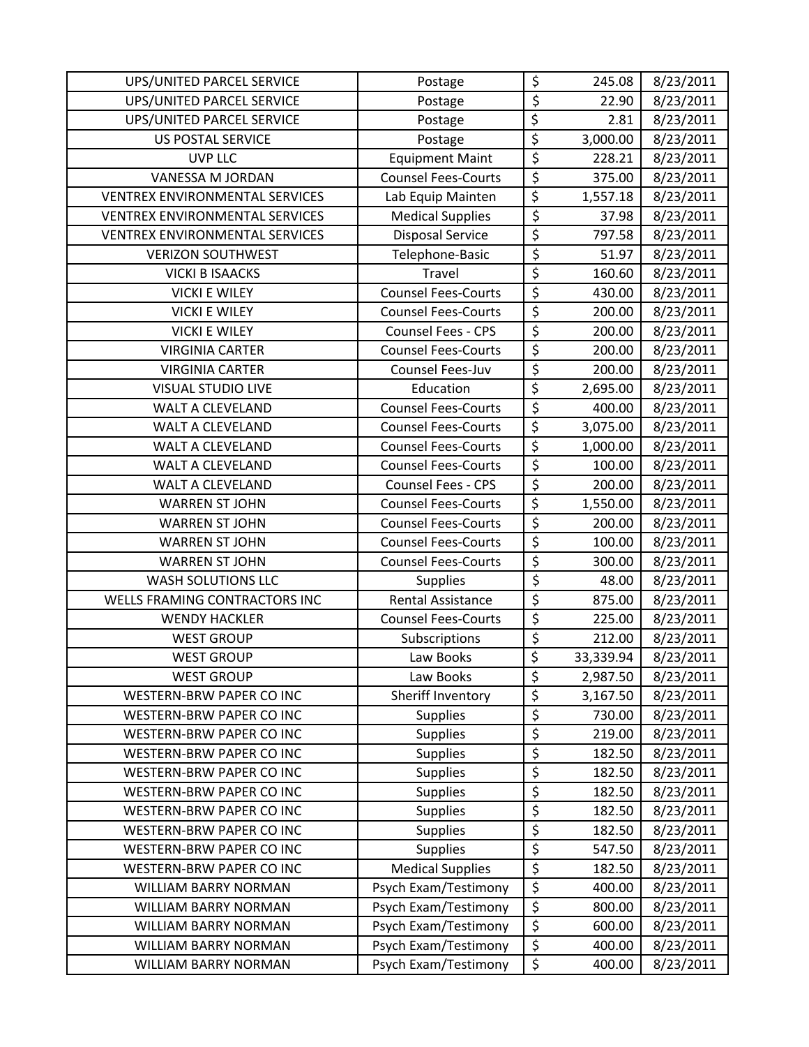| UPS/UNITED PARCEL SERVICE             | Postage                    | \$                     | 245.08    | 8/23/2011 |
|---------------------------------------|----------------------------|------------------------|-----------|-----------|
| UPS/UNITED PARCEL SERVICE             | Postage                    | \$                     | 22.90     | 8/23/2011 |
| UPS/UNITED PARCEL SERVICE             | Postage                    | \$                     | 2.81      | 8/23/2011 |
| <b>US POSTAL SERVICE</b>              | Postage                    | $\overline{\xi}$       | 3,000.00  | 8/23/2011 |
| <b>UVP LLC</b>                        | <b>Equipment Maint</b>     | \$                     | 228.21    | 8/23/2011 |
| VANESSA M JORDAN                      | <b>Counsel Fees-Courts</b> | \$                     | 375.00    | 8/23/2011 |
| <b>VENTREX ENVIRONMENTAL SERVICES</b> | Lab Equip Mainten          | $\overline{\xi}$       | 1,557.18  | 8/23/2011 |
| <b>VENTREX ENVIRONMENTAL SERVICES</b> | <b>Medical Supplies</b>    | \$                     | 37.98     | 8/23/2011 |
| <b>VENTREX ENVIRONMENTAL SERVICES</b> | <b>Disposal Service</b>    | \$                     | 797.58    | 8/23/2011 |
| <b>VERIZON SOUTHWEST</b>              | Telephone-Basic            | \$                     | 51.97     | 8/23/2011 |
| <b>VICKI B ISAACKS</b>                | Travel                     | $\overline{\xi}$       | 160.60    | 8/23/2011 |
| <b>VICKI E WILEY</b>                  | <b>Counsel Fees-Courts</b> | \$                     | 430.00    | 8/23/2011 |
| <b>VICKI E WILEY</b>                  | <b>Counsel Fees-Courts</b> | \$                     | 200.00    | 8/23/2011 |
| <b>VICKI E WILEY</b>                  | Counsel Fees - CPS         | \$                     | 200.00    | 8/23/2011 |
| <b>VIRGINIA CARTER</b>                | <b>Counsel Fees-Courts</b> | \$                     | 200.00    | 8/23/2011 |
| <b>VIRGINIA CARTER</b>                | Counsel Fees-Juv           | $\overline{\varsigma}$ | 200.00    | 8/23/2011 |
| <b>VISUAL STUDIO LIVE</b>             | Education                  | $\overline{\xi}$       | 2,695.00  | 8/23/2011 |
| <b>WALT A CLEVELAND</b>               | <b>Counsel Fees-Courts</b> | $\overline{\xi}$       | 400.00    | 8/23/2011 |
| <b>WALT A CLEVELAND</b>               | <b>Counsel Fees-Courts</b> | \$                     | 3,075.00  | 8/23/2011 |
| <b>WALT A CLEVELAND</b>               | <b>Counsel Fees-Courts</b> | $\overline{\xi}$       | 1,000.00  | 8/23/2011 |
| WALT A CLEVELAND                      | <b>Counsel Fees-Courts</b> | \$                     | 100.00    | 8/23/2011 |
| <b>WALT A CLEVELAND</b>               | <b>Counsel Fees - CPS</b>  | $\overline{\xi}$       | 200.00    | 8/23/2011 |
| <b>WARREN ST JOHN</b>                 | <b>Counsel Fees-Courts</b> | $\overline{\varsigma}$ | 1,550.00  | 8/23/2011 |
| <b>WARREN ST JOHN</b>                 | <b>Counsel Fees-Courts</b> | \$                     | 200.00    | 8/23/2011 |
| <b>WARREN ST JOHN</b>                 | <b>Counsel Fees-Courts</b> | \$                     | 100.00    | 8/23/2011 |
| <b>WARREN ST JOHN</b>                 | <b>Counsel Fees-Courts</b> | \$                     | 300.00    | 8/23/2011 |
| <b>WASH SOLUTIONS LLC</b>             | <b>Supplies</b>            | \$                     | 48.00     | 8/23/2011 |
| WELLS FRAMING CONTRACTORS INC         | <b>Rental Assistance</b>   | \$                     | 875.00    | 8/23/2011 |
| <b>WENDY HACKLER</b>                  | <b>Counsel Fees-Courts</b> | \$                     | 225.00    | 8/23/2011 |
| <b>WEST GROUP</b>                     | Subscriptions              | $\overline{\xi}$       | 212.00    | 8/23/2011 |
| <b>WEST GROUP</b>                     | Law Books                  | \$                     | 33,339.94 | 8/23/2011 |
| <b>WEST GROUP</b>                     | Law Books                  | \$                     | 2,987.50  | 8/23/2011 |
| <b>WESTERN-BRW PAPER CO INC</b>       | Sheriff Inventory          | \$                     | 3,167.50  | 8/23/2011 |
| WESTERN-BRW PAPER CO INC              | <b>Supplies</b>            | \$                     | 730.00    | 8/23/2011 |
| WESTERN-BRW PAPER CO INC              | <b>Supplies</b>            | \$                     | 219.00    | 8/23/2011 |
| WESTERN-BRW PAPER CO INC              | <b>Supplies</b>            | \$                     | 182.50    | 8/23/2011 |
| WESTERN-BRW PAPER CO INC              | <b>Supplies</b>            | \$                     | 182.50    | 8/23/2011 |
| WESTERN-BRW PAPER CO INC              | <b>Supplies</b>            | \$                     | 182.50    | 8/23/2011 |
| WESTERN-BRW PAPER CO INC              | <b>Supplies</b>            | \$                     | 182.50    | 8/23/2011 |
| WESTERN-BRW PAPER CO INC              | <b>Supplies</b>            | \$                     | 182.50    | 8/23/2011 |
| WESTERN-BRW PAPER CO INC              | Supplies                   | \$                     | 547.50    | 8/23/2011 |
| WESTERN-BRW PAPER CO INC              | <b>Medical Supplies</b>    | \$                     | 182.50    | 8/23/2011 |
| WILLIAM BARRY NORMAN                  | Psych Exam/Testimony       | \$                     | 400.00    | 8/23/2011 |
| WILLIAM BARRY NORMAN                  | Psych Exam/Testimony       | $\overline{\varsigma}$ | 800.00    | 8/23/2011 |
| <b>WILLIAM BARRY NORMAN</b>           | Psych Exam/Testimony       | \$                     | 600.00    | 8/23/2011 |
| WILLIAM BARRY NORMAN                  | Psych Exam/Testimony       | \$                     | 400.00    | 8/23/2011 |
| WILLIAM BARRY NORMAN                  | Psych Exam/Testimony       | \$                     | 400.00    | 8/23/2011 |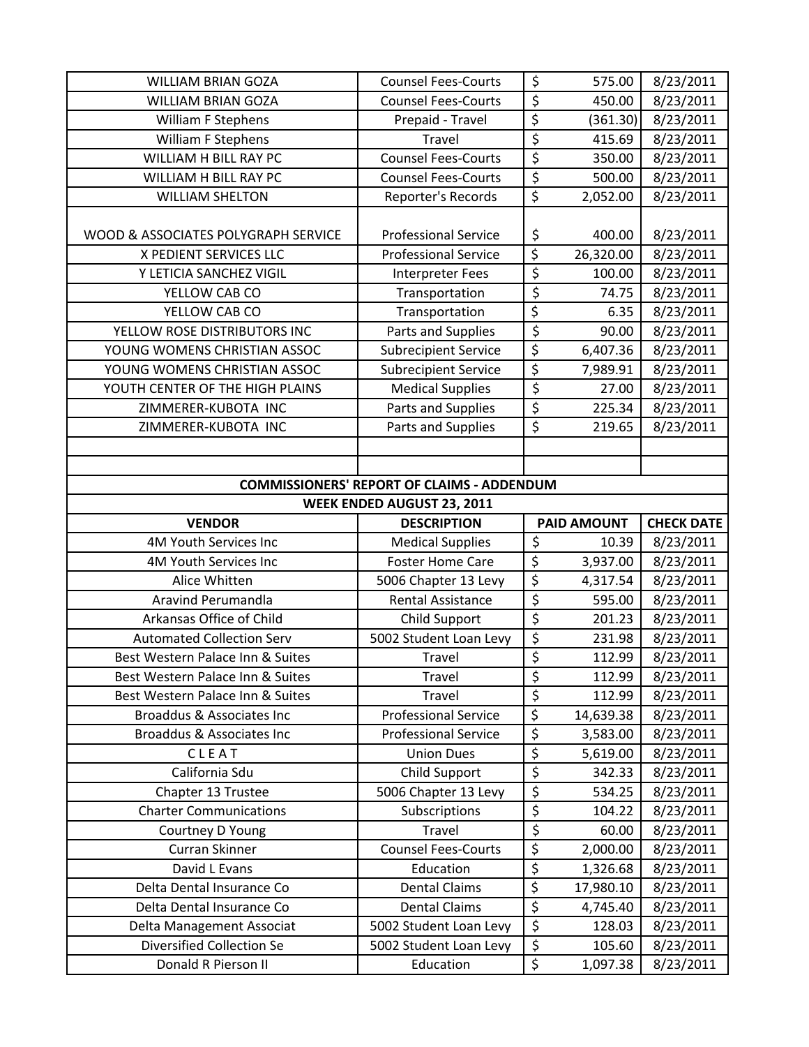| <b>WILLIAM BRIAN GOZA</b>                                                      | <b>Counsel Fees-Courts</b>          | \$                     | 575.00             | 8/23/2011              |  |
|--------------------------------------------------------------------------------|-------------------------------------|------------------------|--------------------|------------------------|--|
| <b>WILLIAM BRIAN GOZA</b>                                                      | <b>Counsel Fees-Courts</b>          | $\overline{\xi}$       | 450.00             | 8/23/2011              |  |
| <b>William F Stephens</b>                                                      | Prepaid - Travel                    | $\overline{\xi}$       | (361.30)           | 8/23/2011              |  |
| William F Stephens                                                             | Travel                              | $\overline{\xi}$       | 415.69             | 8/23/2011              |  |
| <b>WILLIAM H BILL RAY PC</b>                                                   | <b>Counsel Fees-Courts</b>          | \$                     | 350.00             | 8/23/2011              |  |
| WILLIAM H BILL RAY PC                                                          | <b>Counsel Fees-Courts</b>          | $\overline{\xi}$       | 500.00             | 8/23/2011              |  |
| <b>WILLIAM SHELTON</b>                                                         | Reporter's Records                  | $\overline{\varsigma}$ | 2,052.00           | 8/23/2011              |  |
|                                                                                |                                     |                        |                    |                        |  |
| WOOD & ASSOCIATES POLYGRAPH SERVICE                                            | <b>Professional Service</b>         | \$                     | 400.00             | 8/23/2011              |  |
| X PEDIENT SERVICES LLC                                                         | <b>Professional Service</b>         | \$                     | 26,320.00          | 8/23/2011              |  |
| Y LETICIA SANCHEZ VIGIL                                                        | Interpreter Fees                    | \$                     | 100.00             | 8/23/2011              |  |
| YELLOW CAB CO                                                                  | Transportation                      | $\overline{\xi}$       | 74.75              | 8/23/2011              |  |
| YELLOW CAB CO                                                                  | Transportation                      | \$                     | 6.35               | 8/23/2011              |  |
| YELLOW ROSE DISTRIBUTORS INC                                                   | Parts and Supplies                  | \$                     | 90.00              | 8/23/2011              |  |
| YOUNG WOMENS CHRISTIAN ASSOC                                                   | <b>Subrecipient Service</b>         | $\overline{\xi}$       | 6,407.36           | 8/23/2011              |  |
| YOUNG WOMENS CHRISTIAN ASSOC                                                   | <b>Subrecipient Service</b>         | \$                     | 7,989.91           | 8/23/2011              |  |
| YOUTH CENTER OF THE HIGH PLAINS                                                | <b>Medical Supplies</b>             | \$                     | 27.00              | 8/23/2011              |  |
| ZIMMERER-KUBOTA INC                                                            | Parts and Supplies                  | $\overline{\xi}$       | 225.34             | 8/23/2011              |  |
| ZIMMERER-KUBOTA INC                                                            | Parts and Supplies                  | \$                     | 219.65             | 8/23/2011              |  |
|                                                                                |                                     |                        |                    |                        |  |
|                                                                                |                                     |                        |                    |                        |  |
| <b>COMMISSIONERS' REPORT OF CLAIMS - ADDENDUM</b>                              |                                     |                        |                    |                        |  |
| <b>WEEK ENDED AUGUST 23, 2011</b>                                              |                                     |                        |                    |                        |  |
| <b>DESCRIPTION</b><br><b>CHECK DATE</b><br><b>VENDOR</b><br><b>PAID AMOUNT</b> |                                     |                        |                    |                        |  |
|                                                                                |                                     |                        |                    |                        |  |
| 4M Youth Services Inc                                                          | <b>Medical Supplies</b>             | \$                     | 10.39              | 8/23/2011              |  |
| 4M Youth Services Inc                                                          | <b>Foster Home Care</b>             | \$                     | 3,937.00           | 8/23/2011              |  |
| Alice Whitten                                                                  | 5006 Chapter 13 Levy                | \$                     | 4,317.54           | 8/23/2011              |  |
| <b>Aravind Perumandla</b>                                                      | Rental Assistance                   | $\overline{\xi}$       | 595.00             | 8/23/2011              |  |
| Arkansas Office of Child                                                       | Child Support                       | $\overline{\xi}$       | 201.23             | 8/23/2011              |  |
| <b>Automated Collection Serv</b>                                               | 5002 Student Loan Levy              | \$                     | 231.98             | 8/23/2011              |  |
| Best Western Palace Inn & Suites                                               | Travel                              | $\overline{\xi}$       | 112.99             | 8/23/2011              |  |
| Best Western Palace Inn & Suites                                               | Travel                              | \$                     | 112.99             | 8/23/2011              |  |
| Best Western Palace Inn & Suites                                               | Travel                              | \$                     | 112.99             | 8/23/2011              |  |
| Broaddus & Associates Inc                                                      | <b>Professional Service</b>         | $\overline{\varsigma}$ | 14,639.38          | 8/23/2011              |  |
| Broaddus & Associates Inc                                                      | <b>Professional Service</b>         | \$                     | 3,583.00           | 8/23/2011              |  |
| CLEAT                                                                          | <b>Union Dues</b>                   | $\overline{\xi}$       | 5,619.00           | 8/23/2011              |  |
| California Sdu                                                                 | Child Support                       | \$                     | 342.33             | 8/23/2011              |  |
| Chapter 13 Trustee                                                             | 5006 Chapter 13 Levy                | \$                     | 534.25             | 8/23/2011              |  |
| <b>Charter Communications</b>                                                  | Subscriptions                       | \$                     | 104.22             | 8/23/2011              |  |
| Courtney D Young                                                               | Travel                              | \$                     | 60.00              | 8/23/2011              |  |
| Curran Skinner                                                                 | <b>Counsel Fees-Courts</b>          | $\overline{\xi}$       | 2,000.00           | 8/23/2011              |  |
| David L Evans                                                                  | Education                           | \$                     | 1,326.68           | 8/23/2011              |  |
| Delta Dental Insurance Co                                                      | <b>Dental Claims</b>                | $\overline{\xi}$       | 17,980.10          | 8/23/2011              |  |
| Delta Dental Insurance Co                                                      | <b>Dental Claims</b>                | \$                     | 4,745.40           | 8/23/2011              |  |
| Delta Management Associat                                                      | 5002 Student Loan Levy              | \$                     | 128.03             | 8/23/2011              |  |
| <b>Diversified Collection Se</b><br>Donald R Pierson II                        | 5002 Student Loan Levy<br>Education | $\overline{\xi}$<br>\$ | 105.60<br>1,097.38 | 8/23/2011<br>8/23/2011 |  |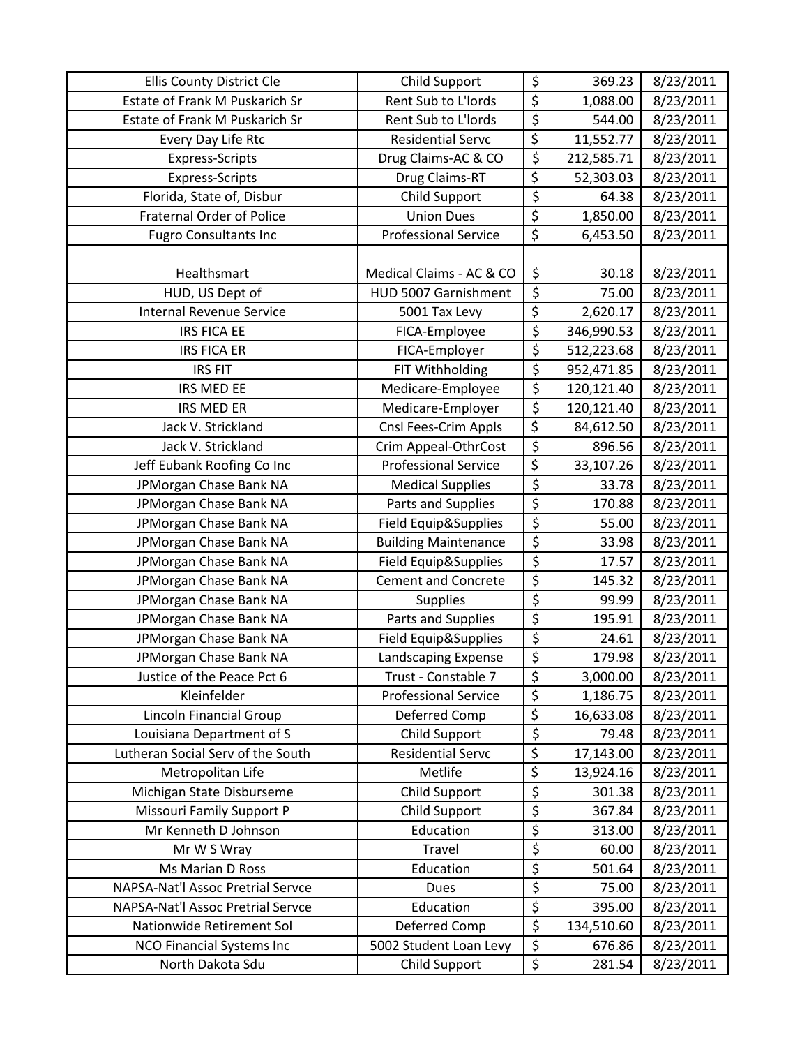| Ellis County District Cle             | Child Support               | \$                              | 369.23     | 8/23/2011 |
|---------------------------------------|-----------------------------|---------------------------------|------------|-----------|
| <b>Estate of Frank M Puskarich Sr</b> | Rent Sub to L'Iords         | $\overline{\xi}$                | 1,088.00   | 8/23/2011 |
| Estate of Frank M Puskarich Sr        | Rent Sub to L'Iords         | \$                              | 544.00     | 8/23/2011 |
| Every Day Life Rtc                    | <b>Residential Servc</b>    | \$                              | 11,552.77  | 8/23/2011 |
| <b>Express-Scripts</b>                | Drug Claims-AC & CO         | $\overline{\boldsymbol{\zeta}}$ | 212,585.71 | 8/23/2011 |
| <b>Express-Scripts</b>                | Drug Claims-RT              | \$                              | 52,303.03  | 8/23/2011 |
| Florida, State of, Disbur             | Child Support               | \$                              | 64.38      | 8/23/2011 |
| <b>Fraternal Order of Police</b>      | <b>Union Dues</b>           | \$                              | 1,850.00   | 8/23/2011 |
| <b>Fugro Consultants Inc</b>          | <b>Professional Service</b> | \$                              | 6,453.50   | 8/23/2011 |
|                                       |                             |                                 |            |           |
| Healthsmart                           | Medical Claims - AC & CO    | \$                              | 30.18      | 8/23/2011 |
| HUD, US Dept of                       | HUD 5007 Garnishment        | \$                              | 75.00      | 8/23/2011 |
| <b>Internal Revenue Service</b>       | 5001 Tax Levy               | \$                              | 2,620.17   | 8/23/2011 |
| <b>IRS FICA EE</b>                    | FICA-Employee               | \$                              | 346,990.53 | 8/23/2011 |
| <b>IRS FICA ER</b>                    | FICA-Employer               | \$                              | 512,223.68 | 8/23/2011 |
| <b>IRS FIT</b>                        | FIT Withholding             | \$                              | 952,471.85 | 8/23/2011 |
| IRS MED EE                            | Medicare-Employee           | \$                              | 120,121.40 | 8/23/2011 |
| <b>IRS MED ER</b>                     | Medicare-Employer           | $\overline{\xi}$                | 120,121.40 | 8/23/2011 |
| Jack V. Strickland                    | Cnsl Fees-Crim Appls        | $\overline{\xi}$                | 84,612.50  | 8/23/2011 |
| Jack V. Strickland                    | Crim Appeal-OthrCost        | \$                              | 896.56     | 8/23/2011 |
| Jeff Eubank Roofing Co Inc            | <b>Professional Service</b> | $\overline{\xi}$                | 33,107.26  | 8/23/2011 |
| JPMorgan Chase Bank NA                | <b>Medical Supplies</b>     | \$                              | 33.78      | 8/23/2011 |
| JPMorgan Chase Bank NA                | Parts and Supplies          | $\overline{\varsigma}$          | 170.88     | 8/23/2011 |
| JPMorgan Chase Bank NA                | Field Equip&Supplies        | \$                              | 55.00      | 8/23/2011 |
| JPMorgan Chase Bank NA                | <b>Building Maintenance</b> | \$                              | 33.98      | 8/23/2011 |
| JPMorgan Chase Bank NA                | Field Equip&Supplies        | $\overline{\xi}$                | 17.57      | 8/23/2011 |
| JPMorgan Chase Bank NA                | <b>Cement and Concrete</b>  | $\overline{\xi}$                | 145.32     | 8/23/2011 |
| JPMorgan Chase Bank NA                | Supplies                    | \$                              | 99.99      | 8/23/2011 |
| JPMorgan Chase Bank NA                | Parts and Supplies          | $\overline{\xi}$                | 195.91     | 8/23/2011 |
| JPMorgan Chase Bank NA                | Field Equip&Supplies        | \$                              | 24.61      | 8/23/2011 |
| JPMorgan Chase Bank NA                | Landscaping Expense         | $\overline{\xi}$                | 179.98     | 8/23/2011 |
| Justice of the Peace Pct 6            | Trust - Constable 7         | \$                              | 3,000.00   | 8/23/2011 |
| Kleinfelder                           | <b>Professional Service</b> | $\overline{\varsigma}$          | 1,186.75   | 8/23/2011 |
| Lincoln Financial Group               | Deferred Comp               | \$                              | 16,633.08  | 8/23/2011 |
| Louisiana Department of S             | Child Support               | \$                              | 79.48      | 8/23/2011 |
| Lutheran Social Serv of the South     | <b>Residential Servc</b>    | $\overline{\xi}$                | 17,143.00  | 8/23/2011 |
| Metropolitan Life                     | Metlife                     | $\overline{\xi}$                | 13,924.16  | 8/23/2011 |
| Michigan State Disburseme             | Child Support               | \$                              | 301.38     | 8/23/2011 |
| Missouri Family Support P             | Child Support               | \$                              | 367.84     | 8/23/2011 |
| Mr Kenneth D Johnson                  | Education                   | \$                              | 313.00     | 8/23/2011 |
| Mr W S Wray                           | Travel                      | \$                              | 60.00      | 8/23/2011 |
| Ms Marian D Ross                      | Education                   | \$                              | 501.64     | 8/23/2011 |
| NAPSA-Nat'l Assoc Pretrial Servce     | Dues                        | \$                              | 75.00      | 8/23/2011 |
| NAPSA-Nat'l Assoc Pretrial Servce     | Education                   | $\overline{\varsigma}$          | 395.00     | 8/23/2011 |
| Nationwide Retirement Sol             | Deferred Comp               | \$                              | 134,510.60 | 8/23/2011 |
| <b>NCO Financial Systems Inc</b>      | 5002 Student Loan Levy      | \$                              | 676.86     | 8/23/2011 |
| North Dakota Sdu                      | Child Support               | \$                              | 281.54     | 8/23/2011 |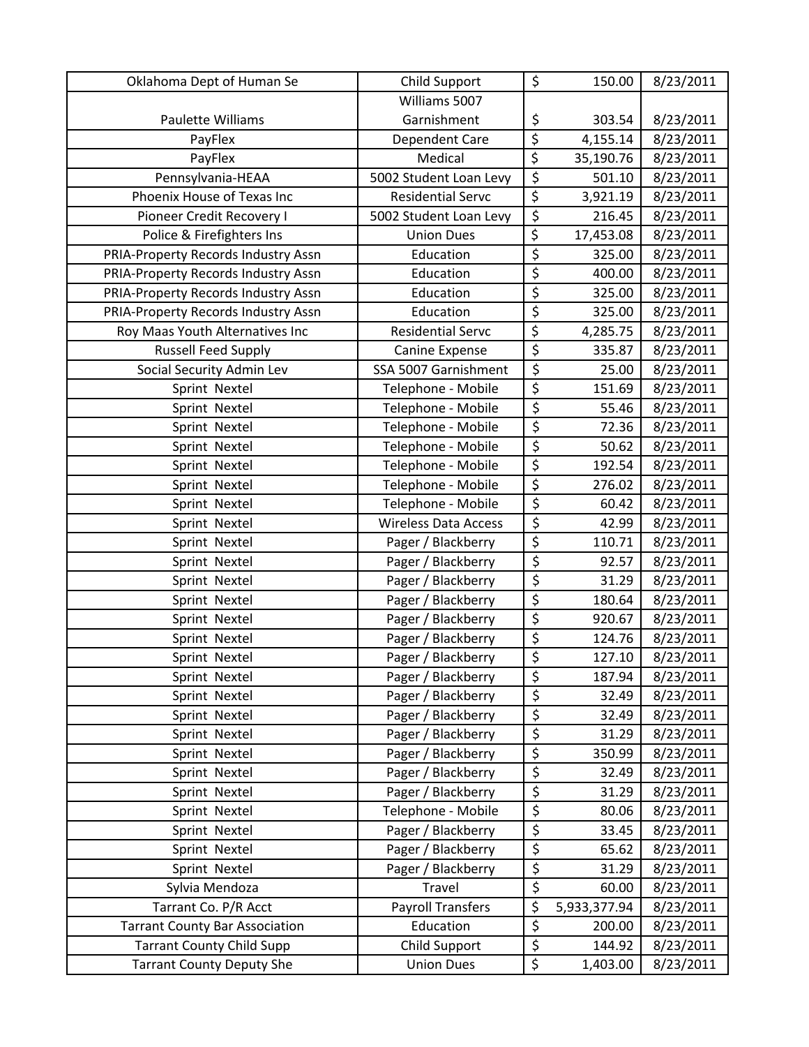| Oklahoma Dept of Human Se             | Child Support               | \$                     | 150.00       | 8/23/2011 |
|---------------------------------------|-----------------------------|------------------------|--------------|-----------|
|                                       | Williams 5007               |                        |              |           |
| Paulette Williams                     | Garnishment                 | \$                     | 303.54       | 8/23/2011 |
| PayFlex                               | Dependent Care              | $\overline{\varsigma}$ | 4,155.14     | 8/23/2011 |
| PayFlex                               | Medical                     | \$                     | 35,190.76    | 8/23/2011 |
| Pennsylvania-HEAA                     | 5002 Student Loan Levy      | \$                     | 501.10       | 8/23/2011 |
| Phoenix House of Texas Inc            | <b>Residential Servc</b>    | \$                     | 3,921.19     | 8/23/2011 |
| Pioneer Credit Recovery I             | 5002 Student Loan Levy      | \$                     | 216.45       | 8/23/2011 |
| Police & Firefighters Ins             | <b>Union Dues</b>           | $\overline{\xi}$       | 17,453.08    | 8/23/2011 |
| PRIA-Property Records Industry Assn   | Education                   | \$                     | 325.00       | 8/23/2011 |
| PRIA-Property Records Industry Assn   | Education                   | \$                     | 400.00       | 8/23/2011 |
| PRIA-Property Records Industry Assn   | Education                   | \$                     | 325.00       | 8/23/2011 |
| PRIA-Property Records Industry Assn   | Education                   | \$                     | 325.00       | 8/23/2011 |
| Roy Maas Youth Alternatives Inc       | <b>Residential Servc</b>    | \$                     | 4,285.75     | 8/23/2011 |
| <b>Russell Feed Supply</b>            | Canine Expense              | \$                     | 335.87       | 8/23/2011 |
| Social Security Admin Lev             | SSA 5007 Garnishment        | \$                     | 25.00        | 8/23/2011 |
| Sprint Nextel                         | Telephone - Mobile          | \$                     | 151.69       | 8/23/2011 |
| Sprint Nextel                         | Telephone - Mobile          | \$                     | 55.46        | 8/23/2011 |
| Sprint Nextel                         | Telephone - Mobile          | \$                     | 72.36        | 8/23/2011 |
| Sprint Nextel                         | Telephone - Mobile          | \$                     | 50.62        | 8/23/2011 |
| Sprint Nextel                         | Telephone - Mobile          | \$                     | 192.54       | 8/23/2011 |
| Sprint Nextel                         | Telephone - Mobile          | \$                     | 276.02       | 8/23/2011 |
| Sprint Nextel                         | Telephone - Mobile          | \$                     | 60.42        | 8/23/2011 |
| Sprint Nextel                         | <b>Wireless Data Access</b> | \$                     | 42.99        | 8/23/2011 |
| Sprint Nextel                         | Pager / Blackberry          | \$                     | 110.71       | 8/23/2011 |
| Sprint Nextel                         | Pager / Blackberry          | \$                     | 92.57        | 8/23/2011 |
| Sprint Nextel                         | Pager / Blackberry          | \$                     | 31.29        | 8/23/2011 |
| Sprint Nextel                         | Pager / Blackberry          | \$                     | 180.64       | 8/23/2011 |
| Sprint Nextel                         | Pager / Blackberry          | \$                     | 920.67       | 8/23/2011 |
| Sprint Nextel                         | Pager / Blackberry          | \$                     | 124.76       | 8/23/2011 |
| Sprint Nextel                         | Pager / Blackberry          | \$                     | 127.10       | 8/23/2011 |
| Sprint Nextel                         | Pager / Blackberry          | \$                     | 187.94       | 8/23/2011 |
| Sprint Nextel                         | Pager / Blackberry          | \$                     | 32.49        | 8/23/2011 |
| Sprint Nextel                         | Pager / Blackberry          | \$                     | 32.49        | 8/23/2011 |
| Sprint Nextel                         | Pager / Blackberry          | \$                     | 31.29        | 8/23/2011 |
| Sprint Nextel                         | Pager / Blackberry          | \$                     | 350.99       | 8/23/2011 |
| Sprint Nextel                         | Pager / Blackberry          | \$                     | 32.49        | 8/23/2011 |
| Sprint Nextel                         | Pager / Blackberry          | \$                     | 31.29        | 8/23/2011 |
| Sprint Nextel                         | Telephone - Mobile          | $\overline{\xi}$       | 80.06        | 8/23/2011 |
| Sprint Nextel                         | Pager / Blackberry          | \$                     | 33.45        | 8/23/2011 |
| Sprint Nextel                         | Pager / Blackberry          | \$                     | 65.62        | 8/23/2011 |
| Sprint Nextel                         | Pager / Blackberry          | \$                     | 31.29        | 8/23/2011 |
| Sylvia Mendoza                        | Travel                      | \$                     | 60.00        | 8/23/2011 |
| Tarrant Co. P/R Acct                  | <b>Payroll Transfers</b>    | \$                     | 5,933,377.94 | 8/23/2011 |
| <b>Tarrant County Bar Association</b> | Education                   | \$                     | 200.00       | 8/23/2011 |
| <b>Tarrant County Child Supp</b>      | Child Support               | \$                     | 144.92       | 8/23/2011 |
| <b>Tarrant County Deputy She</b>      | <b>Union Dues</b>           | \$                     | 1,403.00     | 8/23/2011 |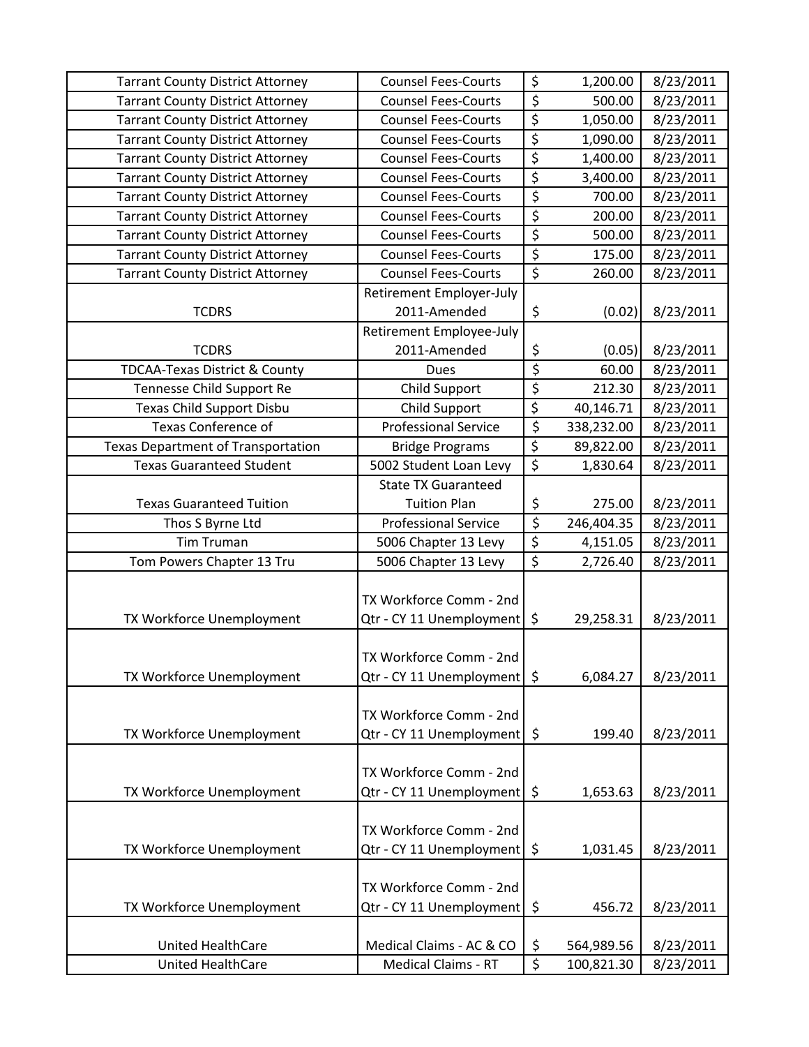| <b>Tarrant County District Attorney</b>   | <b>Counsel Fees-Courts</b>  | \$               | 1,200.00   | 8/23/2011 |
|-------------------------------------------|-----------------------------|------------------|------------|-----------|
| <b>Tarrant County District Attorney</b>   | <b>Counsel Fees-Courts</b>  | \$               | 500.00     | 8/23/2011 |
| <b>Tarrant County District Attorney</b>   | <b>Counsel Fees-Courts</b>  | \$               | 1,050.00   | 8/23/2011 |
| <b>Tarrant County District Attorney</b>   | <b>Counsel Fees-Courts</b>  | \$               | 1,090.00   | 8/23/2011 |
| <b>Tarrant County District Attorney</b>   | <b>Counsel Fees-Courts</b>  | \$               | 1,400.00   | 8/23/2011 |
| <b>Tarrant County District Attorney</b>   | <b>Counsel Fees-Courts</b>  | \$               | 3,400.00   | 8/23/2011 |
| <b>Tarrant County District Attorney</b>   | <b>Counsel Fees-Courts</b>  | \$               | 700.00     | 8/23/2011 |
| <b>Tarrant County District Attorney</b>   | <b>Counsel Fees-Courts</b>  | \$               | 200.00     | 8/23/2011 |
| <b>Tarrant County District Attorney</b>   | <b>Counsel Fees-Courts</b>  | \$               | 500.00     | 8/23/2011 |
| <b>Tarrant County District Attorney</b>   | <b>Counsel Fees-Courts</b>  | \$               | 175.00     | 8/23/2011 |
| <b>Tarrant County District Attorney</b>   | <b>Counsel Fees-Courts</b>  | $\overline{\xi}$ | 260.00     | 8/23/2011 |
|                                           | Retirement Employer-July    |                  |            |           |
| <b>TCDRS</b>                              | 2011-Amended                | \$               | (0.02)     | 8/23/2011 |
|                                           | Retirement Employee-July    |                  |            |           |
| <b>TCDRS</b>                              | 2011-Amended                | \$               | (0.05)     | 8/23/2011 |
| <b>TDCAA-Texas District &amp; County</b>  | <b>Dues</b>                 | \$               | 60.00      | 8/23/2011 |
| Tennesse Child Support Re                 | Child Support               | \$               | 212.30     | 8/23/2011 |
| Texas Child Support Disbu                 | <b>Child Support</b>        | $\overline{\xi}$ | 40,146.71  | 8/23/2011 |
| Texas Conference of                       | <b>Professional Service</b> | \$               | 338,232.00 | 8/23/2011 |
| <b>Texas Department of Transportation</b> | <b>Bridge Programs</b>      | \$               | 89,822.00  | 8/23/2011 |
| <b>Texas Guaranteed Student</b>           | 5002 Student Loan Levy      | \$               | 1,830.64   | 8/23/2011 |
|                                           | <b>State TX Guaranteed</b>  |                  |            |           |
| <b>Texas Guaranteed Tuition</b>           | <b>Tuition Plan</b>         | \$               | 275.00     | 8/23/2011 |
| Thos S Byrne Ltd                          | <b>Professional Service</b> | \$               | 246,404.35 | 8/23/2011 |
| <b>Tim Truman</b>                         | 5006 Chapter 13 Levy        | \$               | 4,151.05   | 8/23/2011 |
| Tom Powers Chapter 13 Tru                 | 5006 Chapter 13 Levy        | $\overline{\xi}$ | 2,726.40   | 8/23/2011 |
|                                           |                             |                  |            |           |
|                                           | TX Workforce Comm - 2nd     |                  |            |           |
| TX Workforce Unemployment                 | Qtr - CY 11 Unemployment    | \$               | 29,258.31  | 8/23/2011 |
|                                           |                             |                  |            |           |
|                                           | TX Workforce Comm - 2nd     |                  |            |           |
| TX Workforce Unemployment                 | Qtr - CY 11 Unemployment    | \$               | 6,084.27   | 8/23/2011 |
|                                           |                             |                  |            |           |
|                                           | TX Workforce Comm - 2nd     |                  |            |           |
| TX Workforce Unemployment                 | Qtr - CY 11 Unemployment    | \$               | 199.40     | 8/23/2011 |
|                                           |                             |                  |            |           |
|                                           | TX Workforce Comm - 2nd     |                  |            |           |
| TX Workforce Unemployment                 | Qtr - CY 11 Unemployment    | \$               | 1,653.63   | 8/23/2011 |
|                                           |                             |                  |            |           |
|                                           | TX Workforce Comm - 2nd     |                  |            |           |
| TX Workforce Unemployment                 | Qtr - CY 11 Unemployment    | \$               | 1,031.45   | 8/23/2011 |
|                                           |                             |                  |            |           |
|                                           | TX Workforce Comm - 2nd     |                  |            |           |
| TX Workforce Unemployment                 | Qtr - CY 11 Unemployment    | \$               | 456.72     | 8/23/2011 |
|                                           |                             |                  |            |           |
| <b>United HealthCare</b>                  | Medical Claims - AC & CO    | \$               | 564,989.56 | 8/23/2011 |
| United HealthCare                         | <b>Medical Claims - RT</b>  | \$               | 100,821.30 | 8/23/2011 |